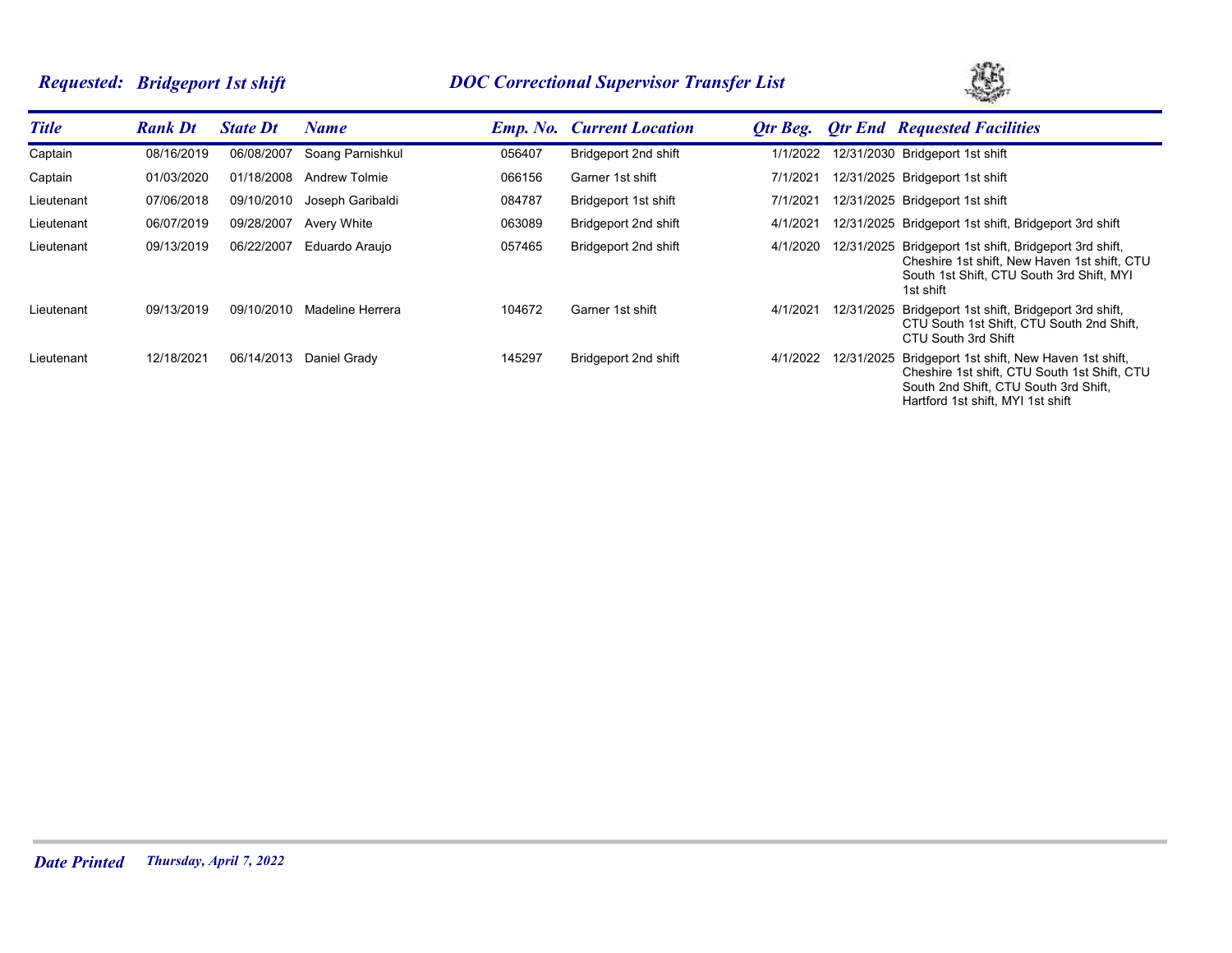# *Requested: Bridgeport 1st shift DOC Correctional Supervisor Transfer List*



| <b>Title</b> | <b>Rank Dt</b> | <b>State Dt</b> | Name                 |        | <b>Emp. No.</b> Current Location | Otr Beg. |            | <b>Otr End Requested Facilities</b>                                                                                                                                      |
|--------------|----------------|-----------------|----------------------|--------|----------------------------------|----------|------------|--------------------------------------------------------------------------------------------------------------------------------------------------------------------------|
| Captain      | 08/16/2019     | 06/08/2007      | Soang Parnishkul     | 056407 | Bridgeport 2nd shift             | 1/1/2022 |            | 12/31/2030 Bridgeport 1st shift                                                                                                                                          |
| Captain      | 01/03/2020     | 01/18/2008      | <b>Andrew Tolmie</b> | 066156 | Garner 1st shift                 | 7/1/2021 |            | 12/31/2025 Bridgeport 1st shift                                                                                                                                          |
| Lieutenant   | 07/06/2018     | 09/10/2010      | Joseph Garibaldi     | 084787 | Bridgeport 1st shift             | 7/1/2021 |            | 12/31/2025 Bridgeport 1st shift                                                                                                                                          |
| Lieutenant   | 06/07/2019     | 09/28/2007      | Avery White          | 063089 | Bridgeport 2nd shift             | 4/1/2021 |            | 12/31/2025 Bridgeport 1st shift, Bridgeport 3rd shift                                                                                                                    |
| Lieutenant   | 09/13/2019     | 06/22/2007      | Eduardo Araujo       | 057465 | Bridgeport 2nd shift             | 4/1/2020 | 12/31/2025 | Bridgeport 1st shift, Bridgeport 3rd shift,<br>Cheshire 1st shift, New Haven 1st shift, CTU<br>South 1st Shift. CTU South 3rd Shift. MYI<br>1st shift                    |
| Lieutenant   | 09/13/2019     | 09/10/2010      | Madeline Herrera     | 104672 | Garner 1st shift                 | 4/1/2021 | 12/31/2025 | Bridgeport 1st shift, Bridgeport 3rd shift,<br>CTU South 1st Shift. CTU South 2nd Shift.<br>CTU South 3rd Shift                                                          |
| Lieutenant   | 12/18/2021     | 06/14/2013      | Daniel Grady         | 145297 | Bridgeport 2nd shift             | 4/1/2022 | 12/31/2025 | Bridgeport 1st shift, New Haven 1st shift,<br>Cheshire 1st shift, CTU South 1st Shift, CTU<br>South 2nd Shift. CTU South 3rd Shift.<br>Hartford 1st shift, MYI 1st shift |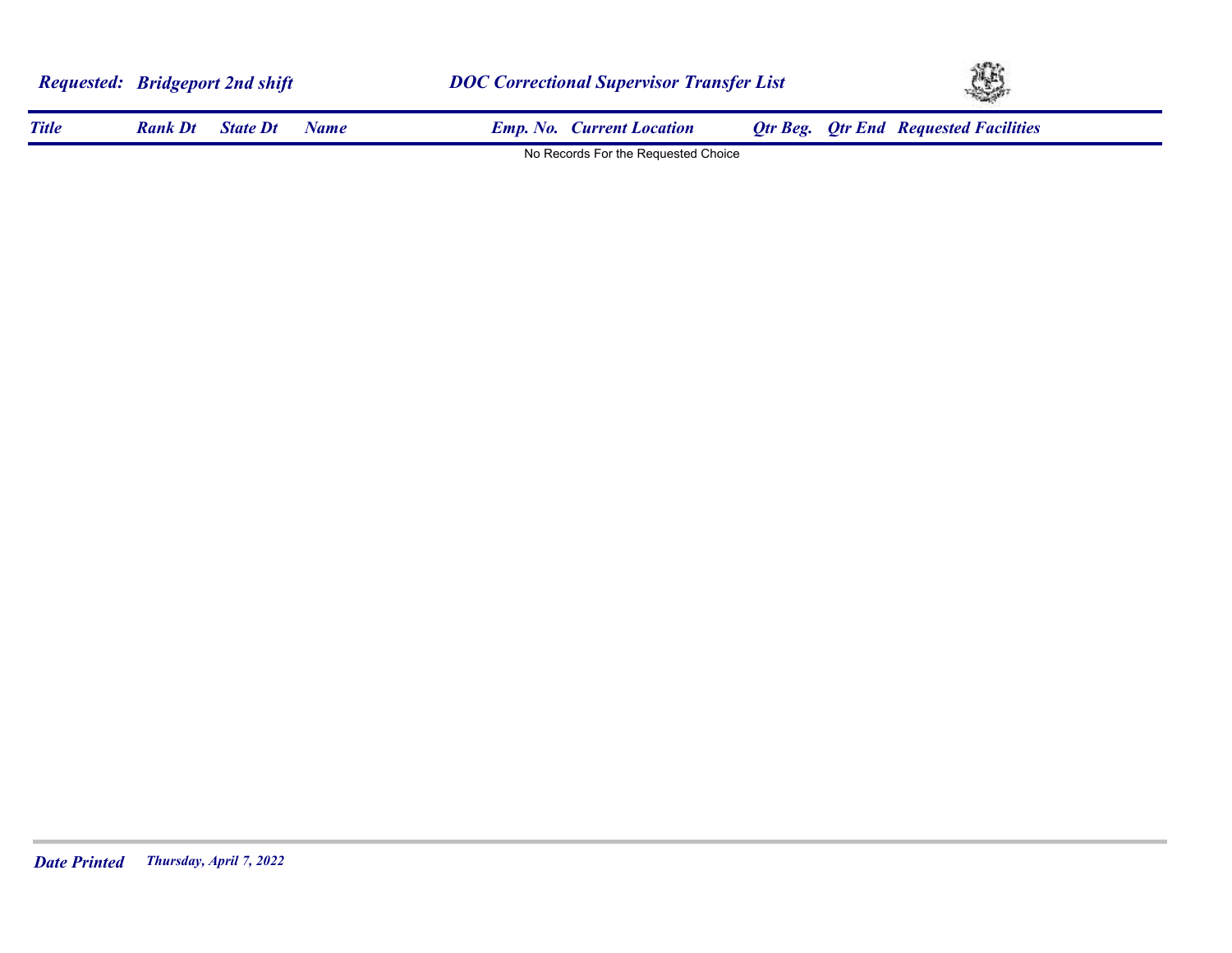|              | <b>Requested: Bridgeport 2nd shift</b> |                 |             |                                     | <b>DOC Correctional Supervisor Transfer List</b> |  |                                              | XB. |  |  |
|--------------|----------------------------------------|-----------------|-------------|-------------------------------------|--------------------------------------------------|--|----------------------------------------------|-----|--|--|
| <b>Title</b> | <b>Rank Dt</b>                         | <b>State Dt</b> | <b>Name</b> | <b>Emp. No. Current Location</b>    |                                                  |  | <b>Otr Beg.</b> Otr End Requested Facilities |     |  |  |
|              |                                        |                 |             | No Records For the Requested Choice |                                                  |  |                                              |     |  |  |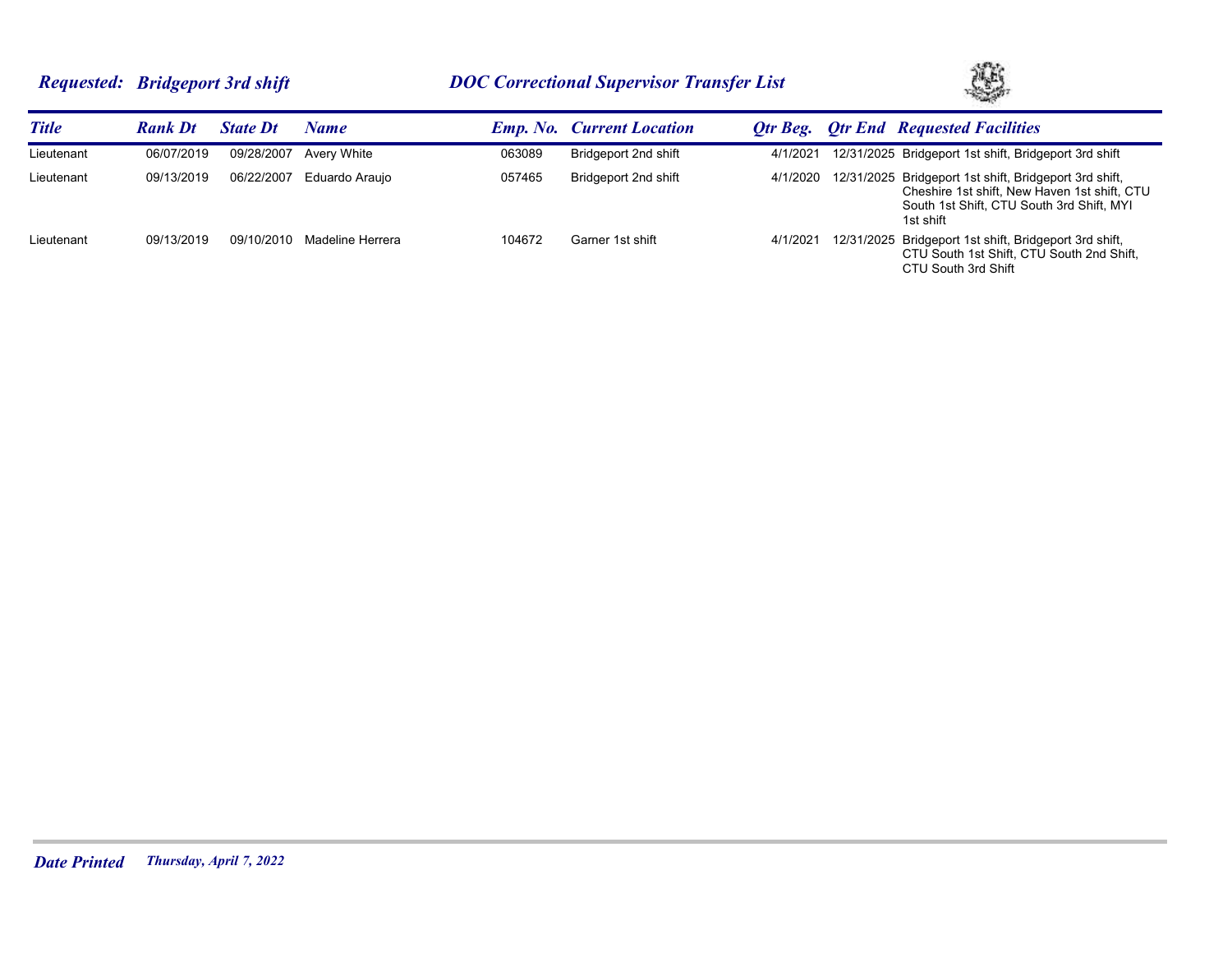# *Requested: Bridgeport 3rd shift DOC Correctional Supervisor Transfer List*



| <b>Title</b> | <b>Rank Dt</b> | <b>State Dt</b> | Name             |        | <b>Emp. No. Current Location</b> |          | <b>Otr Beg.</b> Otr End Requested Facilities                                                                                                                     |
|--------------|----------------|-----------------|------------------|--------|----------------------------------|----------|------------------------------------------------------------------------------------------------------------------------------------------------------------------|
| Lieutenant   | 06/07/2019     | 09/28/2007      | Avery White      | 063089 | Bridgeport 2nd shift             | 4/1/2021 | 12/31/2025 Bridgeport 1st shift, Bridgeport 3rd shift                                                                                                            |
| Lieutenant   | 09/13/2019     | 06/22/2007      | Eduardo Arauio   | 057465 | Bridgeport 2nd shift             | 4/1/2020 | 12/31/2025 Bridgeport 1st shift, Bridgeport 3rd shift,<br>Cheshire 1st shift, New Haven 1st shift, CTU<br>South 1st Shift. CTU South 3rd Shift. MYI<br>1st shift |
| Lieutenant   | 09/13/2019     | 09/10/2010      | Madeline Herrera | 104672 | Garner 1st shift                 | 4/1/2021 | 12/31/2025 Bridgeport 1st shift, Bridgeport 3rd shift,<br>CTU South 1st Shift, CTU South 2nd Shift,<br>CTU South 3rd Shift                                       |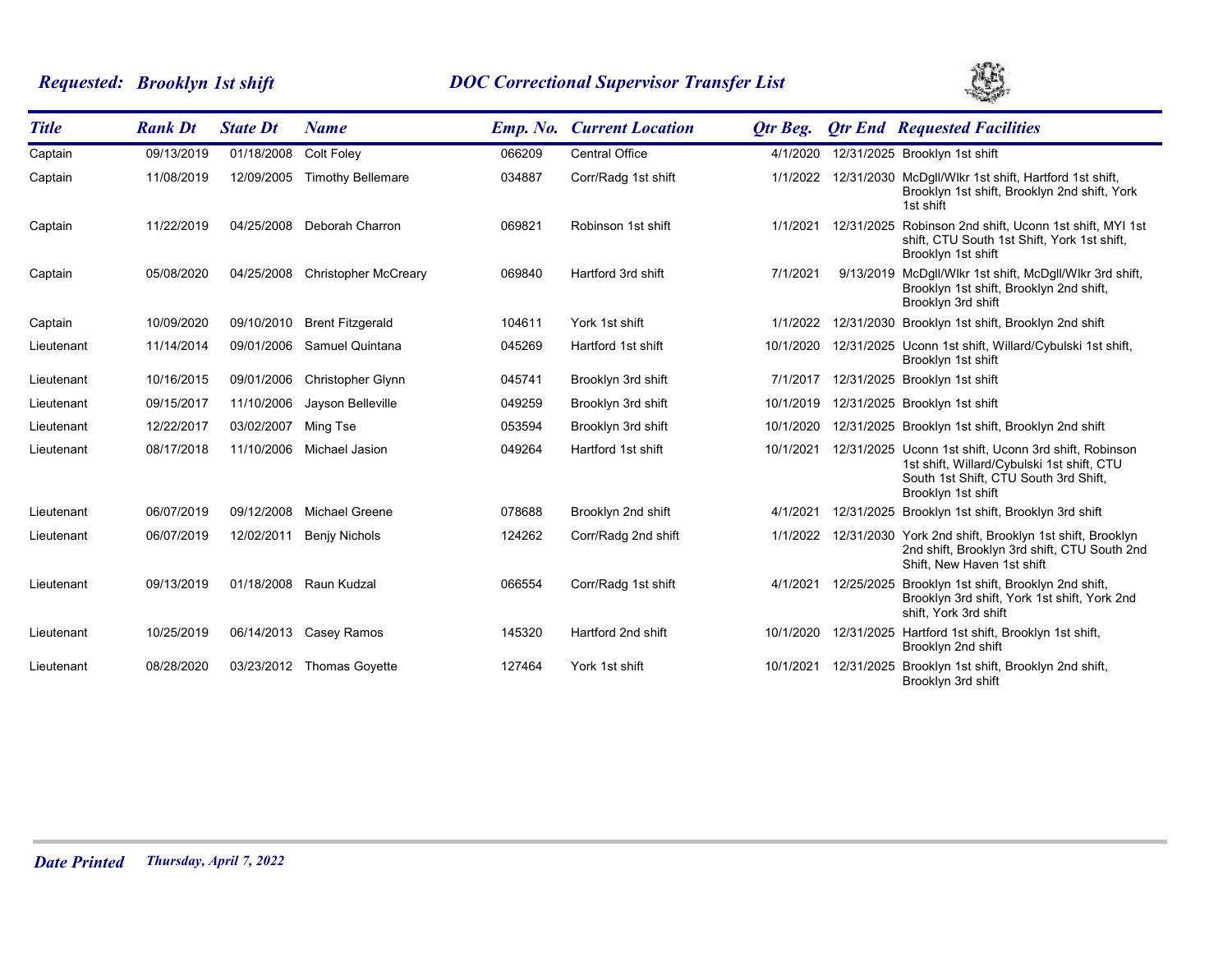# *Requested: Brooklyn 1st shift DOC Correctional Supervisor Transfer List*



| <b>Title</b> | <b>Rank Dt</b> | <b>State Dt</b> | <b>Name</b>                 |        | <b>Emp. No. Current Location</b> | Otr Beg.  |            | <b>Qtr End Requested Facilities</b>                                                                                                                                |
|--------------|----------------|-----------------|-----------------------------|--------|----------------------------------|-----------|------------|--------------------------------------------------------------------------------------------------------------------------------------------------------------------|
| Captain      | 09/13/2019     | 01/18/2008      | <b>Colt Foley</b>           | 066209 | <b>Central Office</b>            | 4/1/2020  |            | 12/31/2025 Brooklyn 1st shift                                                                                                                                      |
| Captain      | 11/08/2019     | 12/09/2005      | <b>Timothy Bellemare</b>    | 034887 | Corr/Radg 1st shift              | 1/1/2022  |            | 12/31/2030 McDqll/Wlkr 1st shift, Hartford 1st shift,<br>Brooklyn 1st shift, Brooklyn 2nd shift, York<br>1st shift                                                 |
| Captain      | 11/22/2019     | 04/25/2008      | Deborah Charron             | 069821 | Robinson 1st shift               | 1/1/2021  | 12/31/2025 | Robinson 2nd shift, Uconn 1st shift, MYI 1st<br>shift, CTU South 1st Shift, York 1st shift,<br>Brooklyn 1st shift                                                  |
| Captain      | 05/08/2020     | 04/25/2008      | <b>Christopher McCreary</b> | 069840 | Hartford 3rd shift               | 7/1/2021  |            | 9/13/2019 McDgll/Wlkr 1st shift, McDgll/Wlkr 3rd shift,<br>Brooklyn 1st shift, Brooklyn 2nd shift,<br>Brooklyn 3rd shift                                           |
| Captain      | 10/09/2020     | 09/10/2010      | <b>Brent Fitzgerald</b>     | 104611 | York 1st shift                   | 1/1/2022  |            | 12/31/2030 Brooklyn 1st shift, Brooklyn 2nd shift                                                                                                                  |
| Lieutenant   | 11/14/2014     | 09/01/2006      | Samuel Quintana             | 045269 | Hartford 1st shift               | 10/1/2020 |            | 12/31/2025 Uconn 1st shift, Willard/Cybulski 1st shift,<br>Brooklyn 1st shift                                                                                      |
| Lieutenant   | 10/16/2015     | 09/01/2006      | Christopher Glynn           | 045741 | Brooklyn 3rd shift               | 7/1/2017  |            | 12/31/2025 Brooklyn 1st shift                                                                                                                                      |
| Lieutenant   | 09/15/2017     | 11/10/2006      | Jayson Belleville           | 049259 | Brooklyn 3rd shift               | 10/1/2019 |            | 12/31/2025 Brooklyn 1st shift                                                                                                                                      |
| Lieutenant   | 12/22/2017     | 03/02/2007      | Ming Tse                    | 053594 | Brooklyn 3rd shift               | 10/1/2020 |            | 12/31/2025 Brooklyn 1st shift, Brooklyn 2nd shift                                                                                                                  |
| Lieutenant   | 08/17/2018     | 11/10/2006      | Michael Jasion              | 049264 | Hartford 1st shift               | 10/1/2021 |            | 12/31/2025 Uconn 1st shift, Uconn 3rd shift, Robinson<br>1st shift, Willard/Cybulski 1st shift, CTU<br>South 1st Shift, CTU South 3rd Shift,<br>Brooklyn 1st shift |
| Lieutenant   | 06/07/2019     | 09/12/2008      | Michael Greene              | 078688 | Brooklyn 2nd shift               | 4/1/2021  |            | 12/31/2025 Brooklyn 1st shift, Brooklyn 3rd shift                                                                                                                  |
| Lieutenant   | 06/07/2019     | 12/02/2011      | Benjy Nichols               | 124262 | Corr/Radg 2nd shift              | 1/1/2022  |            | 12/31/2030 York 2nd shift, Brooklyn 1st shift, Brooklyn<br>2nd shift, Brooklyn 3rd shift, CTU South 2nd<br>Shift, New Haven 1st shift                              |
| Lieutenant   | 09/13/2019     | 01/18/2008      | Raun Kudzal                 | 066554 | Corr/Radg 1st shift              | 4/1/2021  |            | 12/25/2025 Brooklyn 1st shift, Brooklyn 2nd shift,<br>Brooklyn 3rd shift, York 1st shift, York 2nd<br>shift, York 3rd shift                                        |
| Lieutenant   | 10/25/2019     | 06/14/2013      | Casey Ramos                 | 145320 | Hartford 2nd shift               | 10/1/2020 |            | 12/31/2025 Hartford 1st shift, Brooklyn 1st shift,<br>Brooklyn 2nd shift                                                                                           |
| Lieutenant   | 08/28/2020     | 03/23/2012      | <b>Thomas Govette</b>       | 127464 | York 1st shift                   | 10/1/2021 | 12/31/2025 | Brooklyn 1st shift, Brooklyn 2nd shift,<br>Brooklyn 3rd shift                                                                                                      |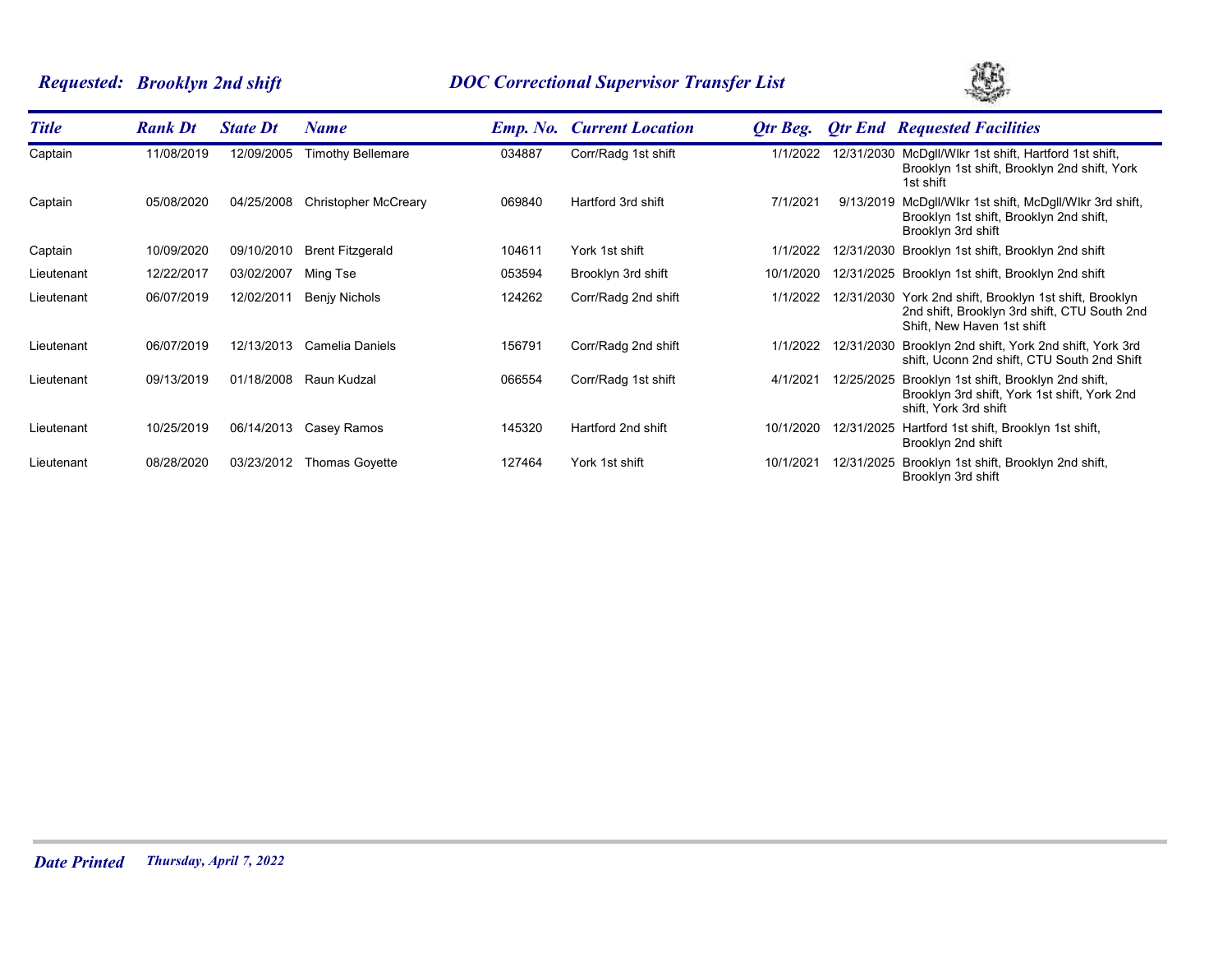# *Requested: Brooklyn 2nd shift DOC Correctional Supervisor Transfer List*



| <b>Title</b> | <b>Rank Dt</b> | <b>State Dt</b> | Name                        |        | <b>Emp. No. Current Location</b> | Otr Beg.  |            | <b>Otr End Requested Facilities</b>                                                                                                   |
|--------------|----------------|-----------------|-----------------------------|--------|----------------------------------|-----------|------------|---------------------------------------------------------------------------------------------------------------------------------------|
| Captain      | 11/08/2019     | 12/09/2005      | <b>Timothy Bellemare</b>    | 034887 | Corr/Radg 1st shift              | 1/1/2022  |            | 12/31/2030 McDgll/Wlkr 1st shift, Hartford 1st shift,<br>Brooklyn 1st shift, Brooklyn 2nd shift, York<br>1st shift                    |
| Captain      | 05/08/2020     | 04/25/2008      | <b>Christopher McCreary</b> | 069840 | Hartford 3rd shift               | 7/1/2021  |            | 9/13/2019 McDgll/Wlkr 1st shift, McDgll/Wlkr 3rd shift,<br>Brooklyn 1st shift, Brooklyn 2nd shift,<br>Brooklyn 3rd shift              |
| Captain      | 10/09/2020     | 09/10/2010      | <b>Brent Fitzgerald</b>     | 104611 | York 1st shift                   | 1/1/2022  |            | 12/31/2030 Brooklyn 1st shift, Brooklyn 2nd shift                                                                                     |
| Lieutenant   | 12/22/2017     | 03/02/2007      | Ming Tse                    | 053594 | Brooklyn 3rd shift               | 10/1/2020 |            | 12/31/2025 Brooklyn 1st shift, Brooklyn 2nd shift                                                                                     |
| Lieutenant   | 06/07/2019     | 12/02/2011      | Benjy Nichols               | 124262 | Corr/Radg 2nd shift              | 1/1/2022  |            | 12/31/2030 York 2nd shift, Brooklyn 1st shift, Brooklyn<br>2nd shift, Brooklyn 3rd shift, CTU South 2nd<br>Shift, New Haven 1st shift |
| Lieutenant   | 06/07/2019     | 12/13/2013      | Camelia Daniels             | 156791 | Corr/Radg 2nd shift              | 1/1/2022  |            | 12/31/2030 Brooklyn 2nd shift, York 2nd shift, York 3rd<br>shift, Uconn 2nd shift, CTU South 2nd Shift                                |
| Lieutenant   | 09/13/2019     | 01/18/2008      | Raun Kudzal                 | 066554 | Corr/Radg 1st shift              | 4/1/2021  | 12/25/2025 | Brooklyn 1st shift, Brooklyn 2nd shift,<br>Brooklyn 3rd shift, York 1st shift, York 2nd<br>shift, York 3rd shift                      |
| Lieutenant   | 10/25/2019     | 06/14/2013      | Casey Ramos                 | 145320 | Hartford 2nd shift               | 10/1/2020 | 12/31/2025 | Hartford 1st shift, Brooklyn 1st shift,<br>Brooklyn 2nd shift                                                                         |
| Lieutenant   | 08/28/2020     | 03/23/2012      | <b>Thomas Goyette</b>       | 127464 | York 1st shift                   | 10/1/2021 | 12/31/2025 | Brooklyn 1st shift, Brooklyn 2nd shift,<br>Brooklyn 3rd shift                                                                         |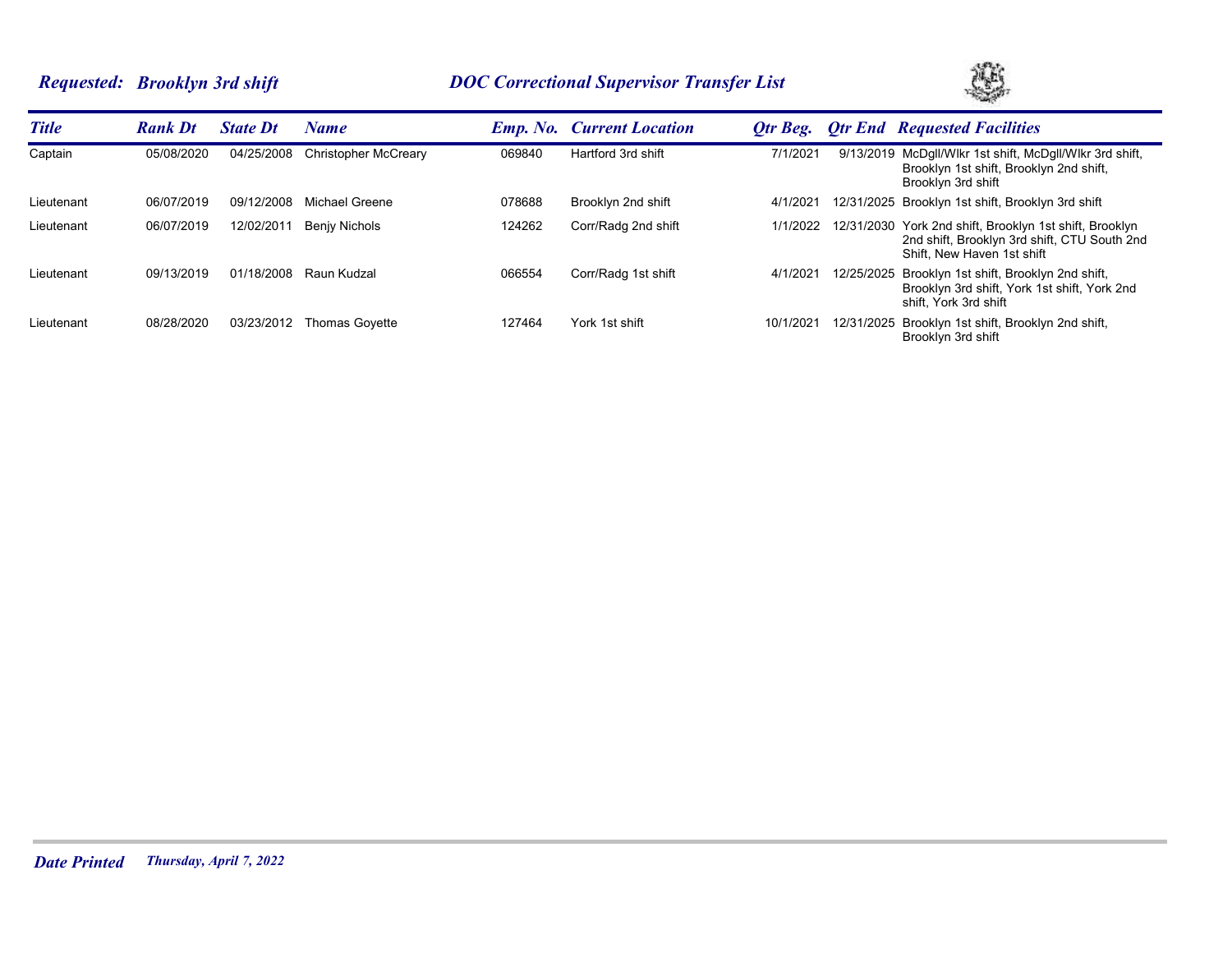# *Requested: Brooklyn 3rd shift DOC Correctional Supervisor Transfer List*



| <b>Title</b> | <b>Rank Dt</b> | <b>State Dt</b> | <b>Name</b>                 |        | <b>Emp. No. Current Location</b> | Otr Beg. | <b>Otr End Requested Facilities</b>                                                                                                   |
|--------------|----------------|-----------------|-----------------------------|--------|----------------------------------|----------|---------------------------------------------------------------------------------------------------------------------------------------|
| Captain      | 05/08/2020     | 04/25/2008      | <b>Christopher McCreary</b> | 069840 | Hartford 3rd shift               | 7/1/2021 | 9/13/2019 McDgll/Wlkr 1st shift, McDgll/Wlkr 3rd shift,<br>Brooklyn 1st shift, Brooklyn 2nd shift,<br>Brooklyn 3rd shift              |
| Lieutenant   | 06/07/2019     | 09/12/2008      | Michael Greene              | 078688 | Brooklyn 2nd shift               | 4/1/202  | 12/31/2025 Brooklyn 1st shift, Brooklyn 3rd shift                                                                                     |
| Lieutenant   | 06/07/2019     | 12/02/2011      | Benjy Nichols               | 124262 | Corr/Radg 2nd shift              | 1/1/2022 | 12/31/2030 York 2nd shift, Brooklyn 1st shift, Brooklyn<br>2nd shift, Brooklyn 3rd shift, CTU South 2nd<br>Shift. New Haven 1st shift |
| Lieutenant   | 09/13/2019     | 01/18/2008      | Raun Kudzal                 | 066554 | Corr/Radg 1st shift              | 4/1/2021 | 12/25/2025 Brooklyn 1st shift, Brooklyn 2nd shift,<br>Brooklyn 3rd shift, York 1st shift, York 2nd<br>shift. York 3rd shift           |
| Lieutenant   | 08/28/2020     | 03/23/2012      | Thomas Goyette              | 127464 | York 1st shift                   | 10/1/202 | 12/31/2025 Brooklyn 1st shift, Brooklyn 2nd shift,<br>Brooklyn 3rd shift                                                              |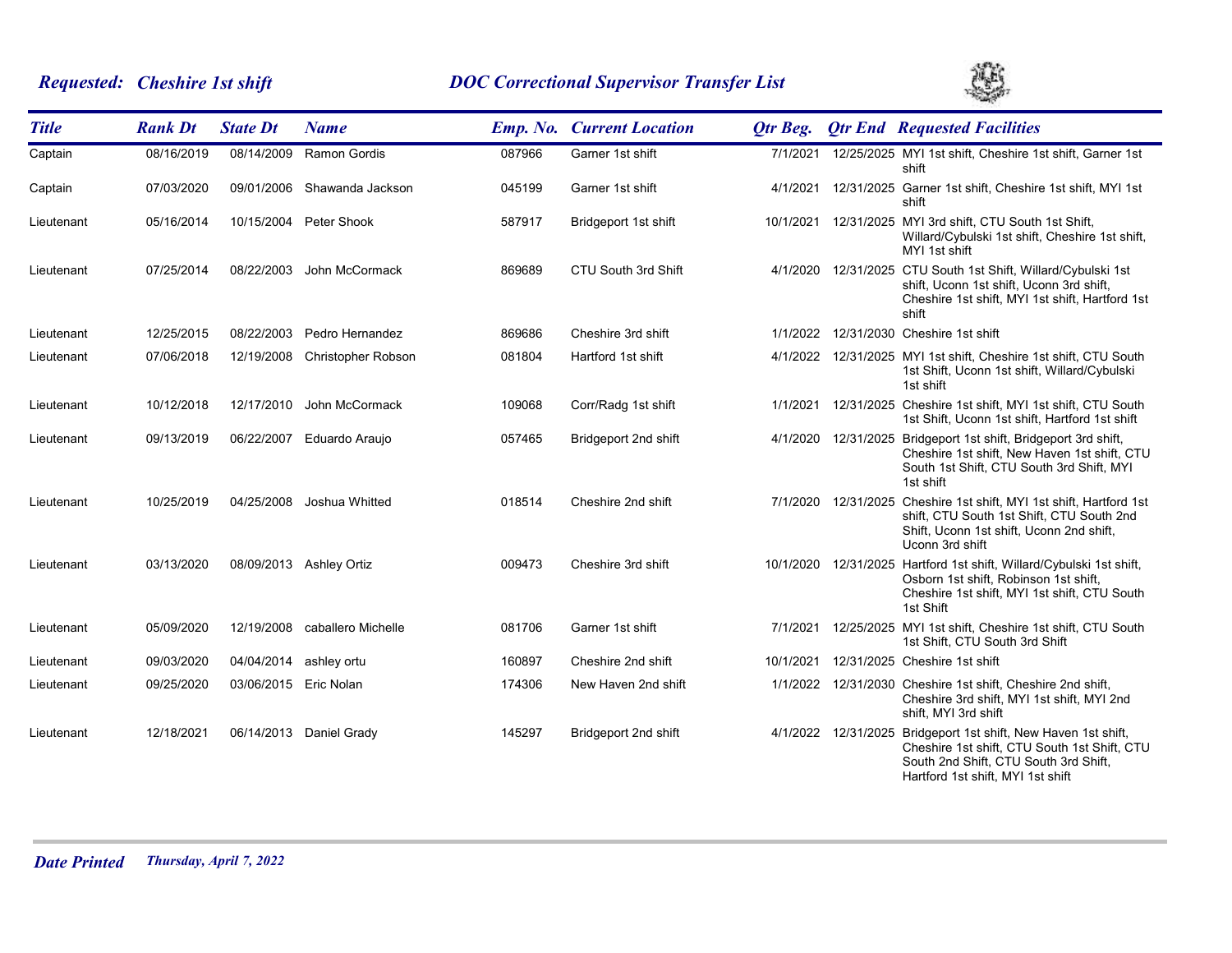# *Requested: Cheshire 1st shift DOC Correctional Supervisor Transfer List*



| <b>Title</b> | <b>Rank Dt</b> | <b>State Dt</b>        | <b>Name</b>                   |        | <b>Emp. No. Current Location</b> | Otr Beg.  |                     | <b>Otr End Requested Facilities</b>                                                                                                                                                          |
|--------------|----------------|------------------------|-------------------------------|--------|----------------------------------|-----------|---------------------|----------------------------------------------------------------------------------------------------------------------------------------------------------------------------------------------|
| Captain      | 08/16/2019     | 08/14/2009             | <b>Ramon Gordis</b>           | 087966 | Garner 1st shift                 | 7/1/2021  |                     | 12/25/2025 MYI 1st shift, Cheshire 1st shift, Garner 1st<br>shift                                                                                                                            |
| Captain      | 07/03/2020     |                        | 09/01/2006 Shawanda Jackson   | 045199 | Garner 1st shift                 |           |                     | 4/1/2021 12/31/2025 Garner 1st shift, Cheshire 1st shift, MYI 1st<br>shift                                                                                                                   |
| Lieutenant   | 05/16/2014     |                        | 10/15/2004 Peter Shook        | 587917 | Bridgeport 1st shift             |           |                     | 10/1/2021 12/31/2025 MYI 3rd shift, CTU South 1st Shift,<br>Willard/Cybulski 1st shift, Cheshire 1st shift,<br>MYI 1st shift                                                                 |
| Lieutenant   | 07/25/2014     | 08/22/2003             | John McCormack                | 869689 | CTU South 3rd Shift              |           |                     | 4/1/2020 12/31/2025 CTU South 1st Shift, Willard/Cybulski 1st<br>shift, Uconn 1st shift, Uconn 3rd shift,<br>Cheshire 1st shift, MYI 1st shift, Hartford 1st<br>shift                        |
| Lieutenant   | 12/25/2015     | 08/22/2003             | Pedro Hernandez               | 869686 | Cheshire 3rd shift               | 1/1/2022  |                     | 12/31/2030 Cheshire 1st shift                                                                                                                                                                |
| Lieutenant   | 07/06/2018     |                        | 12/19/2008 Christopher Robson | 081804 | Hartford 1st shift               |           |                     | 4/1/2022 12/31/2025 MYI 1st shift, Cheshire 1st shift, CTU South<br>1st Shift, Uconn 1st shift, Willard/Cybulski<br>1st shift                                                                |
| Lieutenant   | 10/12/2018     | 12/17/2010             | John McCormack                | 109068 | Corr/Radg 1st shift              |           |                     | 1/1/2021 12/31/2025 Cheshire 1st shift, MYI 1st shift, CTU South<br>1st Shift, Uconn 1st shift, Hartford 1st shift                                                                           |
| Lieutenant   | 09/13/2019     | 06/22/2007             | Eduardo Araujo                | 057465 | Bridgeport 2nd shift             |           |                     | 4/1/2020 12/31/2025 Bridgeport 1st shift, Bridgeport 3rd shift,<br>Cheshire 1st shift, New Haven 1st shift, CTU<br>South 1st Shift, CTU South 3rd Shift, MYI<br>1st shift                    |
| Lieutenant   | 10/25/2019     | 04/25/2008             | Joshua Whitted                | 018514 | Cheshire 2nd shift               |           | 7/1/2020 12/31/2025 | Cheshire 1st shift, MYI 1st shift, Hartford 1st<br>shift, CTU South 1st Shift, CTU South 2nd<br>Shift, Uconn 1st shift, Uconn 2nd shift,<br>Uconn 3rd shift                                  |
| Lieutenant   | 03/13/2020     |                        | 08/09/2013 Ashley Ortiz       | 009473 | Cheshire 3rd shift               |           |                     | 10/1/2020 12/31/2025 Hartford 1st shift, Willard/Cybulski 1st shift,<br>Osborn 1st shift, Robinson 1st shift,<br>Cheshire 1st shift, MYI 1st shift, CTU South<br>1st Shift                   |
| Lieutenant   | 05/09/2020     | 12/19/2008             | caballero Michelle            | 081706 | Garner 1st shift                 | 7/1/2021  |                     | 12/25/2025 MYI 1st shift, Cheshire 1st shift, CTU South<br>1st Shift, CTU South 3rd Shift                                                                                                    |
| Lieutenant   | 09/03/2020     | 04/04/2014 ashley ortu |                               | 160897 | Cheshire 2nd shift               | 10/1/2021 |                     | 12/31/2025 Cheshire 1st shift                                                                                                                                                                |
| Lieutenant   | 09/25/2020     | 03/06/2015 Eric Nolan  |                               | 174306 | New Haven 2nd shift              |           |                     | 1/1/2022 12/31/2030 Cheshire 1st shift, Cheshire 2nd shift,<br>Cheshire 3rd shift, MYI 1st shift, MYI 2nd<br>shift, MYI 3rd shift                                                            |
| Lieutenant   | 12/18/2021     |                        | 06/14/2013 Daniel Grady       | 145297 | Bridgeport 2nd shift             |           |                     | 4/1/2022 12/31/2025 Bridgeport 1st shift, New Haven 1st shift,<br>Cheshire 1st shift, CTU South 1st Shift, CTU<br>South 2nd Shift, CTU South 3rd Shift,<br>Hartford 1st shift, MYI 1st shift |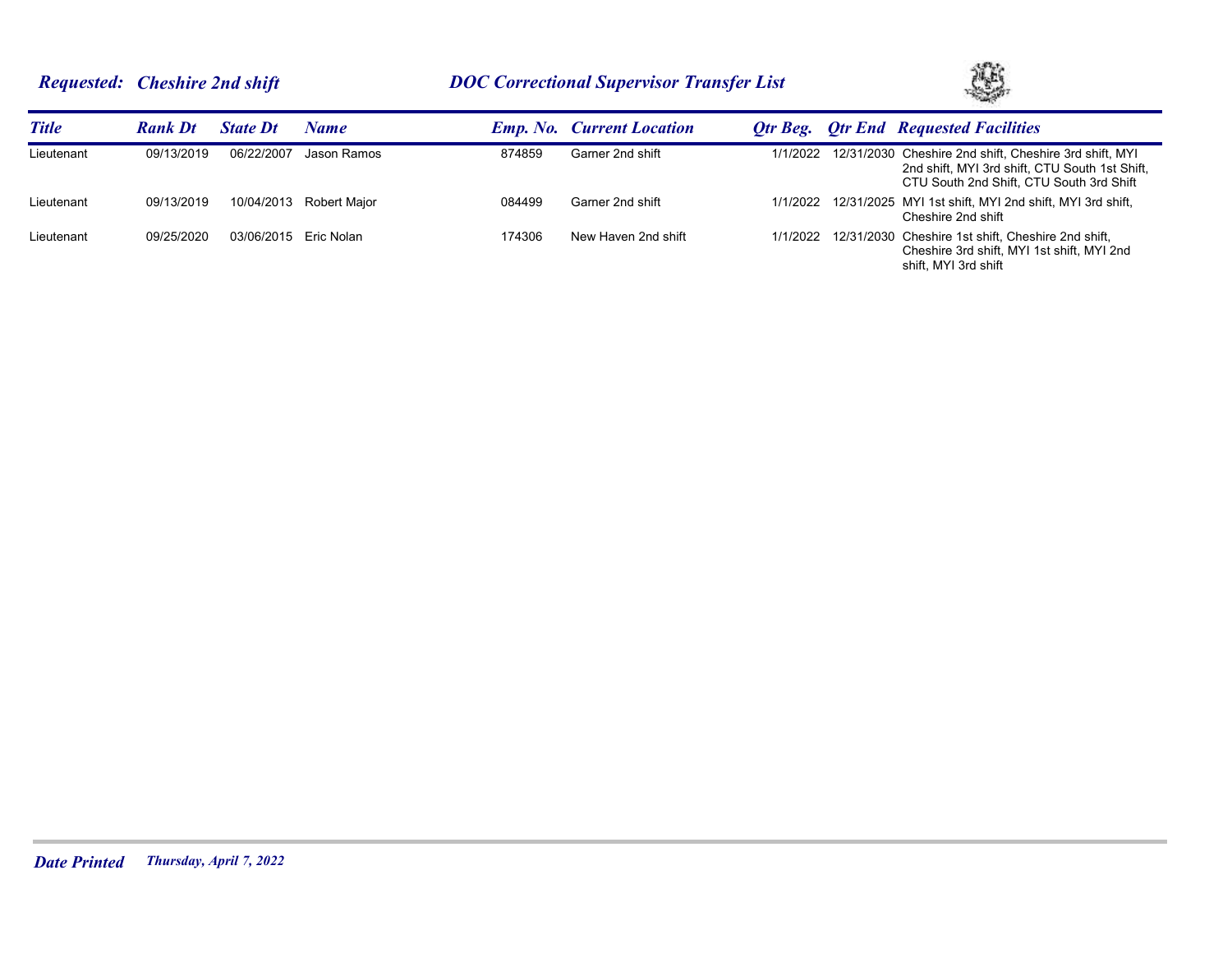# *Requested: Cheshire 2nd shift DOC Correctional Supervisor Transfer List*



| <b>Title</b> | <b>Rank Dt</b> | <b>State Dt</b>       | Name         |        | <b>Emp. No. Current Location</b> |  | <b>Otr Beg.</b> Otr End Requested Facilities                                                                                                                  |
|--------------|----------------|-----------------------|--------------|--------|----------------------------------|--|---------------------------------------------------------------------------------------------------------------------------------------------------------------|
| Lieutenant   | 09/13/2019     | 06/22/2007            | Jason Ramos  | 874859 | Garner 2nd shift                 |  | 1/1/2022 12/31/2030 Cheshire 2nd shift, Cheshire 3rd shift, MYI<br>2nd shift, MYI 3rd shift, CTU South 1st Shift,<br>CTU South 2nd Shift, CTU South 3rd Shift |
| Lieutenant   | 09/13/2019     | 10/04/2013            | Robert Major | 084499 | Garner 2nd shift                 |  | 1/1/2022 12/31/2025 MYI 1st shift, MYI 2nd shift, MYI 3rd shift,<br>Cheshire 2nd shift                                                                        |
| Lieutenant   | 09/25/2020     | 03/06/2015 Eric Nolan |              | 174306 | New Haven 2nd shift              |  | 1/1/2022 12/31/2030 Cheshire 1st shift, Cheshire 2nd shift,<br>Cheshire 3rd shift. MYI 1st shift. MYI 2nd<br>shift. MYI 3rd shift                             |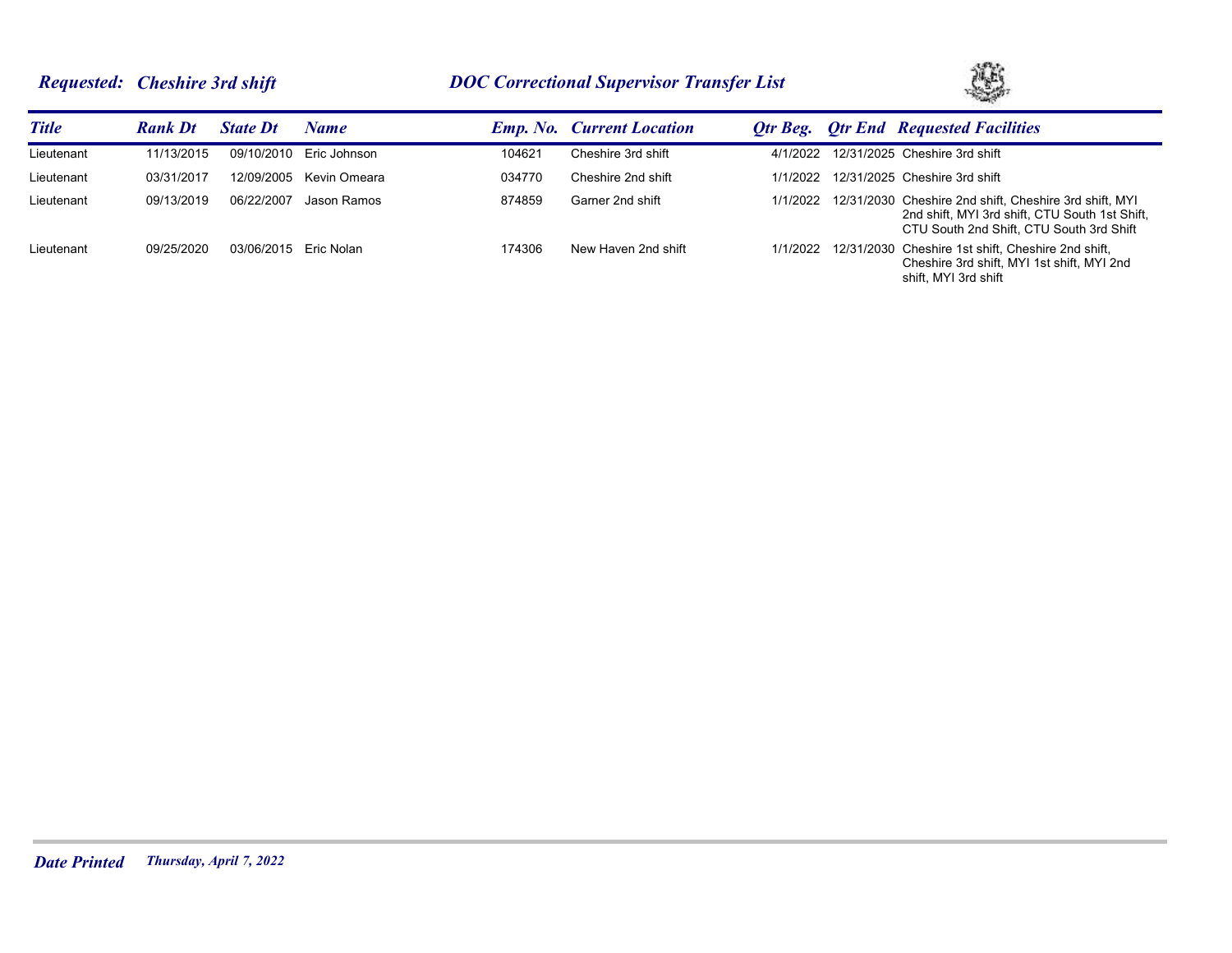# *Requested: Cheshire 3rd shift DOC Correctional Supervisor Transfer List*



| <b>Title</b> | <b>Rank Dt</b> | <b>State Dt</b> | Name         |        | <b>Emp. No. Current Location</b> |          | <b>Qtr Beg. Qtr End</b> Requested Facilities                                                                                                                  |
|--------------|----------------|-----------------|--------------|--------|----------------------------------|----------|---------------------------------------------------------------------------------------------------------------------------------------------------------------|
| Lieutenant   | 11/13/2015     | 09/10/2010      | Eric Johnson | 104621 | Cheshire 3rd shift               | 4/1/2022 | 12/31/2025 Cheshire 3rd shift                                                                                                                                 |
| Lieutenant   | 03/31/2017     | 12/09/2005      | Kevin Omeara | 034770 | Cheshire 2nd shift               | 1/1/2022 | 12/31/2025 Cheshire 3rd shift                                                                                                                                 |
| Lieutenant   | 09/13/2019     | 06/22/2007      | Jason Ramos  | 874859 | Garner 2nd shift                 |          | 1/1/2022 12/31/2030 Cheshire 2nd shift, Cheshire 3rd shift, MYI<br>2nd shift. MYI 3rd shift. CTU South 1st Shift.<br>CTU South 2nd Shift. CTU South 3rd Shift |
| Lieutenant   | 09/25/2020     | 03/06/2015      | Eric Nolan   | 174306 | New Haven 2nd shift              |          | 1/1/2022 12/31/2030 Cheshire 1st shift, Cheshire 2nd shift,<br>Cheshire 3rd shift, MYI 1st shift, MYI 2nd<br>shift. MYI 3rd shift                             |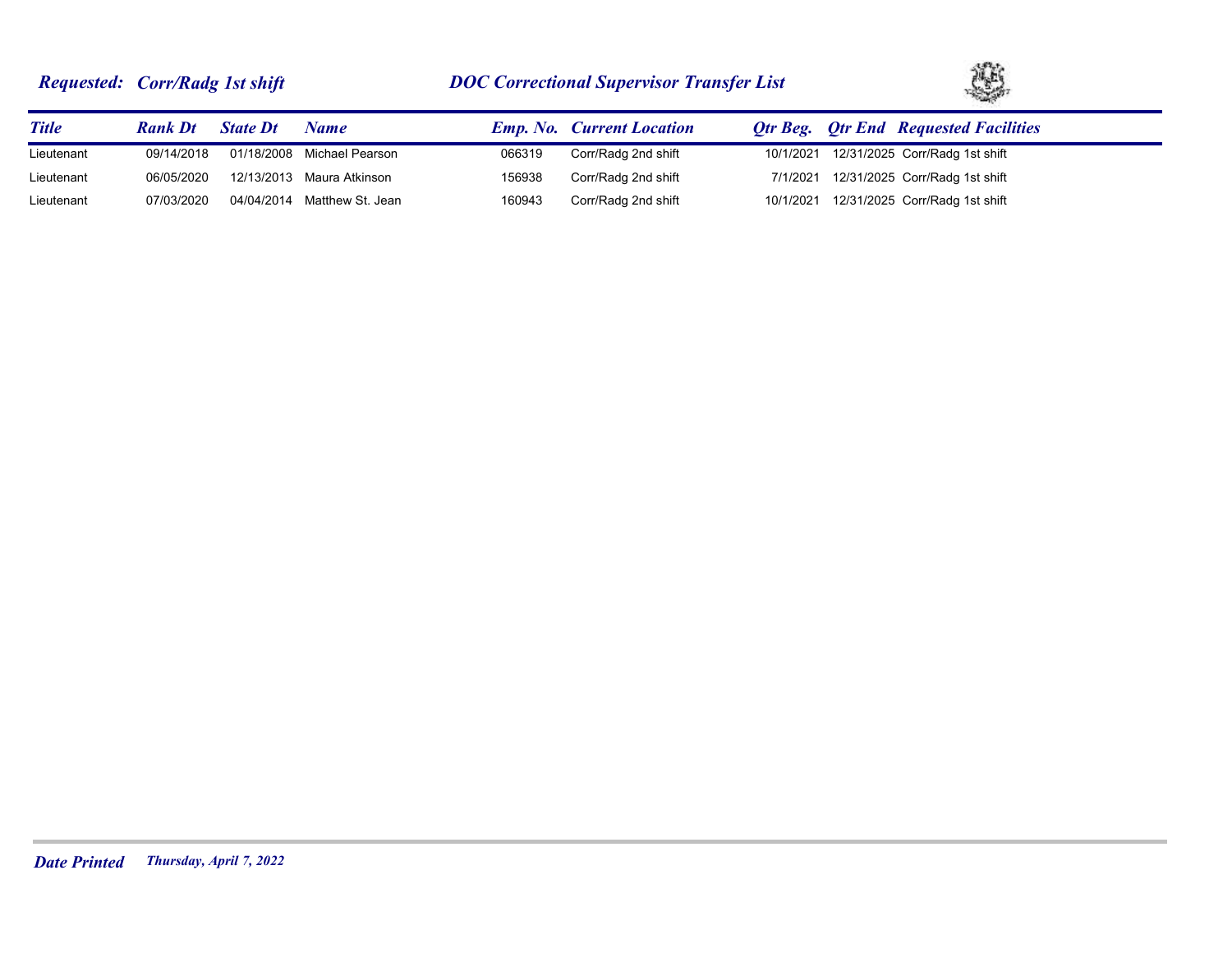# *Requested: Corr/Radg 1st shift DOC Correctional Supervisor Transfer List*



| <b>Title</b> | <b>Rank Dt</b> | <b>State Dt</b> | Name                        |        | <b>Emp. No.</b> Current Location | <b>Qtr Beg. Qtr End Requested Facilities</b> |
|--------------|----------------|-----------------|-----------------------------|--------|----------------------------------|----------------------------------------------|
| Lieutenant   | 09/14/2018     |                 | 01/18/2008 Michael Pearson  | 066319 | Corr/Radg 2nd shift              | 10/1/2021 12/31/2025 Corr/Radg 1st shift     |
| Lieutenant   | 06/05/2020     |                 | 12/13/2013 Maura Atkinson   | 156938 | Corr/Radg 2nd shift              | 7/1/2021 12/31/2025 Corr/Radg 1st shift      |
| Lieutenant   | 07/03/2020     |                 | 04/04/2014 Matthew St. Jean | 160943 | Corr/Radg 2nd shift              | 10/1/2021 12/31/2025 Corr/Radg 1st shift     |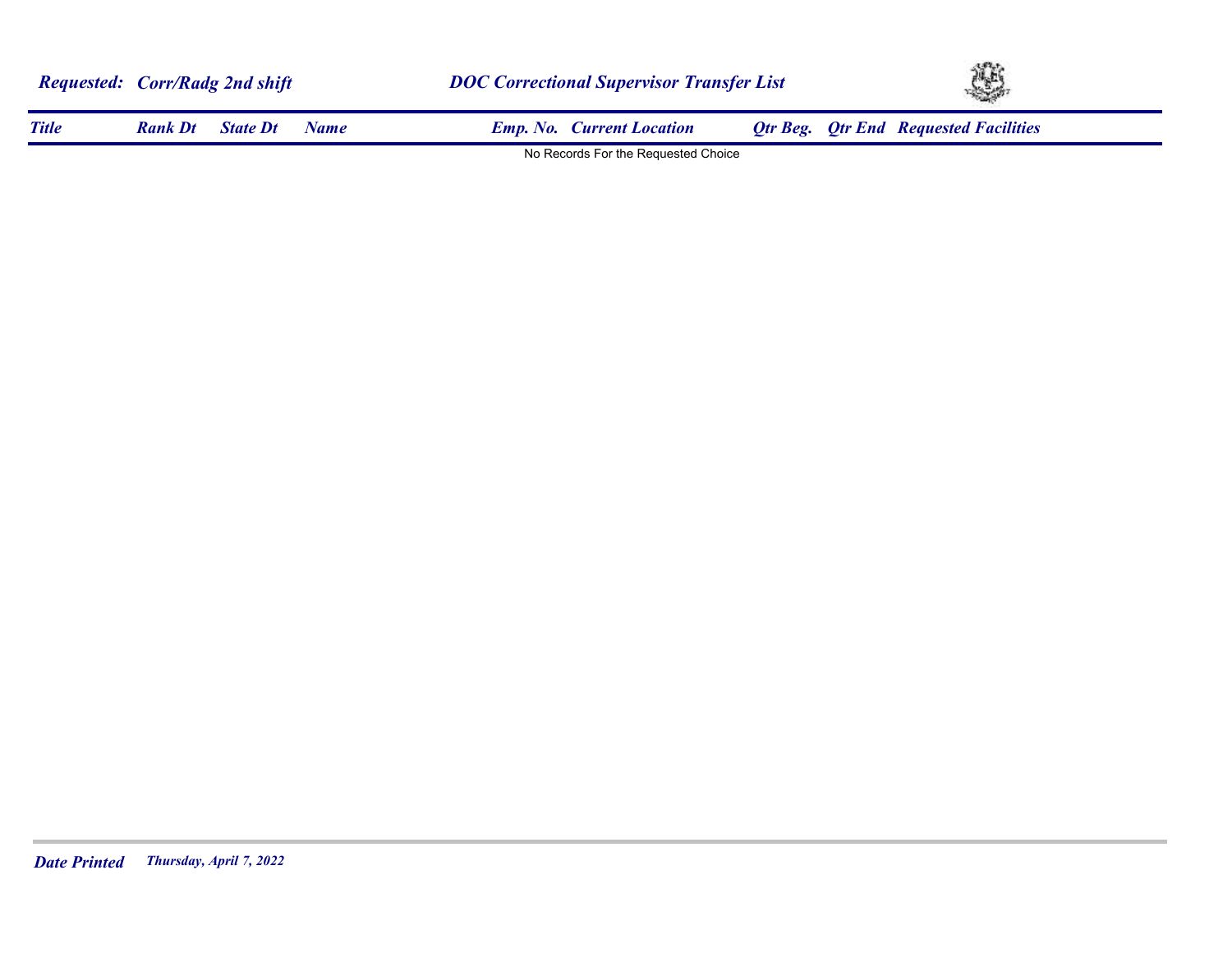| <b>Requested: Corr/Radg 2nd shift</b> |                |                 |             | <b>DOC Correctional Supervisor Transfer List</b> | YS. |                                              |  |
|---------------------------------------|----------------|-----------------|-------------|--------------------------------------------------|-----|----------------------------------------------|--|
| <b>Title</b>                          | <b>Rank Dt</b> | <b>State Dt</b> | <b>Name</b> | <b>Emp. No. Current Location</b>                 |     | <b>Qtr Beg. Qtr End Requested Facilities</b> |  |
|                                       |                |                 |             | No Records For the Requested Choice              |     |                                              |  |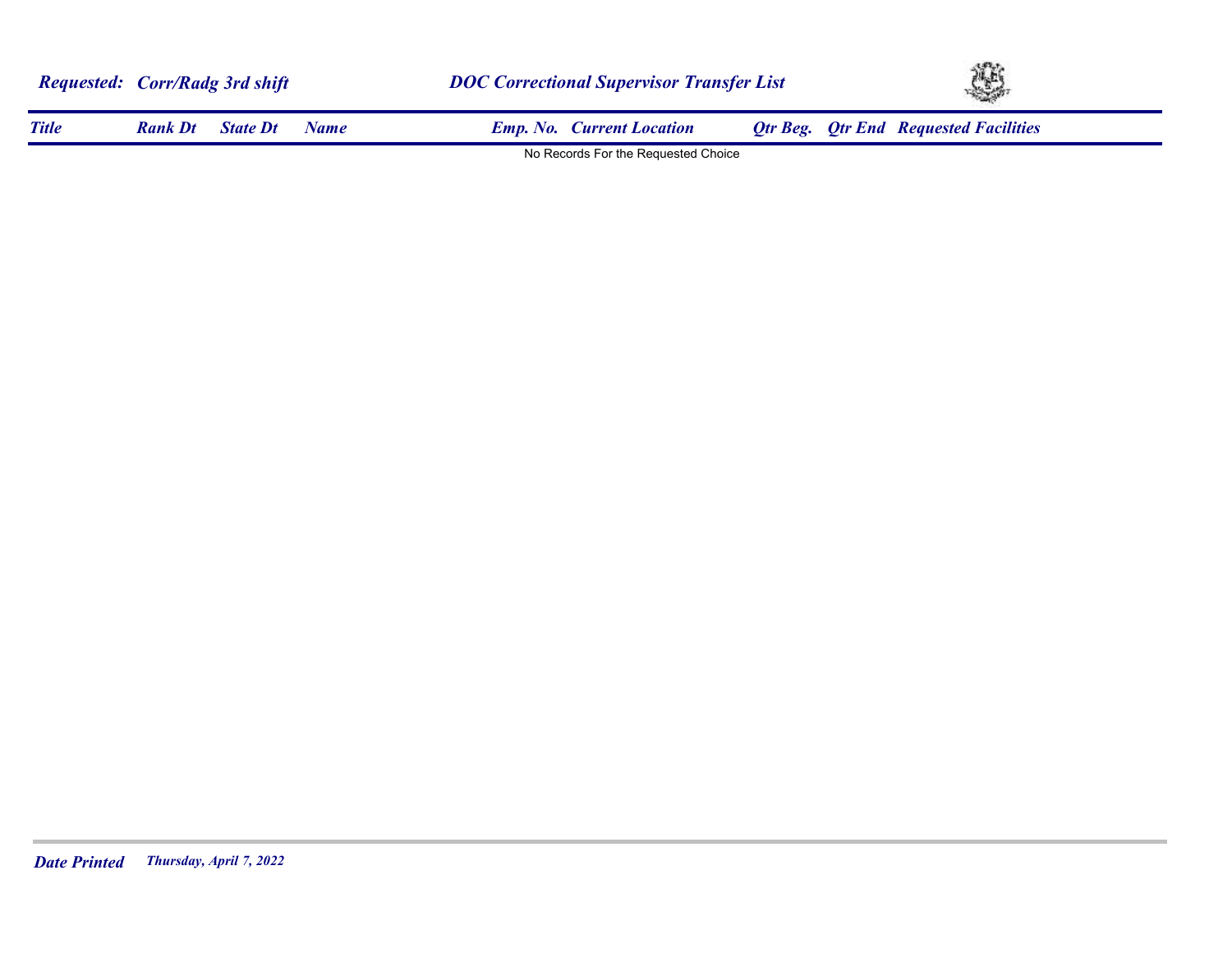| <b>Requested: Corr/Radg 3rd shift</b> |                |                 |             |                                     | <b>DOC Correctional Supervisor Transfer List</b> |  |                                              | YS. |  |  |
|---------------------------------------|----------------|-----------------|-------------|-------------------------------------|--------------------------------------------------|--|----------------------------------------------|-----|--|--|
| <b>Title</b>                          | <b>Rank Dt</b> | <b>State Dt</b> | <b>Name</b> | <b>Emp. No. Current Location</b>    |                                                  |  | <b>Qtr Beg. Qtr End Requested Facilities</b> |     |  |  |
|                                       |                |                 |             | No Records For the Requested Choice |                                                  |  |                                              |     |  |  |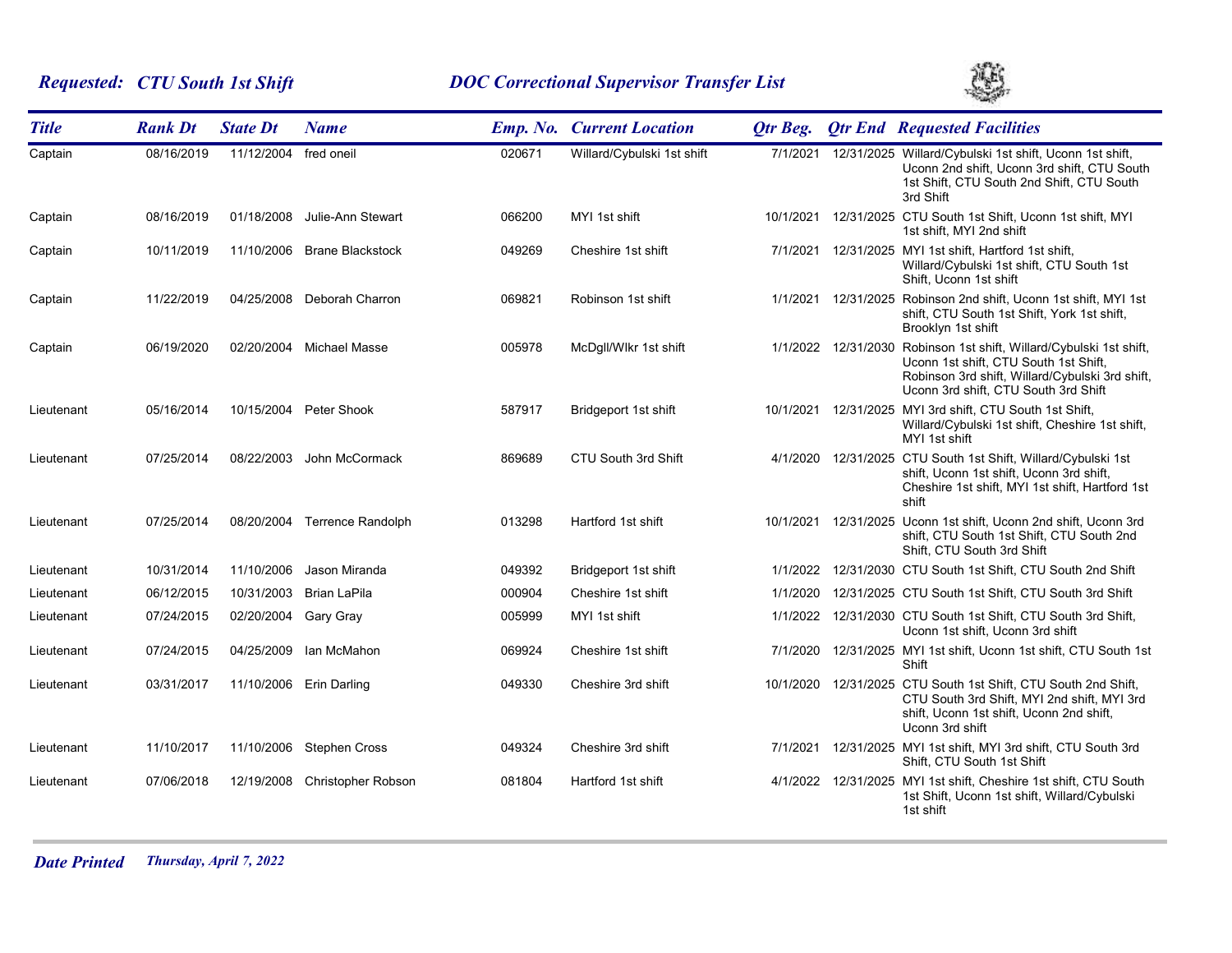# *Requested: CTU South 1st Shift DOC Correctional Supervisor Transfer List*



| <b>Title</b> | <b>Rank Dt</b> | <b>State Dt</b>       | <b>Name</b>                  |        | <b>Emp. No. Current Location</b> | <b>Qtr Beg.</b> |                     | <b>Qtr End Requested Facilities</b>                                                                                                                                                                     |
|--------------|----------------|-----------------------|------------------------------|--------|----------------------------------|-----------------|---------------------|---------------------------------------------------------------------------------------------------------------------------------------------------------------------------------------------------------|
| Captain      | 08/16/2019     | 11/12/2004 fred oneil |                              | 020671 | Willard/Cybulski 1st shift       | 7/1/2021        |                     | 12/31/2025 Willard/Cybulski 1st shift, Uconn 1st shift,<br>Uconn 2nd shift, Uconn 3rd shift, CTU South<br>1st Shift, CTU South 2nd Shift, CTU South<br>3rd Shift                                        |
| Captain      | 08/16/2019     | 01/18/2008            | Julie-Ann Stewart            | 066200 | MYI 1st shift                    | 10/1/2021       |                     | 12/31/2025 CTU South 1st Shift, Uconn 1st shift, MYI<br>1st shift, MYI 2nd shift                                                                                                                        |
| Captain      | 10/11/2019     | 11/10/2006            | Brane Blackstock             | 049269 | Cheshire 1st shift               |                 |                     | 7/1/2021 12/31/2025 MYI 1st shift, Hartford 1st shift,<br>Willard/Cybulski 1st shift, CTU South 1st<br>Shift, Uconn 1st shift                                                                           |
| Captain      | 11/22/2019     |                       | 04/25/2008 Deborah Charron   | 069821 | Robinson 1st shift               |                 | 1/1/2021 12/31/2025 | Robinson 2nd shift, Uconn 1st shift, MYI 1st<br>shift, CTU South 1st Shift, York 1st shift,<br>Brooklyn 1st shift                                                                                       |
| Captain      | 06/19/2020     | 02/20/2004            | Michael Masse                | 005978 | McDgll/Wlkr 1st shift            |                 |                     | 1/1/2022 12/31/2030 Robinson 1st shift, Willard/Cybulski 1st shift,<br>Uconn 1st shift, CTU South 1st Shift,<br>Robinson 3rd shift, Willard/Cybulski 3rd shift,<br>Uconn 3rd shift, CTU South 3rd Shift |
| Lieutenant   | 05/16/2014     |                       | 10/15/2004 Peter Shook       | 587917 | Bridgeport 1st shift             |                 |                     | 10/1/2021 12/31/2025 MYI 3rd shift, CTU South 1st Shift,<br>Willard/Cybulski 1st shift, Cheshire 1st shift,<br>MYI 1st shift                                                                            |
| Lieutenant   | 07/25/2014     | 08/22/2003            | John McCormack               | 869689 | CTU South 3rd Shift              |                 |                     | 4/1/2020 12/31/2025 CTU South 1st Shift, Willard/Cybulski 1st<br>shift, Uconn 1st shift, Uconn 3rd shift,<br>Cheshire 1st shift, MYI 1st shift, Hartford 1st<br>shift                                   |
| Lieutenant   | 07/25/2014     |                       | 08/20/2004 Terrence Randolph | 013298 | Hartford 1st shift               |                 |                     | 10/1/2021 12/31/2025 Uconn 1st shift, Uconn 2nd shift, Uconn 3rd<br>shift, CTU South 1st Shift, CTU South 2nd<br>Shift, CTU South 3rd Shift                                                             |
| Lieutenant   | 10/31/2014     | 11/10/2006            | Jason Miranda                | 049392 | Bridgeport 1st shift             |                 |                     | 1/1/2022 12/31/2030 CTU South 1st Shift, CTU South 2nd Shift                                                                                                                                            |
| Lieutenant   | 06/12/2015     | 10/31/2003            | Brian LaPila                 | 000904 | Cheshire 1st shift               | 1/1/2020        |                     | 12/31/2025 CTU South 1st Shift, CTU South 3rd Shift                                                                                                                                                     |
| Lieutenant   | 07/24/2015     | 02/20/2004            | Gary Gray                    | 005999 | MYI 1st shift                    |                 |                     | 1/1/2022 12/31/2030 CTU South 1st Shift, CTU South 3rd Shift,<br>Uconn 1st shift, Uconn 3rd shift                                                                                                       |
| Lieutenant   | 07/24/2015     | 04/25/2009            | Ian McMahon                  | 069924 | Cheshire 1st shift               | 7/1/2020        |                     | 12/31/2025 MYI 1st shift, Uconn 1st shift, CTU South 1st<br>Shift                                                                                                                                       |
| Lieutenant   | 03/31/2017     |                       | 11/10/2006 Erin Darling      | 049330 | Cheshire 3rd shift               |                 |                     | 10/1/2020 12/31/2025 CTU South 1st Shift, CTU South 2nd Shift,<br>CTU South 3rd Shift, MYI 2nd shift, MYI 3rd<br>shift, Uconn 1st shift, Uconn 2nd shift,<br>Uconn 3rd shift                            |
| Lieutenant   | 11/10/2017     |                       | 11/10/2006 Stephen Cross     | 049324 | Cheshire 3rd shift               | 7/1/2021        |                     | 12/31/2025 MYI 1st shift, MYI 3rd shift, CTU South 3rd<br>Shift, CTU South 1st Shift                                                                                                                    |
| Lieutenant   | 07/06/2018     | 12/19/2008            | Christopher Robson           | 081804 | Hartford 1st shift               |                 |                     | 4/1/2022 12/31/2025 MYI 1st shift, Cheshire 1st shift, CTU South<br>1st Shift, Uconn 1st shift, Willard/Cybulski<br>1st shift                                                                           |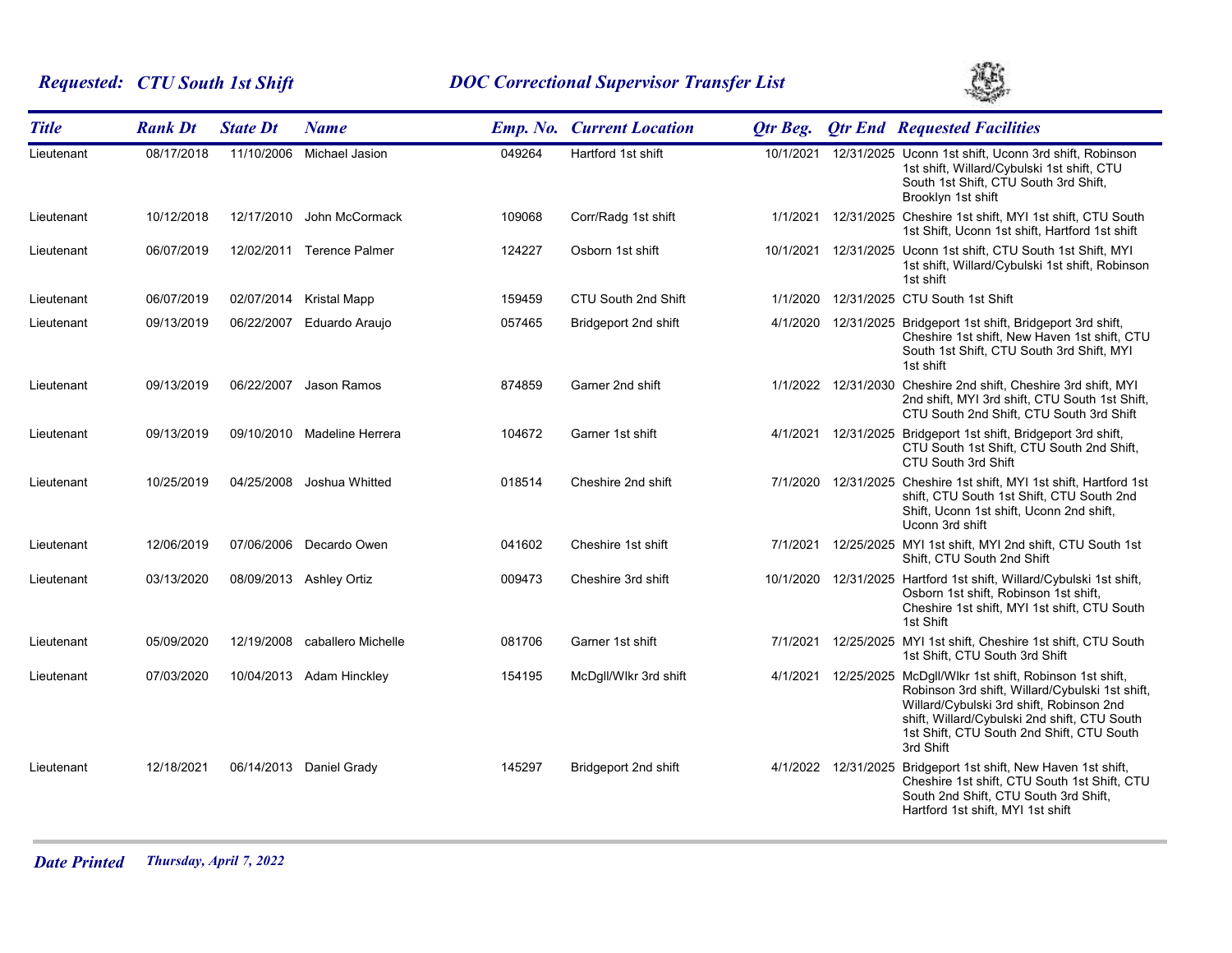# *Requested: CTU South 1st Shift DOC Correctional Supervisor Transfer List*



| <b>Title</b> | <b>Rank Dt</b> | <b>State Dt</b> | <b>Name</b>                 |        | <b>Emp. No. Current Location</b> | Otr Beg.  |                     | <b>Qtr End Requested Facilities</b>                                                                                                                                                                                                                            |
|--------------|----------------|-----------------|-----------------------------|--------|----------------------------------|-----------|---------------------|----------------------------------------------------------------------------------------------------------------------------------------------------------------------------------------------------------------------------------------------------------------|
| Lieutenant   | 08/17/2018     | 11/10/2006      | Michael Jasion              | 049264 | Hartford 1st shift               | 10/1/2021 |                     | 12/31/2025 Uconn 1st shift, Uconn 3rd shift, Robinson<br>1st shift, Willard/Cybulski 1st shift, CTU<br>South 1st Shift, CTU South 3rd Shift,<br>Brooklyn 1st shift                                                                                             |
| Lieutenant   | 10/12/2018     | 12/17/2010      | John McCormack              | 109068 | Corr/Radg 1st shift              |           |                     | 1/1/2021 12/31/2025 Cheshire 1st shift, MYI 1st shift, CTU South<br>1st Shift, Uconn 1st shift, Hartford 1st shift                                                                                                                                             |
| Lieutenant   | 06/07/2019     |                 | 12/02/2011 Terence Palmer   | 124227 | Osborn 1st shift                 |           |                     | 10/1/2021 12/31/2025 Uconn 1st shift, CTU South 1st Shift, MYI<br>1st shift, Willard/Cybulski 1st shift, Robinson<br>1st shift                                                                                                                                 |
| Lieutenant   | 06/07/2019     |                 | 02/07/2014 Kristal Mapp     | 159459 | CTU South 2nd Shift              |           |                     | 1/1/2020 12/31/2025 CTU South 1st Shift                                                                                                                                                                                                                        |
| Lieutenant   | 09/13/2019     | 06/22/2007      | Eduardo Araujo              | 057465 | Bridgeport 2nd shift             |           |                     | 4/1/2020 12/31/2025 Bridgeport 1st shift, Bridgeport 3rd shift,<br>Cheshire 1st shift, New Haven 1st shift, CTU<br>South 1st Shift, CTU South 3rd Shift, MYI<br>1st shift                                                                                      |
| Lieutenant   | 09/13/2019     | 06/22/2007      | Jason Ramos                 | 874859 | Garner 2nd shift                 |           | 1/1/2022 12/31/2030 | Cheshire 2nd shift, Cheshire 3rd shift, MYI<br>2nd shift, MYI 3rd shift, CTU South 1st Shift,<br>CTU South 2nd Shift, CTU South 3rd Shift                                                                                                                      |
| Lieutenant   | 09/13/2019     |                 | 09/10/2010 Madeline Herrera | 104672 | Garner 1st shift                 |           | 4/1/2021 12/31/2025 | Bridgeport 1st shift, Bridgeport 3rd shift,<br>CTU South 1st Shift, CTU South 2nd Shift,<br>CTU South 3rd Shift                                                                                                                                                |
| Lieutenant   | 10/25/2019     | 04/25/2008      | Joshua Whitted              | 018514 | Cheshire 2nd shift               |           |                     | 7/1/2020 12/31/2025 Cheshire 1st shift, MYI 1st shift, Hartford 1st<br>shift, CTU South 1st Shift, CTU South 2nd<br>Shift, Uconn 1st shift, Uconn 2nd shift,<br>Uconn 3rd shift                                                                                |
| Lieutenant   | 12/06/2019     | 07/06/2006      | Decardo Owen                | 041602 | Cheshire 1st shift               |           |                     | 7/1/2021 12/25/2025 MYI 1st shift, MYI 2nd shift, CTU South 1st<br>Shift, CTU South 2nd Shift                                                                                                                                                                  |
| Lieutenant   | 03/13/2020     |                 | 08/09/2013 Ashley Ortiz     | 009473 | Cheshire 3rd shift               |           |                     | 10/1/2020 12/31/2025 Hartford 1st shift, Willard/Cybulski 1st shift,<br>Osborn 1st shift, Robinson 1st shift,<br>Cheshire 1st shift, MYI 1st shift, CTU South<br>1st Shift                                                                                     |
| Lieutenant   | 05/09/2020     | 12/19/2008      | caballero Michelle          | 081706 | Garner 1st shift                 |           |                     | 7/1/2021 12/25/2025 MYI 1st shift, Cheshire 1st shift, CTU South<br>1st Shift, CTU South 3rd Shift                                                                                                                                                             |
| Lieutenant   | 07/03/2020     | 10/04/2013      | Adam Hinckley               | 154195 | McDgll/Wlkr 3rd shift            | 4/1/2021  |                     | 12/25/2025 McDgll/Wlkr 1st shift, Robinson 1st shift,<br>Robinson 3rd shift, Willard/Cybulski 1st shift,<br>Willard/Cybulski 3rd shift, Robinson 2nd<br>shift, Willard/Cybulski 2nd shift, CTU South<br>1st Shift, CTU South 2nd Shift, CTU South<br>3rd Shift |
| Lieutenant   | 12/18/2021     |                 | 06/14/2013 Daniel Grady     | 145297 | Bridgeport 2nd shift             |           |                     | 4/1/2022 12/31/2025 Bridgeport 1st shift, New Haven 1st shift,<br>Cheshire 1st shift, CTU South 1st Shift, CTU<br>South 2nd Shift, CTU South 3rd Shift,<br>Hartford 1st shift, MYI 1st shift                                                                   |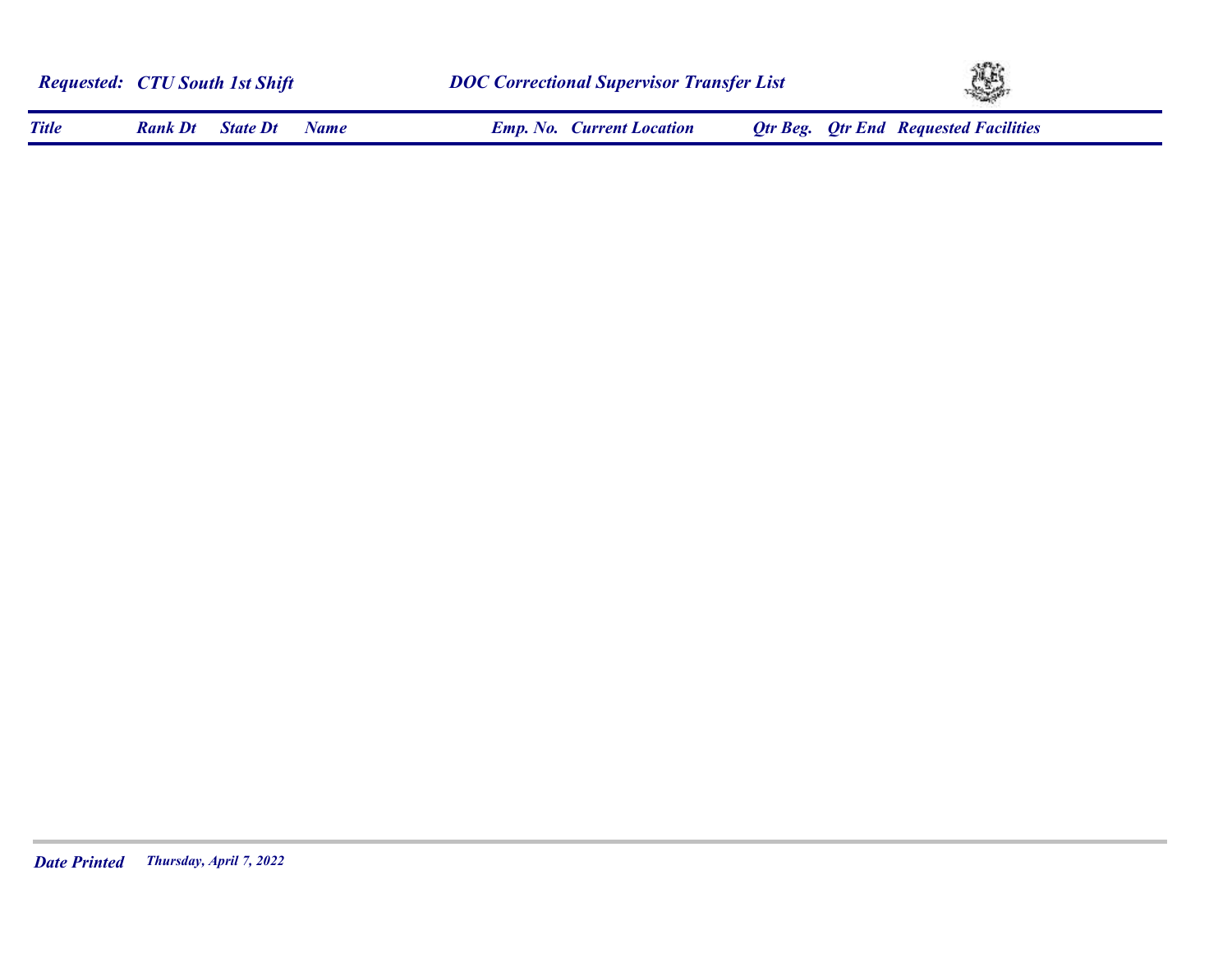|              | <b>Requested: CTU South 1st Shift</b> |                 |             |                                  | <b>DOC Correctional Supervisor Transfer List</b> |                                              |  |
|--------------|---------------------------------------|-----------------|-------------|----------------------------------|--------------------------------------------------|----------------------------------------------|--|
| <b>Title</b> | <b>Rank Dt</b>                        | <b>State Dt</b> | <b>Name</b> | <b>Emp. No. Current Location</b> |                                                  | <b>Otr Beg.</b> Otr End Requested Facilities |  |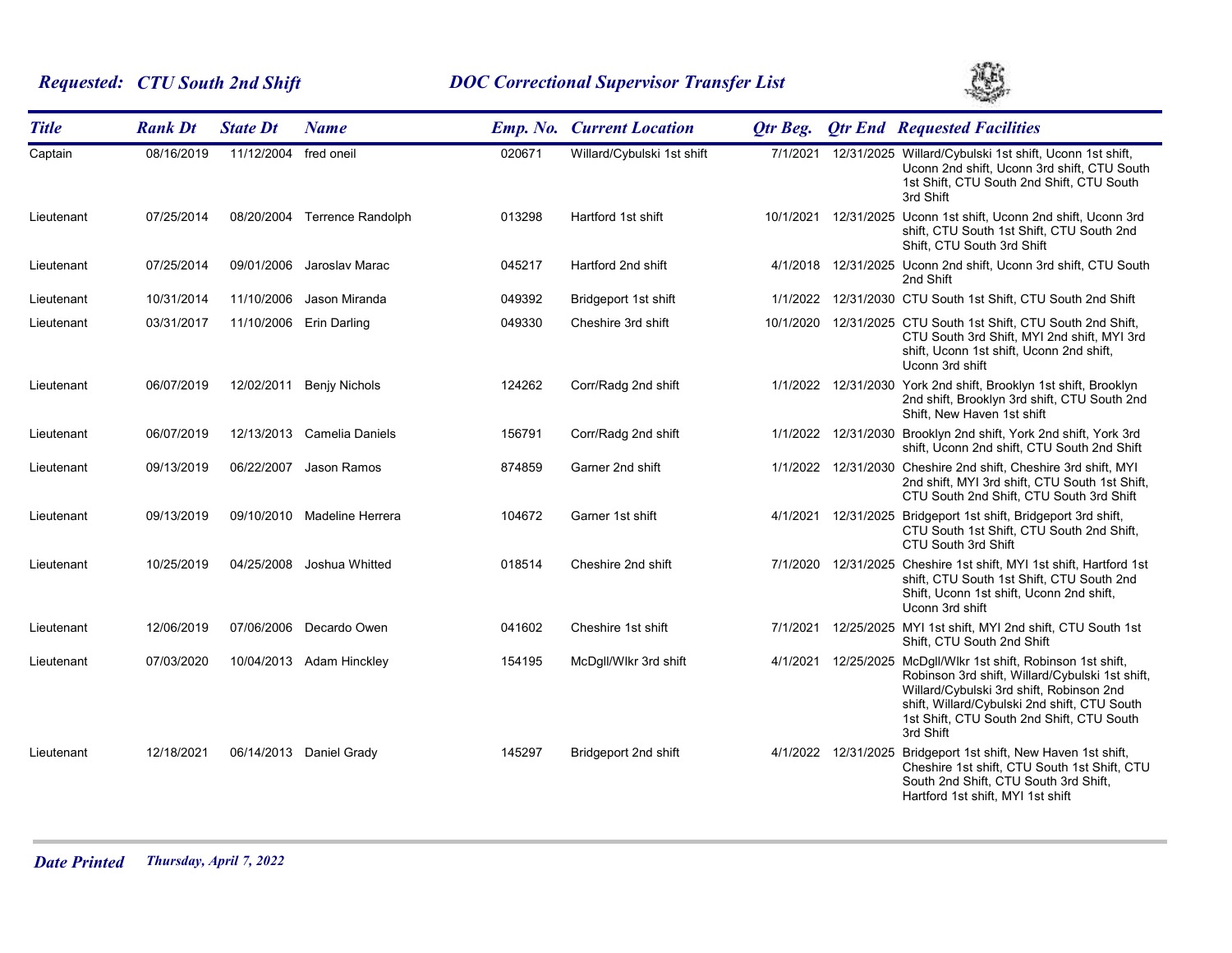# *Requested: CTU South 2nd Shift DOC Correctional Supervisor Transfer List*



| <b>Title</b> | <b>Rank Dt</b> | <b>State Dt</b>       | <b>Name</b>                  |        | <b>Emp. No. Current Location</b> | Otr Beg. |                     | <b>Qtr End Requested Facilities</b>                                                                                                                                                                                                                            |
|--------------|----------------|-----------------------|------------------------------|--------|----------------------------------|----------|---------------------|----------------------------------------------------------------------------------------------------------------------------------------------------------------------------------------------------------------------------------------------------------------|
| Captain      | 08/16/2019     | 11/12/2004 fred oneil |                              | 020671 | Willard/Cybulski 1st shift       | 7/1/2021 |                     | 12/31/2025 Willard/Cybulski 1st shift, Uconn 1st shift,<br>Uconn 2nd shift, Uconn 3rd shift, CTU South<br>1st Shift, CTU South 2nd Shift, CTU South<br>3rd Shift                                                                                               |
| Lieutenant   | 07/25/2014     |                       | 08/20/2004 Terrence Randolph | 013298 | Hartford 1st shift               |          |                     | 10/1/2021  12/31/2025  Uconn 1st shift, Uconn 2nd shift, Uconn 3rd<br>shift, CTU South 1st Shift, CTU South 2nd<br>Shift, CTU South 3rd Shift                                                                                                                  |
| Lieutenant   | 07/25/2014     |                       | 09/01/2006 Jaroslav Marac    | 045217 | Hartford 2nd shift               |          |                     | 4/1/2018 12/31/2025 Uconn 2nd shift, Uconn 3rd shift, CTU South<br>2nd Shift                                                                                                                                                                                   |
| Lieutenant   | 10/31/2014     | 11/10/2006            | Jason Miranda                | 049392 | Bridgeport 1st shift             | 1/1/2022 |                     | 12/31/2030 CTU South 1st Shift, CTU South 2nd Shift                                                                                                                                                                                                            |
| Lieutenant   | 03/31/2017     | 11/10/2006            | <b>Erin Darling</b>          | 049330 | Cheshire 3rd shift               |          |                     | 10/1/2020 12/31/2025 CTU South 1st Shift, CTU South 2nd Shift,<br>CTU South 3rd Shift, MYI 2nd shift, MYI 3rd<br>shift, Uconn 1st shift, Uconn 2nd shift,<br>Uconn 3rd shift                                                                                   |
| Lieutenant   | 06/07/2019     | 12/02/2011            | <b>Benjy Nichols</b>         | 124262 | Corr/Radg 2nd shift              |          |                     | 1/1/2022 12/31/2030 York 2nd shift, Brooklyn 1st shift, Brooklyn<br>2nd shift, Brooklyn 3rd shift, CTU South 2nd<br>Shift, New Haven 1st shift                                                                                                                 |
| Lieutenant   | 06/07/2019     |                       | 12/13/2013 Camelia Daniels   | 156791 | Corr/Radg 2nd shift              |          |                     | 1/1/2022 12/31/2030 Brooklyn 2nd shift, York 2nd shift, York 3rd<br>shift, Uconn 2nd shift, CTU South 2nd Shift                                                                                                                                                |
| Lieutenant   | 09/13/2019     | 06/22/2007            | Jason Ramos                  | 874859 | Garner 2nd shift                 |          |                     | 1/1/2022 12/31/2030 Cheshire 2nd shift, Cheshire 3rd shift, MYI<br>2nd shift, MYI 3rd shift, CTU South 1st Shift,<br>CTU South 2nd Shift, CTU South 3rd Shift                                                                                                  |
| Lieutenant   | 09/13/2019     | 09/10/2010            | Madeline Herrera             | 104672 | Garner 1st shift                 |          |                     | 4/1/2021 12/31/2025 Bridgeport 1st shift, Bridgeport 3rd shift,<br>CTU South 1st Shift, CTU South 2nd Shift,<br>CTU South 3rd Shift                                                                                                                            |
| Lieutenant   | 10/25/2019     | 04/25/2008            | Joshua Whitted               | 018514 | Cheshire 2nd shift               |          | 7/1/2020 12/31/2025 | Cheshire 1st shift, MYI 1st shift, Hartford 1st<br>shift, CTU South 1st Shift, CTU South 2nd<br>Shift, Uconn 1st shift, Uconn 2nd shift,<br>Uconn 3rd shift                                                                                                    |
| Lieutenant   | 12/06/2019     |                       | 07/06/2006 Decardo Owen      | 041602 | Cheshire 1st shift               | 7/1/2021 |                     | 12/25/2025 MYI 1st shift, MYI 2nd shift, CTU South 1st<br>Shift, CTU South 2nd Shift                                                                                                                                                                           |
| Lieutenant   | 07/03/2020     |                       | 10/04/2013 Adam Hinckley     | 154195 | McDgll/Wlkr 3rd shift            | 4/1/2021 |                     | 12/25/2025 McDgll/Wikr 1st shift, Robinson 1st shift,<br>Robinson 3rd shift, Willard/Cybulski 1st shift,<br>Willard/Cybulski 3rd shift, Robinson 2nd<br>shift, Willard/Cybulski 2nd shift, CTU South<br>1st Shift, CTU South 2nd Shift, CTU South<br>3rd Shift |
| Lieutenant   | 12/18/2021     |                       | 06/14/2013 Daniel Grady      | 145297 | Bridgeport 2nd shift             |          |                     | 4/1/2022 12/31/2025 Bridgeport 1st shift, New Haven 1st shift,<br>Cheshire 1st shift, CTU South 1st Shift, CTU<br>South 2nd Shift, CTU South 3rd Shift,<br>Hartford 1st shift, MYI 1st shift                                                                   |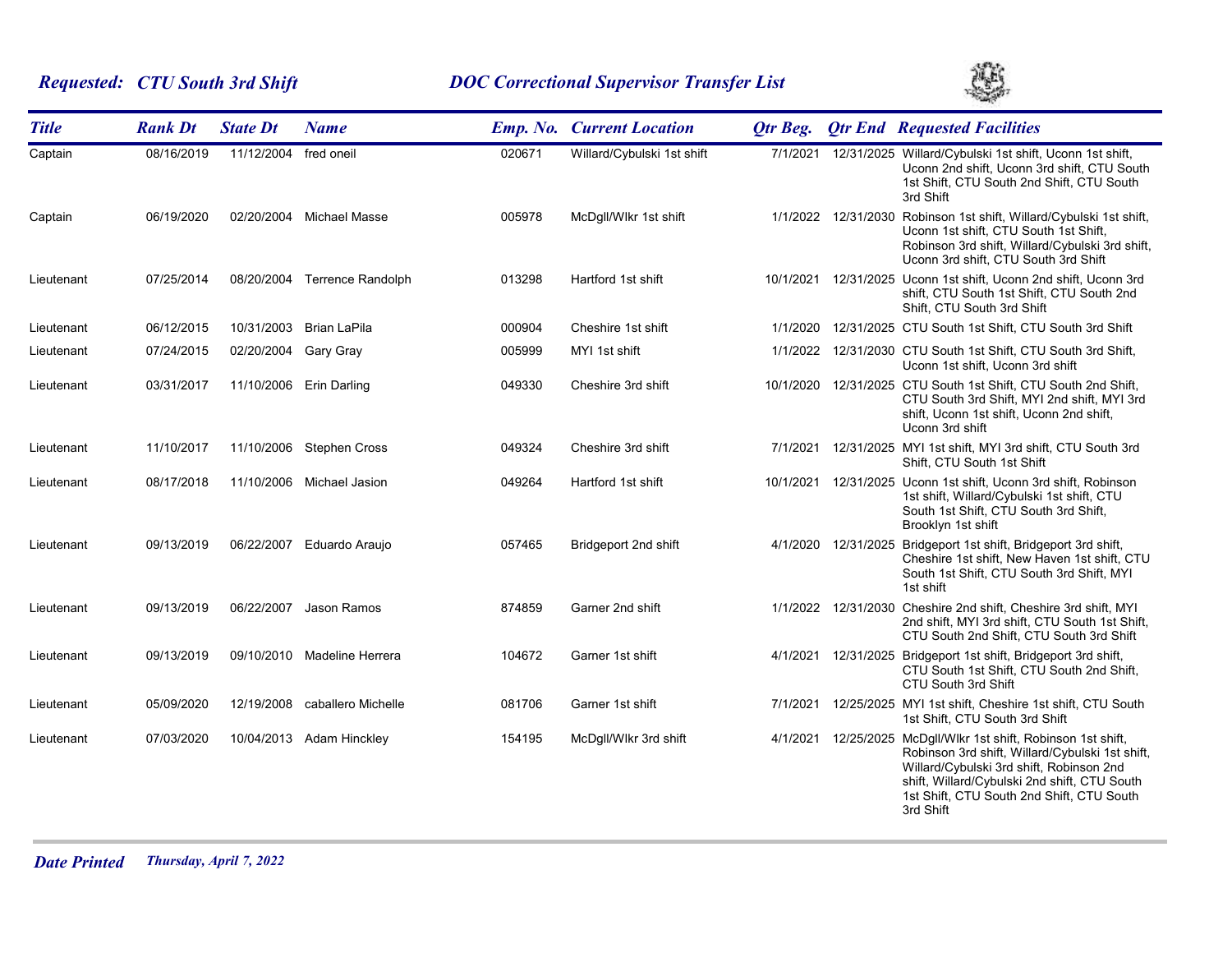# *Requested: CTU South 3rd Shift DOC Correctional Supervisor Transfer List*



| <b>Title</b> | <b>Rank Dt</b> | <b>State Dt</b> | <b>Name</b>                  |        | <b>Emp. No. Current Location</b> | <b>Qtr Beg.</b> |                     | <b>Qtr End Requested Facilities</b>                                                                                                                                                                                                                            |
|--------------|----------------|-----------------|------------------------------|--------|----------------------------------|-----------------|---------------------|----------------------------------------------------------------------------------------------------------------------------------------------------------------------------------------------------------------------------------------------------------------|
| Captain      | 08/16/2019     | 11/12/2004      | fred oneil                   | 020671 | Willard/Cybulski 1st shift       | 7/1/2021        |                     | 12/31/2025 Willard/Cybulski 1st shift, Uconn 1st shift,<br>Uconn 2nd shift, Uconn 3rd shift, CTU South<br>1st Shift, CTU South 2nd Shift, CTU South<br>3rd Shift                                                                                               |
| Captain      | 06/19/2020     |                 | 02/20/2004 Michael Masse     | 005978 | McDgll/Wlkr 1st shift            |                 | 1/1/2022 12/31/2030 | Robinson 1st shift, Willard/Cybulski 1st shift,<br>Uconn 1st shift, CTU South 1st Shift,<br>Robinson 3rd shift, Willard/Cybulski 3rd shift,<br>Uconn 3rd shift, CTU South 3rd Shift                                                                            |
| Lieutenant   | 07/25/2014     |                 | 08/20/2004 Terrence Randolph | 013298 | Hartford 1st shift               | 10/1/2021       |                     | 12/31/2025 Uconn 1st shift, Uconn 2nd shift, Uconn 3rd<br>shift, CTU South 1st Shift, CTU South 2nd<br>Shift, CTU South 3rd Shift                                                                                                                              |
| Lieutenant   | 06/12/2015     |                 | 10/31/2003 Brian LaPila      | 000904 | Cheshire 1st shift               | 1/1/2020        |                     | 12/31/2025 CTU South 1st Shift, CTU South 3rd Shift                                                                                                                                                                                                            |
| Lieutenant   | 07/24/2015     | 02/20/2004      | Gary Gray                    | 005999 | MYI 1st shift                    | 1/1/2022        |                     | 12/31/2030 CTU South 1st Shift, CTU South 3rd Shift,<br>Uconn 1st shift, Uconn 3rd shift                                                                                                                                                                       |
| Lieutenant   | 03/31/2017     |                 | 11/10/2006 Erin Darling      | 049330 | Cheshire 3rd shift               | 10/1/2020       |                     | 12/31/2025 CTU South 1st Shift, CTU South 2nd Shift,<br>CTU South 3rd Shift, MYI 2nd shift, MYI 3rd<br>shift, Uconn 1st shift, Uconn 2nd shift,<br>Uconn 3rd shift                                                                                             |
| Lieutenant   | 11/10/2017     |                 | 11/10/2006 Stephen Cross     | 049324 | Cheshire 3rd shift               | 7/1/2021        |                     | 12/31/2025 MYI 1st shift, MYI 3rd shift, CTU South 3rd<br>Shift, CTU South 1st Shift                                                                                                                                                                           |
| Lieutenant   | 08/17/2018     |                 | 11/10/2006 Michael Jasion    | 049264 | Hartford 1st shift               | 10/1/2021       |                     | 12/31/2025 Uconn 1st shift, Uconn 3rd shift, Robinson<br>1st shift, Willard/Cybulski 1st shift, CTU<br>South 1st Shift, CTU South 3rd Shift,<br>Brooklyn 1st shift                                                                                             |
| Lieutenant   | 09/13/2019     |                 | 06/22/2007 Eduardo Araujo    | 057465 | Bridgeport 2nd shift             |                 |                     | 4/1/2020 12/31/2025 Bridgeport 1st shift, Bridgeport 3rd shift,<br>Cheshire 1st shift, New Haven 1st shift, CTU<br>South 1st Shift, CTU South 3rd Shift, MYI<br>1st shift                                                                                      |
| Lieutenant   | 09/13/2019     | 06/22/2007      | Jason Ramos                  | 874859 | Garner 2nd shift                 |                 |                     | 1/1/2022 12/31/2030 Cheshire 2nd shift, Cheshire 3rd shift, MYI<br>2nd shift, MYI 3rd shift, CTU South 1st Shift,<br>CTU South 2nd Shift, CTU South 3rd Shift                                                                                                  |
| Lieutenant   | 09/13/2019     |                 | 09/10/2010 Madeline Herrera  | 104672 | Garner 1st shift                 | 4/1/2021        |                     | 12/31/2025 Bridgeport 1st shift, Bridgeport 3rd shift,<br>CTU South 1st Shift, CTU South 2nd Shift,<br>CTU South 3rd Shift                                                                                                                                     |
| Lieutenant   | 05/09/2020     | 12/19/2008      | caballero Michelle           | 081706 | Garner 1st shift                 | 7/1/2021        |                     | 12/25/2025 MYI 1st shift, Cheshire 1st shift, CTU South<br>1st Shift, CTU South 3rd Shift                                                                                                                                                                      |
| Lieutenant   | 07/03/2020     |                 | 10/04/2013 Adam Hinckley     | 154195 | McDgll/Wlkr 3rd shift            | 4/1/2021        |                     | 12/25/2025 McDgll/Wlkr 1st shift, Robinson 1st shift,<br>Robinson 3rd shift, Willard/Cybulski 1st shift,<br>Willard/Cybulski 3rd shift, Robinson 2nd<br>shift, Willard/Cybulski 2nd shift, CTU South<br>1st Shift, CTU South 2nd Shift, CTU South<br>3rd Shift |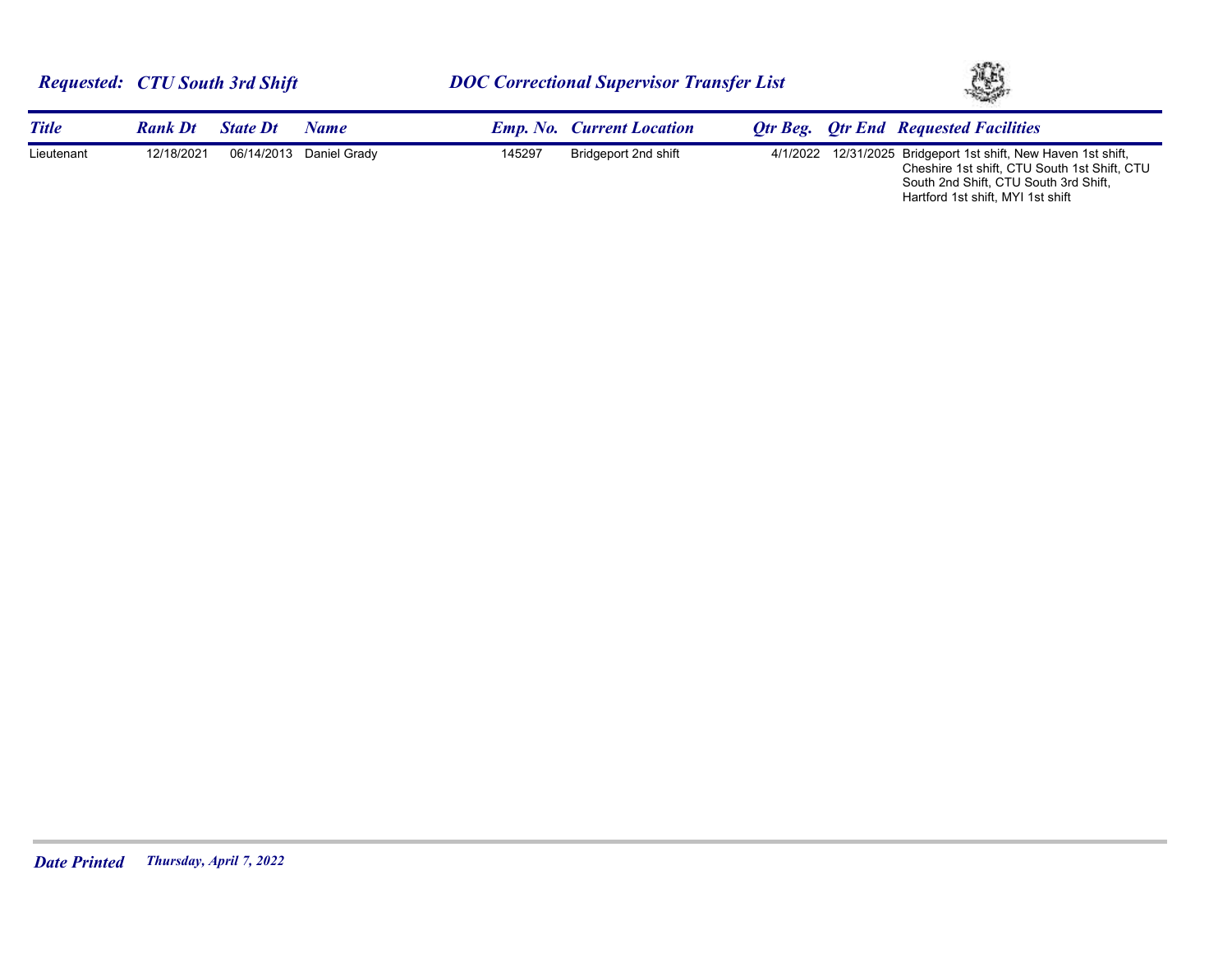| <b>Requested: CTU South 3rd Shift</b> |                |                 |                         | <b>DOC Correctional Supervisor Transfer List</b> |                                  |  | XB. |                                                                                                                                                         |
|---------------------------------------|----------------|-----------------|-------------------------|--------------------------------------------------|----------------------------------|--|-----|---------------------------------------------------------------------------------------------------------------------------------------------------------|
| <b>Title</b>                          | <b>Rank Dt</b> | <b>State Dt</b> | Name                    |                                                  | <b>Emp. No. Current Location</b> |  |     | <b>Otr Beg.</b> Otr End Requested Facilities                                                                                                            |
| Lieutenant                            | 12/18/2021     |                 | 06/14/2013 Daniel Grady | 145297                                           | Bridgeport 2nd shift             |  |     | 4/1/2022 12/31/2025 Bridgeport 1st shift, New Haven 1st shift,<br>Cheshire 1st shift, CTU South 1st Shift, CTU<br>South 2nd Shift, CTU South 3rd Shift, |

Hartford 1st shift, MYI 1st shift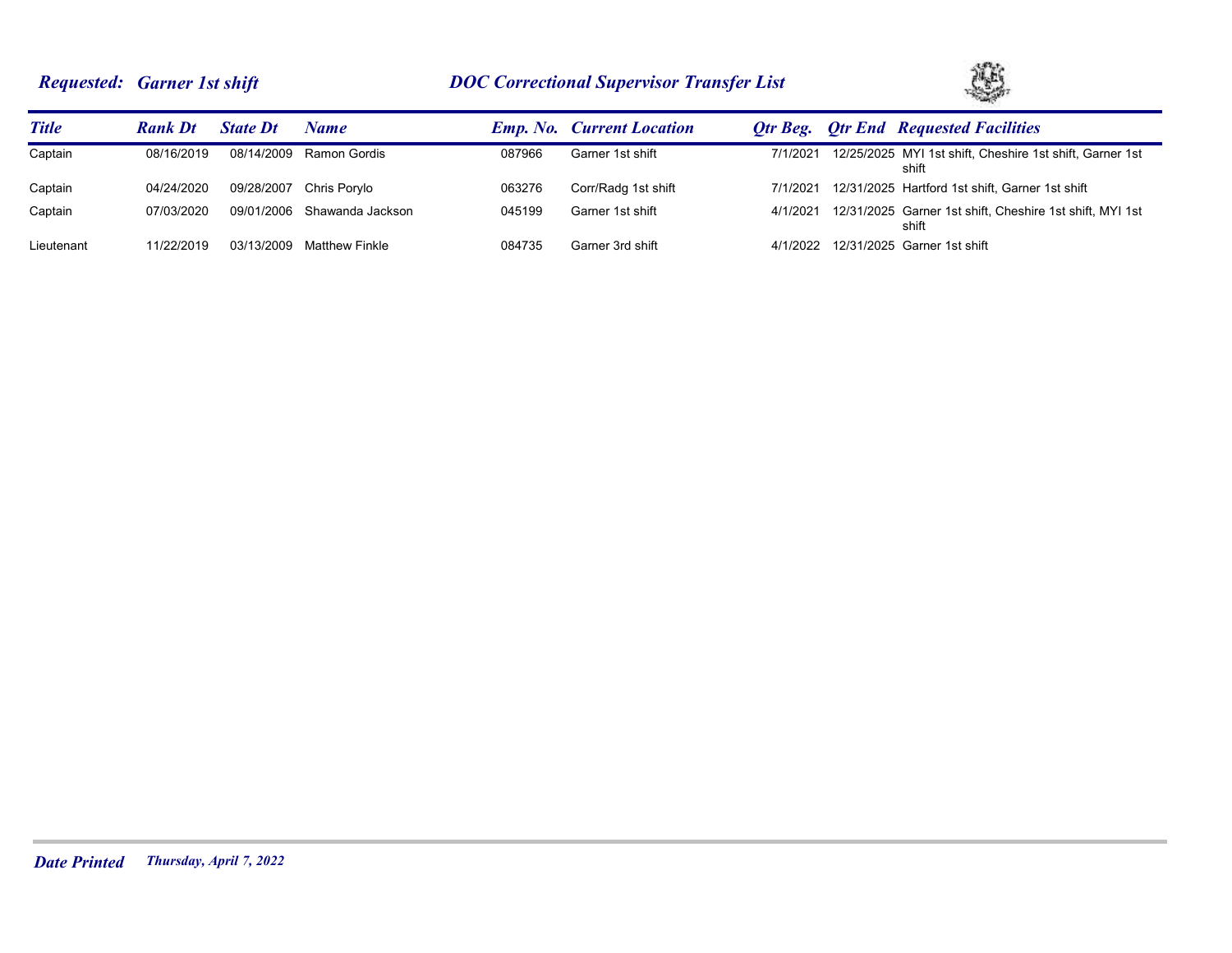# *Requested: Garner 1st shift DOC Correctional Supervisor Transfer List*



| <b>Title</b> | <b>Rank Dt</b> | <b>State Dt</b> | Name                        |        | <b>Emp. No.</b> Current Location |          | <b>Otr Beg.</b> Otr End Requested Facilities                      |
|--------------|----------------|-----------------|-----------------------------|--------|----------------------------------|----------|-------------------------------------------------------------------|
| Captain      | 08/16/2019     | 08/14/2009      | Ramon Gordis                | 087966 | Garner 1st shift                 | 7/1/2021 | 12/25/2025 MYI 1st shift, Cheshire 1st shift, Garner 1st<br>shift |
| Captain      | 04/24/2020     |                 | 09/28/2007 Chris Porylo     | 063276 | Corr/Radg 1st shift              | 7/1/2021 | 12/31/2025 Hartford 1st shift, Garner 1st shift                   |
| Captain      | 07/03/2020     |                 | 09/01/2006 Shawanda Jackson | 045199 | Garner 1st shift                 | 4/1/2021 | 12/31/2025 Garner 1st shift, Cheshire 1st shift, MYI 1st<br>shift |
| Lieutenant   | 11/22/2019     | 03/13/2009      | <b>Matthew Finkle</b>       | 084735 | Garner 3rd shift                 |          | 4/1/2022 12/31/2025 Garner 1st shift                              |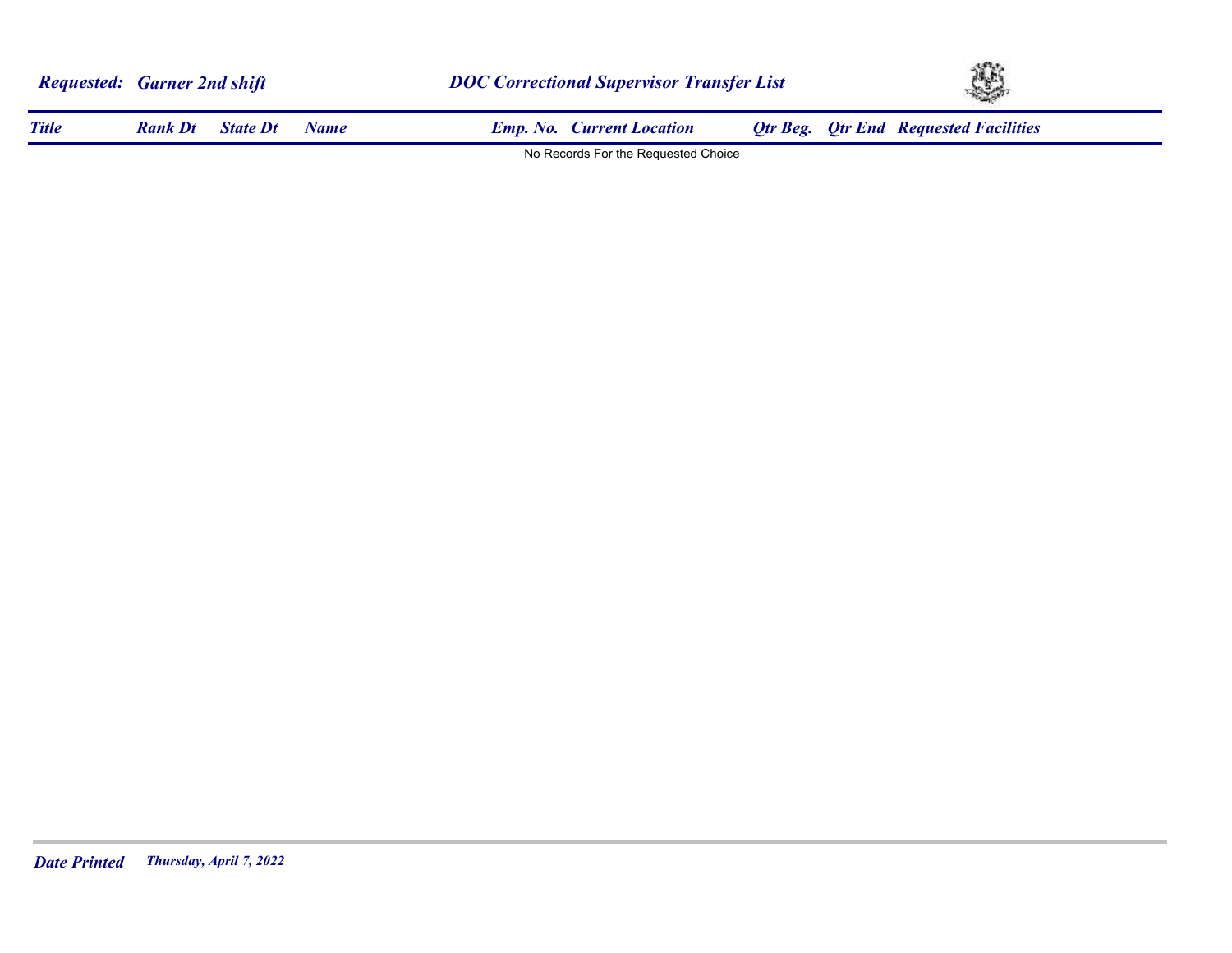|              | <b>Requested: Garner 2nd shift</b> |                 |             | <b>DOC Correctional Supervisor Transfer List</b> |                                     |  | YS. |                                              |  |
|--------------|------------------------------------|-----------------|-------------|--------------------------------------------------|-------------------------------------|--|-----|----------------------------------------------|--|
| <b>Title</b> | <b>Rank Dt</b>                     | <b>State Dt</b> | <b>Name</b> |                                                  | <b>Emp. No. Current Location</b>    |  |     | <b>Otr Beg.</b> Otr End Requested Facilities |  |
|              |                                    |                 |             |                                                  | No Records For the Requested Choice |  |     |                                              |  |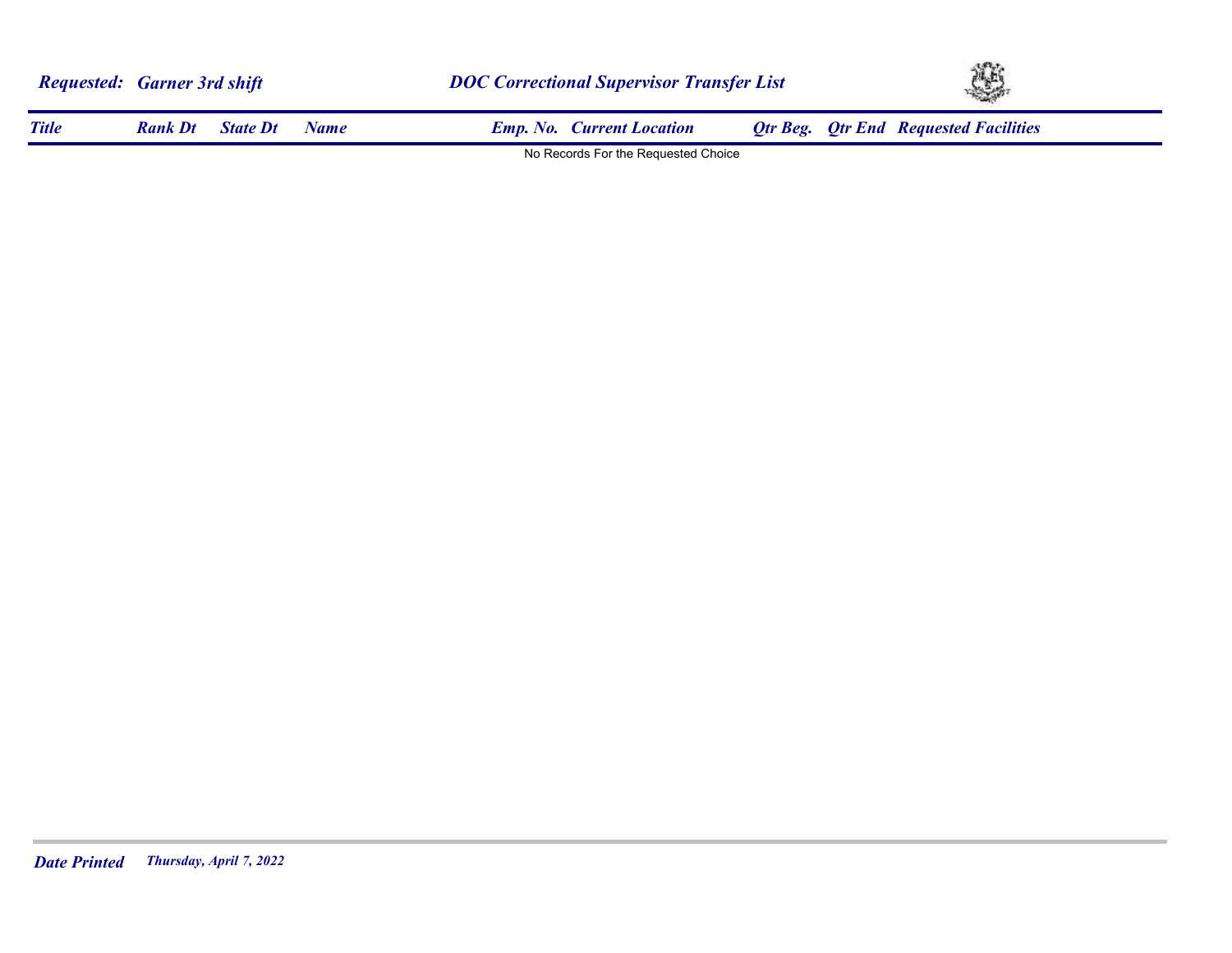|              | <b>Requested: Garner 3rd shift</b> |                 |      |                                     | <b>DOC Correctional Supervisor Transfer List</b> |  |                                              | 45 |  |  |
|--------------|------------------------------------|-----------------|------|-------------------------------------|--------------------------------------------------|--|----------------------------------------------|----|--|--|
| <b>Title</b> | <b>Rank Dt</b>                     | <b>State Dt</b> | Name | <b>Emp. No. Current Location</b>    |                                                  |  | <b>Qtr Beg.</b> Qtr End Requested Facilities |    |  |  |
|              |                                    |                 |      | No Records For the Requested Choice |                                                  |  |                                              |    |  |  |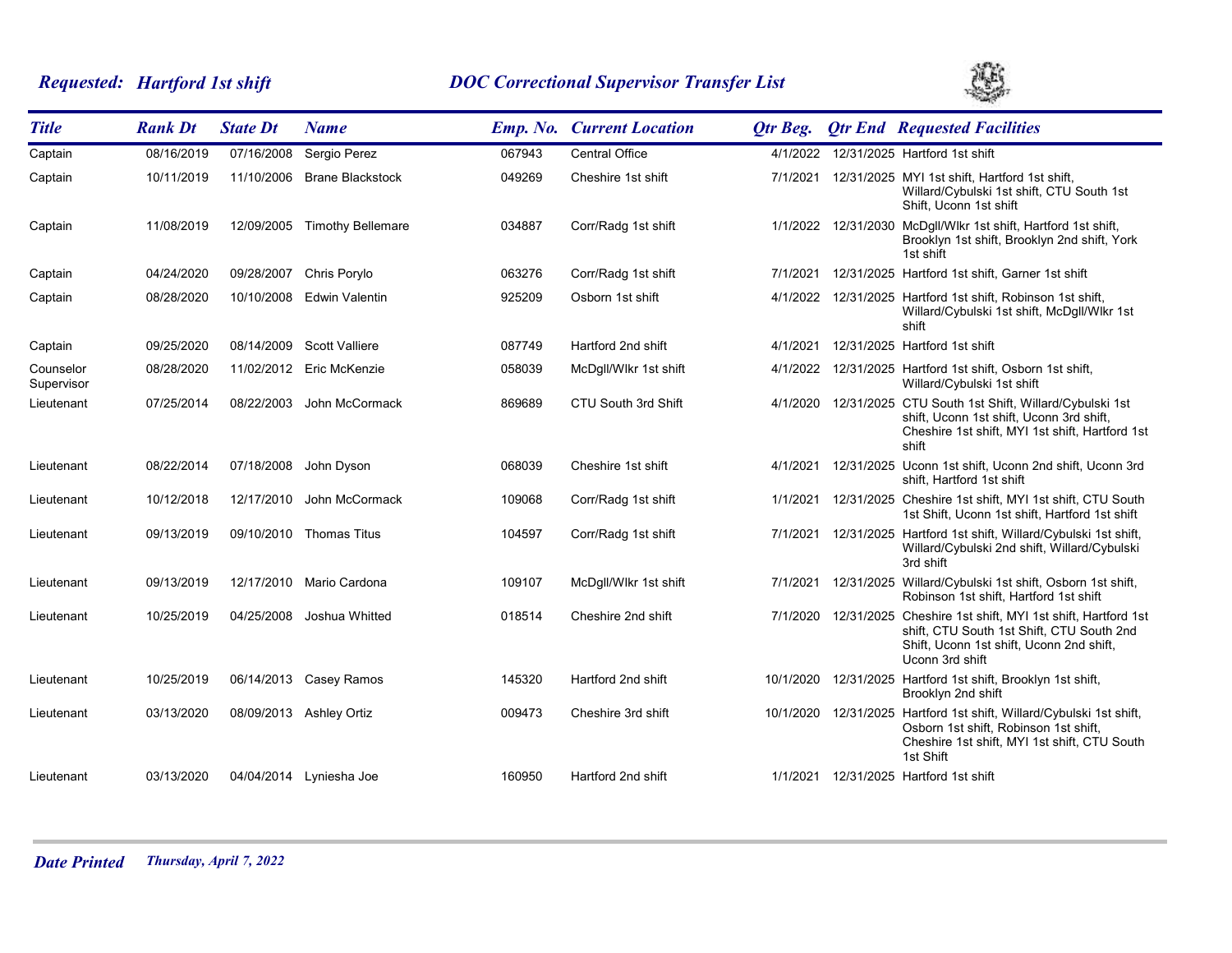# *Requested: Hartford 1st shift DOC Correctional Supervisor Transfer List*



| <b>Title</b>            | <b>Rank Dt</b> | <b>State Dt</b> | <b>Name</b>               |        | <b>Emp. No. Current Location</b> | Otr Beg.  | <b>Qtr End Requested Facilities</b>                                                                                                                                             |
|-------------------------|----------------|-----------------|---------------------------|--------|----------------------------------|-----------|---------------------------------------------------------------------------------------------------------------------------------------------------------------------------------|
| Captain                 | 08/16/2019     | 07/16/2008      | Sergio Perez              | 067943 | <b>Central Office</b>            | 4/1/2022  | 12/31/2025 Hartford 1st shift                                                                                                                                                   |
| Captain                 | 10/11/2019     | 11/10/2006      | <b>Brane Blackstock</b>   | 049269 | Cheshire 1st shift               | 7/1/2021  | 12/31/2025 MYI 1st shift, Hartford 1st shift,<br>Willard/Cybulski 1st shift, CTU South 1st<br>Shift, Uconn 1st shift                                                            |
| Captain                 | 11/08/2019     | 12/09/2005      | <b>Timothy Bellemare</b>  | 034887 | Corr/Radg 1st shift              |           | 1/1/2022 12/31/2030 McDgll/Wlkr 1st shift, Hartford 1st shift,<br>Brooklyn 1st shift, Brooklyn 2nd shift, York<br>1st shift                                                     |
| Captain                 | 04/24/2020     | 09/28/2007      | Chris Porylo              | 063276 | Corr/Radg 1st shift              | 7/1/2021  | 12/31/2025 Hartford 1st shift, Garner 1st shift                                                                                                                                 |
| Captain                 | 08/28/2020     | 10/10/2008      | Edwin Valentin            | 925209 | Osborn 1st shift                 | 4/1/2022  | 12/31/2025 Hartford 1st shift, Robinson 1st shift,<br>Willard/Cybulski 1st shift, McDgll/Wlkr 1st<br>shift                                                                      |
| Captain                 | 09/25/2020     |                 | 08/14/2009 Scott Valliere | 087749 | Hartford 2nd shift               | 4/1/2021  | 12/31/2025 Hartford 1st shift                                                                                                                                                   |
| Counselor<br>Supervisor | 08/28/2020     |                 | 11/02/2012 Eric McKenzie  | 058039 | McDgll/Wlkr 1st shift            | 4/1/2022  | 12/31/2025 Hartford 1st shift, Osborn 1st shift,<br>Willard/Cybulski 1st shift                                                                                                  |
| Lieutenant              | 07/25/2014     | 08/22/2003      | John McCormack            | 869689 | CTU South 3rd Shift              |           | 4/1/2020 12/31/2025 CTU South 1st Shift, Willard/Cybulski 1st<br>shift, Uconn 1st shift, Uconn 3rd shift,<br>Cheshire 1st shift, MYI 1st shift, Hartford 1st<br>shift           |
| Lieutenant              | 08/22/2014     | 07/18/2008      | John Dyson                | 068039 | Cheshire 1st shift               | 4/1/2021  | 12/31/2025 Uconn 1st shift, Uconn 2nd shift, Uconn 3rd<br>shift, Hartford 1st shift                                                                                             |
| Lieutenant              | 10/12/2018     | 12/17/2010      | John McCormack            | 109068 | Corr/Radg 1st shift              | 1/1/2021  | 12/31/2025 Cheshire 1st shift, MYI 1st shift, CTU South<br>1st Shift, Uconn 1st shift, Hartford 1st shift                                                                       |
| Lieutenant              | 09/13/2019     |                 | 09/10/2010 Thomas Titus   | 104597 | Corr/Radg 1st shift              | 7/1/2021  | 12/31/2025 Hartford 1st shift, Willard/Cybulski 1st shift,<br>Willard/Cybulski 2nd shift, Willard/Cybulski<br>3rd shift                                                         |
| Lieutenant              | 09/13/2019     |                 | 12/17/2010 Mario Cardona  | 109107 | McDgll/Wlkr 1st shift            | 7/1/2021  | 12/31/2025 Willard/Cybulski 1st shift, Osborn 1st shift,<br>Robinson 1st shift, Hartford 1st shift                                                                              |
| Lieutenant              | 10/25/2019     | 04/25/2008      | Joshua Whitted            | 018514 | Cheshire 2nd shift               |           | 7/1/2020 12/31/2025 Cheshire 1st shift, MYI 1st shift, Hartford 1st<br>shift, CTU South 1st Shift, CTU South 2nd<br>Shift, Uconn 1st shift, Uconn 2nd shift,<br>Uconn 3rd shift |
| Lieutenant              | 10/25/2019     |                 | 06/14/2013 Casey Ramos    | 145320 | Hartford 2nd shift               | 10/1/2020 | 12/31/2025 Hartford 1st shift, Brooklyn 1st shift,<br>Brooklyn 2nd shift                                                                                                        |
| Lieutenant              | 03/13/2020     |                 | 08/09/2013 Ashley Ortiz   | 009473 | Cheshire 3rd shift               | 10/1/2020 | 12/31/2025 Hartford 1st shift, Willard/Cybulski 1st shift,<br>Osborn 1st shift, Robinson 1st shift,<br>Cheshire 1st shift, MYI 1st shift, CTU South<br>1st Shift                |
| Lieutenant              | 03/13/2020     |                 | 04/04/2014 Lyniesha Joe   | 160950 | Hartford 2nd shift               | 1/1/2021  | 12/31/2025 Hartford 1st shift                                                                                                                                                   |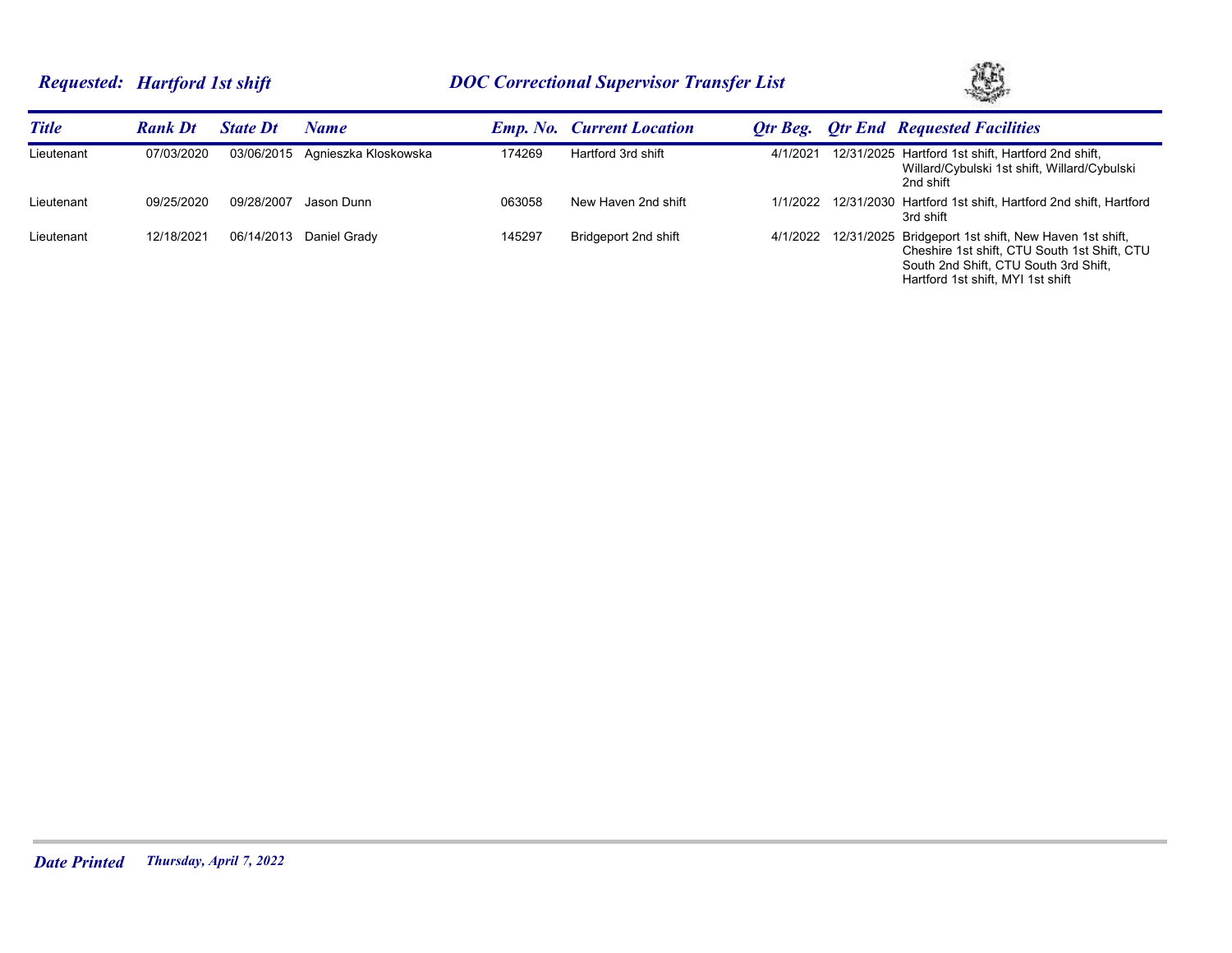# *Requested: Hartford 1st shift DOC Correctional Supervisor Transfer List*



| <b>Title</b> | <b>Rank Dt</b> | <b>State Dt</b> | Name                 |        | <b>Emp. No. Current Location</b> | Otr Beg. | <b>Otr End Requested Facilities</b>                                                                                                                                                          |
|--------------|----------------|-----------------|----------------------|--------|----------------------------------|----------|----------------------------------------------------------------------------------------------------------------------------------------------------------------------------------------------|
| Lieutenant   | 07/03/2020     | 03/06/2015      | Agnieszka Kloskowska | 174269 | Hartford 3rd shift               | 4/1/2021 | 12/31/2025 Hartford 1st shift, Hartford 2nd shift,<br>Willard/Cybulski 1st shift, Willard/Cybulski<br>2nd shift                                                                              |
| Lieutenant   | 09/25/2020     | 09/28/2007      | Jason Dunn           | 063058 | New Haven 2nd shift              |          | 1/1/2022 12/31/2030 Hartford 1st shift, Hartford 2nd shift, Hartford<br>3rd shift                                                                                                            |
| Lieutenant   | 12/18/2021     | 06/14/2013      | Daniel Gradv         | 145297 | Bridgeport 2nd shift             |          | 4/1/2022 12/31/2025 Bridgeport 1st shift, New Haven 1st shift,<br>Cheshire 1st shift, CTU South 1st Shift, CTU<br>South 2nd Shift, CTU South 3rd Shift,<br>Hartford 1st shift, MYI 1st shift |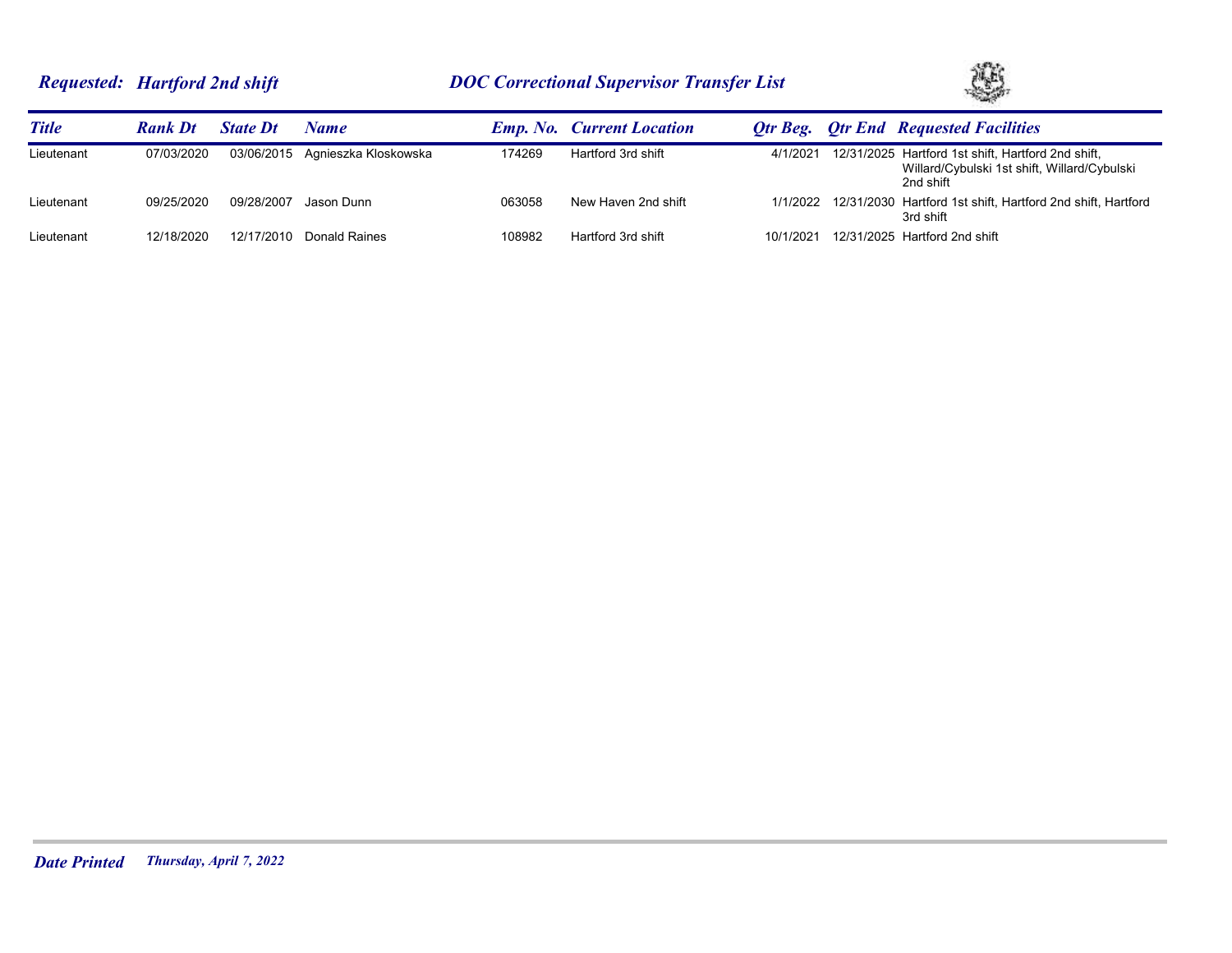# *Requested: Hartford 2nd shift DOC Correctional Supervisor Transfer List*



| <b>Title</b> | <b>Rank Dt</b> | <b>State Dt</b> | Name                            |        | <b>Emp. No. Current Location</b> |           | <b>Otr Beg.</b> Otr End Requested Facilities                                                                    |
|--------------|----------------|-----------------|---------------------------------|--------|----------------------------------|-----------|-----------------------------------------------------------------------------------------------------------------|
| Lieutenant   | 07/03/2020     |                 | 03/06/2015 Agnieszka Kloskowska | 174269 | Hartford 3rd shift               | 4/1/2021  | 12/31/2025 Hartford 1st shift, Hartford 2nd shift,<br>Willard/Cybulski 1st shift, Willard/Cybulski<br>2nd shift |
| Lieutenant   | 09/25/2020     | 09/28/2007      | Jason Dunn                      | 063058 | New Haven 2nd shift              |           | 1/1/2022 12/31/2030 Hartford 1st shift, Hartford 2nd shift, Hartford<br>3rd shift                               |
| Lieutenant   | 12/18/2020     |                 | 12/17/2010 Donald Raines        | 108982 | Hartford 3rd shift               | 10/1/2021 | 12/31/2025 Hartford 2nd shift                                                                                   |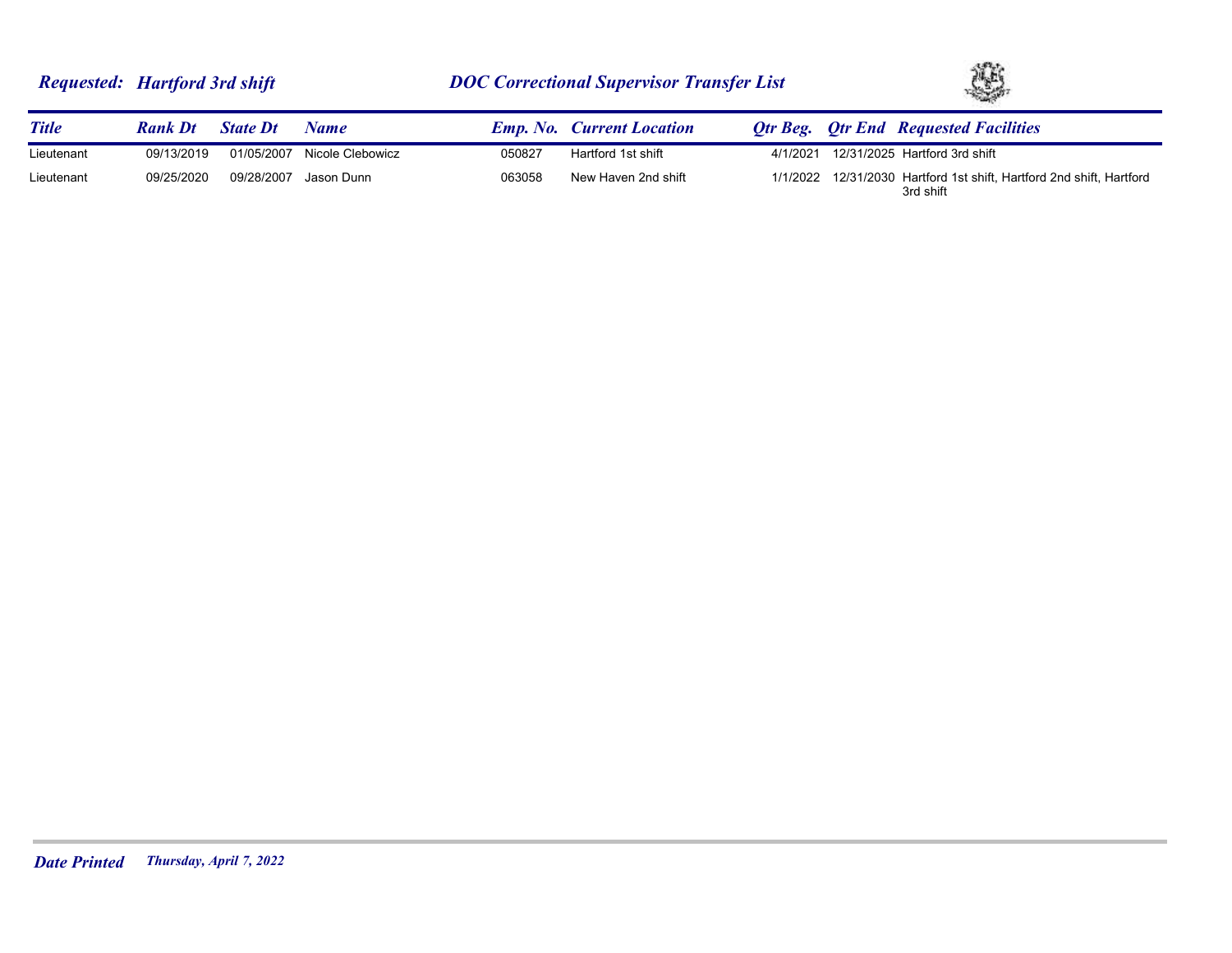| <b>Requested: Hartford 3rd shift</b> |  |  |  |
|--------------------------------------|--|--|--|
|--------------------------------------|--|--|--|



| <b>Title</b> | <b>Rank Dt</b> | <b>State Dt</b> | <b>Name</b>           |        | <b>Emp. No.</b> Current Location |          | <b>Otr Beg.</b> Otr End Requested Facilities                                      |
|--------------|----------------|-----------------|-----------------------|--------|----------------------------------|----------|-----------------------------------------------------------------------------------|
| Lieutenant   | 09/13/2019     | 01/05/2007      | Nicole Clebowicz      | 050827 | Hartford 1st shift               | 4/1/2021 | 12/31/2025 Hartford 3rd shift                                                     |
| Lieutenant   | 09/25/2020     |                 | 09/28/2007 Jason Dunn | 063058 | New Haven 2nd shift              |          | 1/1/2022 12/31/2030 Hartford 1st shift, Hartford 2nd shift, Hartford<br>3rd shift |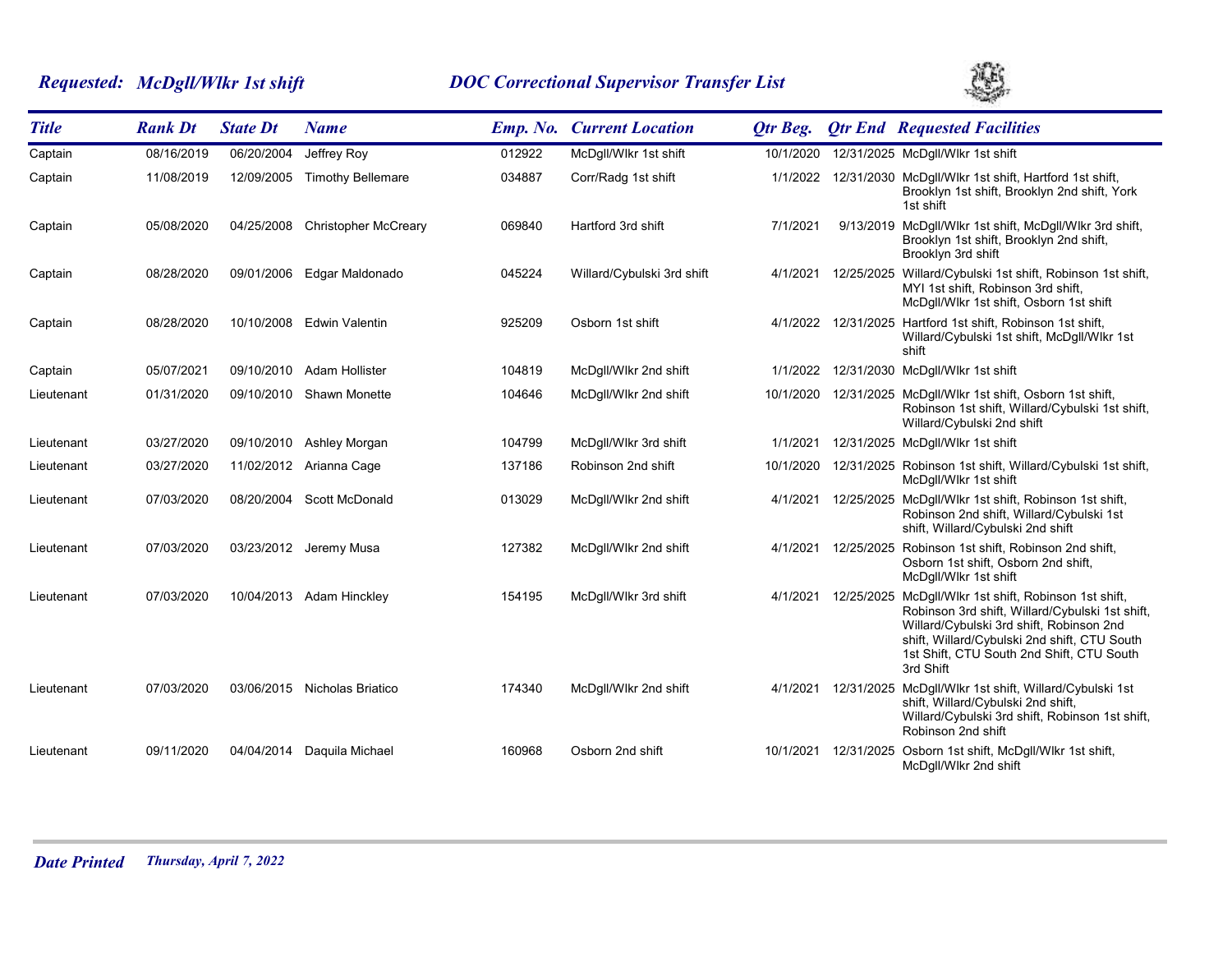# *Requested: McDgll/Wlkr 1st shift DOC Correctional Supervisor Transfer List*



| <b>Title</b> | <b>Rank Dt</b> | <b>State Dt</b> | <b>Name</b>                  |        | <b>Emp. No. Current Location</b> | Otr Beg.  |            | <b>Otr End Requested Facilities</b>                                                                                                                                                                                                                            |
|--------------|----------------|-----------------|------------------------------|--------|----------------------------------|-----------|------------|----------------------------------------------------------------------------------------------------------------------------------------------------------------------------------------------------------------------------------------------------------------|
| Captain      | 08/16/2019     | 06/20/2004      | Jeffrey Roy                  | 012922 | McDgll/Wlkr 1st shift            | 10/1/2020 |            | 12/31/2025 McDgll/Wlkr 1st shift                                                                                                                                                                                                                               |
| Captain      | 11/08/2019     | 12/09/2005      | <b>Timothy Bellemare</b>     | 034887 | Corr/Radg 1st shift              | 1/1/2022  |            | 12/31/2030 McDgll/Wlkr 1st shift, Hartford 1st shift,<br>Brooklyn 1st shift, Brooklyn 2nd shift, York<br>1st shift                                                                                                                                             |
| Captain      | 05/08/2020     | 04/25/2008      | <b>Christopher McCreary</b>  | 069840 | Hartford 3rd shift               | 7/1/2021  |            | 9/13/2019 McDgll/Wlkr 1st shift, McDgll/Wlkr 3rd shift,<br>Brooklyn 1st shift, Brooklyn 2nd shift,<br>Brooklyn 3rd shift                                                                                                                                       |
| Captain      | 08/28/2020     | 09/01/2006      | Edgar Maldonado              | 045224 | Willard/Cybulski 3rd shift       | 4/1/2021  |            | 12/25/2025 Willard/Cybulski 1st shift, Robinson 1st shift,<br>MYI 1st shift, Robinson 3rd shift,<br>McDgll/Wlkr 1st shift, Osborn 1st shift                                                                                                                    |
| Captain      | 08/28/2020     | 10/10/2008      | Edwin Valentin               | 925209 | Osborn 1st shift                 | 4/1/2022  |            | 12/31/2025 Hartford 1st shift, Robinson 1st shift,<br>Willard/Cybulski 1st shift, McDgll/Wlkr 1st<br>shift                                                                                                                                                     |
| Captain      | 05/07/2021     | 09/10/2010      | Adam Hollister               | 104819 | McDgll/Wlkr 2nd shift            | 1/1/2022  |            | 12/31/2030 McDgll/Wlkr 1st shift                                                                                                                                                                                                                               |
| Lieutenant   | 01/31/2020     | 09/10/2010      | Shawn Monette                | 104646 | McDgll/Wlkr 2nd shift            | 10/1/2020 |            | 12/31/2025 McDgll/Wlkr 1st shift, Osborn 1st shift,<br>Robinson 1st shift, Willard/Cybulski 1st shift,<br>Willard/Cybulski 2nd shift                                                                                                                           |
| Lieutenant   | 03/27/2020     |                 | 09/10/2010 Ashley Morgan     | 104799 | McDgll/Wlkr 3rd shift            | 1/1/2021  |            | 12/31/2025 McDgll/Wlkr 1st shift                                                                                                                                                                                                                               |
| Lieutenant   | 03/27/2020     |                 | 11/02/2012 Arianna Cage      | 137186 | Robinson 2nd shift               | 10/1/2020 |            | 12/31/2025 Robinson 1st shift, Willard/Cybulski 1st shift,<br>McDqll/Wlkr 1st shift                                                                                                                                                                            |
| Lieutenant   | 07/03/2020     | 08/20/2004      | <b>Scott McDonald</b>        | 013029 | McDgll/Wlkr 2nd shift            | 4/1/2021  |            | 12/25/2025 McDgll/Wlkr 1st shift, Robinson 1st shift,<br>Robinson 2nd shift, Willard/Cybulski 1st<br>shift, Willard/Cybulski 2nd shift                                                                                                                         |
| Lieutenant   | 07/03/2020     |                 | 03/23/2012 Jeremy Musa       | 127382 | McDgll/Wlkr 2nd shift            | 4/1/2021  |            | 12/25/2025 Robinson 1st shift, Robinson 2nd shift,<br>Osborn 1st shift, Osborn 2nd shift,<br>McDqll/Wlkr 1st shift                                                                                                                                             |
| Lieutenant   | 07/03/2020     |                 | 10/04/2013 Adam Hinckley     | 154195 | McDgll/Wlkr 3rd shift            | 4/1/2021  |            | 12/25/2025 McDgll/Wlkr 1st shift, Robinson 1st shift,<br>Robinson 3rd shift, Willard/Cybulski 1st shift,<br>Willard/Cybulski 3rd shift, Robinson 2nd<br>shift, Willard/Cybulski 2nd shift, CTU South<br>1st Shift, CTU South 2nd Shift, CTU South<br>3rd Shift |
| Lieutenant   | 07/03/2020     |                 | 03/06/2015 Nicholas Briatico | 174340 | McDgll/Wlkr 2nd shift            | 4/1/2021  |            | 12/31/2025 McDgll/Wlkr 1st shift, Willard/Cybulski 1st<br>shift, Willard/Cybulski 2nd shift,<br>Willard/Cybulski 3rd shift, Robinson 1st shift,<br>Robinson 2nd shift                                                                                          |
| Lieutenant   | 09/11/2020     | 04/04/2014      | Daquila Michael              | 160968 | Osborn 2nd shift                 | 10/1/2021 | 12/31/2025 | Osborn 1st shift, McDgll/Wlkr 1st shift,<br>McDgll/Wlkr 2nd shift                                                                                                                                                                                              |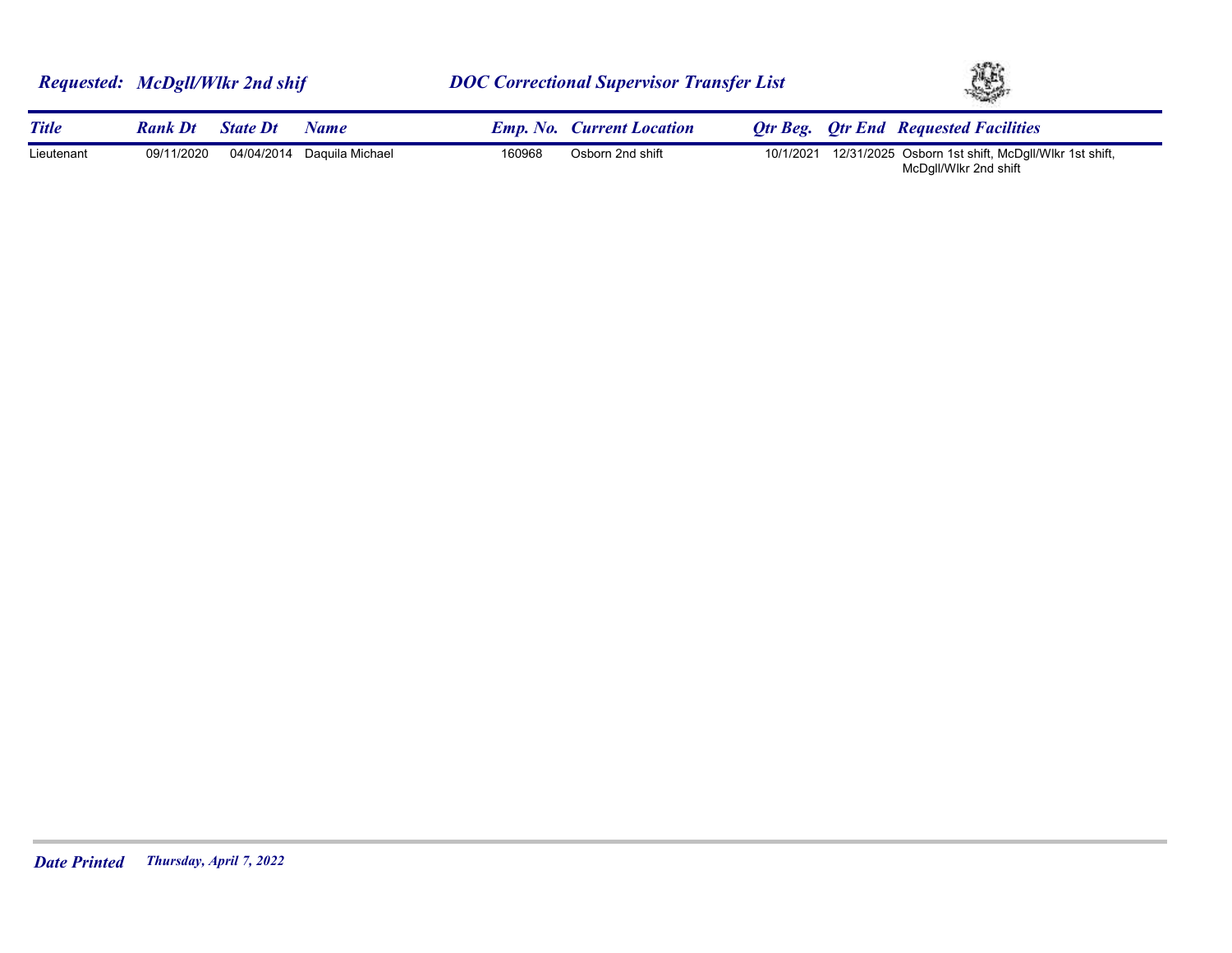|              | Requested: McDgll/Wlkr 2nd shif |                 |                 | <b>DOC Correctional Supervisor Transfer List</b> |                                  |           | YS. |                                                                              |  |
|--------------|---------------------------------|-----------------|-----------------|--------------------------------------------------|----------------------------------|-----------|-----|------------------------------------------------------------------------------|--|
| <b>Title</b> | <b>Rank Dt</b>                  | <b>State Dt</b> | <b>Name</b>     |                                                  | <b>Emp. No. Current Location</b> |           |     | <b>Otr Beg.</b> Otr End Requested Facilities                                 |  |
| Lieutenant   | 09/11/2020                      | 04/04/2014      | Daquila Michael | 160968                                           | Osborn 2nd shift                 | 10/1/2021 |     | 12/31/2025 Osborn 1st shift, McDgll/Wlkr 1st shift,<br>McDgll/Wlkr 2nd shift |  |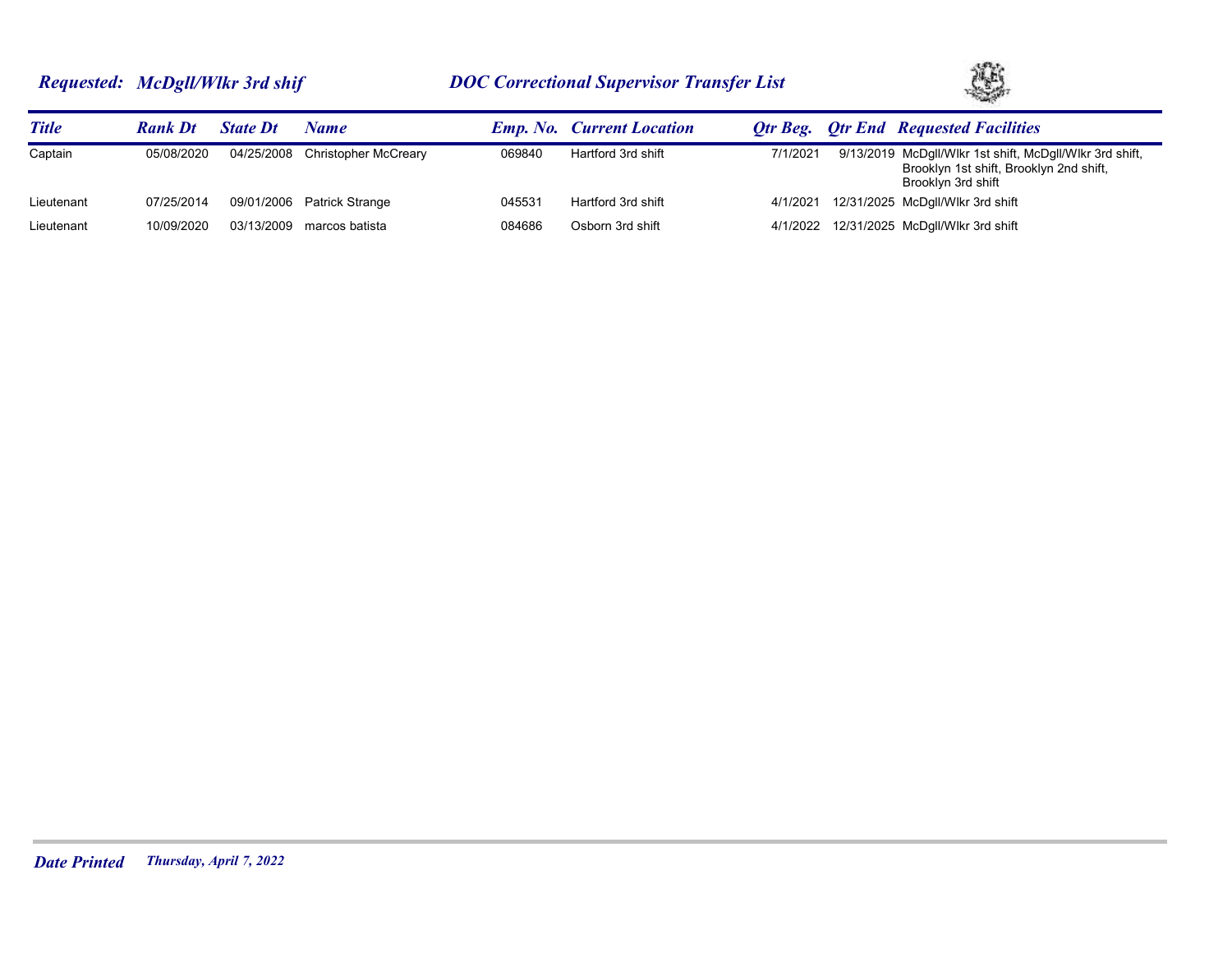# *Requested: McDgll/Wlkr 3rd shif DOC Correctional Supervisor Transfer List*



| <b>Title</b> | <b>Rank Dt</b> | <b>State Dt</b> | Name                            |        | <b>Emp. No. Current Location</b> |          | <b>Otr Beg.</b> Otr End Requested Facilities                                                                             |
|--------------|----------------|-----------------|---------------------------------|--------|----------------------------------|----------|--------------------------------------------------------------------------------------------------------------------------|
| Captain      | 05/08/2020     |                 | 04/25/2008 Christopher McCreary | 069840 | Hartford 3rd shift               | 7/1/2021 | 9/13/2019 McDgll/Wlkr 1st shift, McDgll/Wlkr 3rd shift,<br>Brooklyn 1st shift, Brooklyn 2nd shift,<br>Brooklyn 3rd shift |
| Lieutenant   | 07/25/2014     |                 | 09/01/2006 Patrick Strange      | 045531 | Hartford 3rd shift               | 4/1/2021 | 12/31/2025 McDgll/Wlkr 3rd shift                                                                                         |
| Lieutenant   | 10/09/2020     | 03/13/2009      | marcos batista                  | 084686 | Osborn 3rd shift                 |          | 4/1/2022 12/31/2025 McDgll/Wlkr 3rd shift                                                                                |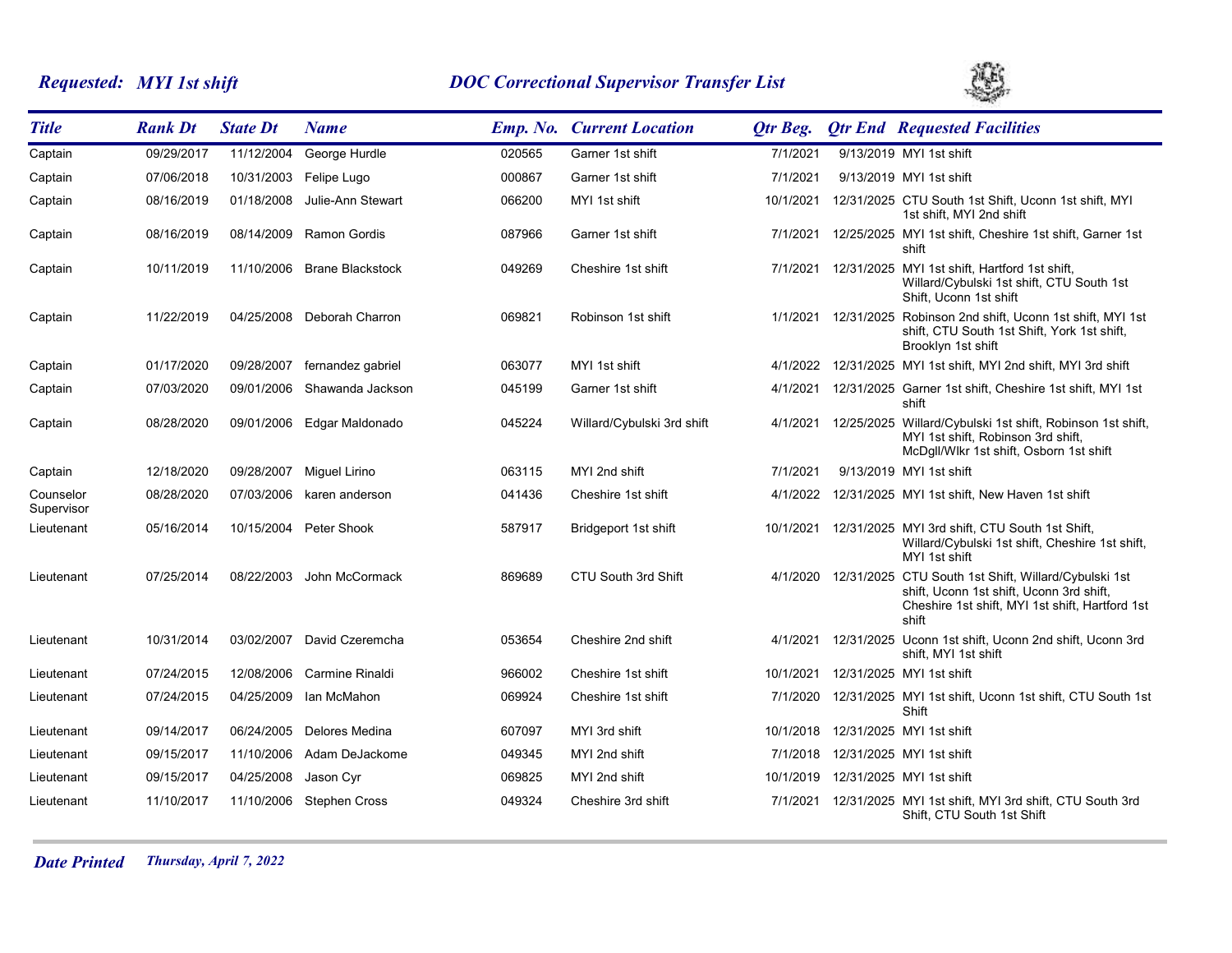# *Requested: MYI 1st shift DOC Correctional Supervisor Transfer List*



| <b>Title</b>            | <b>Rank Dt</b> | <b>State Dt</b> | <b>Name</b>             |        | <b>Emp. No. Current Location</b> | Otr Beg.  |                     | <b>Qtr End Requested Facilities</b>                                                                                                               |
|-------------------------|----------------|-----------------|-------------------------|--------|----------------------------------|-----------|---------------------|---------------------------------------------------------------------------------------------------------------------------------------------------|
| Captain                 | 09/29/2017     | 11/12/2004      | George Hurdle           | 020565 | Garner 1st shift                 | 7/1/2021  |                     | 9/13/2019 MYI 1st shift                                                                                                                           |
| Captain                 | 07/06/2018     | 10/31/2003      | Felipe Lugo             | 000867 | Garner 1st shift                 | 7/1/2021  |                     | 9/13/2019 MYI 1st shift                                                                                                                           |
| Captain                 | 08/16/2019     | 01/18/2008      | Julie-Ann Stewart       | 066200 | MYI 1st shift                    | 10/1/2021 |                     | 12/31/2025 CTU South 1st Shift, Uconn 1st shift, MYI<br>1st shift, MYI 2nd shift                                                                  |
| Captain                 | 08/16/2019     | 08/14/2009      | Ramon Gordis            | 087966 | Garner 1st shift                 | 7/1/2021  |                     | 12/25/2025 MYI 1st shift, Cheshire 1st shift, Garner 1st<br>shift                                                                                 |
| Captain                 | 10/11/2019     | 11/10/2006      | <b>Brane Blackstock</b> | 049269 | Cheshire 1st shift               |           |                     | 7/1/2021 12/31/2025 MYI 1st shift, Hartford 1st shift,<br>Willard/Cybulski 1st shift, CTU South 1st<br>Shift, Uconn 1st shift                     |
| Captain                 | 11/22/2019     | 04/25/2008      | Deborah Charron         | 069821 | Robinson 1st shift               |           |                     | 1/1/2021 12/31/2025 Robinson 2nd shift, Uconn 1st shift, MYI 1st<br>shift, CTU South 1st Shift, York 1st shift,<br>Brooklyn 1st shift             |
| Captain                 | 01/17/2020     | 09/28/2007      | fernandez gabriel       | 063077 | MYI 1st shift                    | 4/1/2022  |                     | 12/31/2025 MYI 1st shift, MYI 2nd shift, MYI 3rd shift                                                                                            |
| Captain                 | 07/03/2020     | 09/01/2006      | Shawanda Jackson        | 045199 | Garner 1st shift                 | 4/1/2021  |                     | 12/31/2025 Garner 1st shift, Cheshire 1st shift, MYI 1st<br>shift                                                                                 |
| Captain                 | 08/28/2020     | 09/01/2006      | Edgar Maldonado         | 045224 | Willard/Cybulski 3rd shift       | 4/1/2021  | 12/25/2025          | Willard/Cybulski 1st shift, Robinson 1st shift,<br>MYI 1st shift, Robinson 3rd shift,<br>McDgll/Wlkr 1st shift, Osborn 1st shift                  |
| Captain                 | 12/18/2020     | 09/28/2007      | Miguel Lirino           | 063115 | MYI 2nd shift                    | 7/1/2021  |                     | 9/13/2019 MYI 1st shift                                                                                                                           |
| Counselor<br>Supervisor | 08/28/2020     | 07/03/2006      | karen anderson          | 041436 | Cheshire 1st shift               | 4/1/2022  |                     | 12/31/2025 MYI 1st shift, New Haven 1st shift                                                                                                     |
| Lieutenant              | 05/16/2014     |                 | 10/15/2004 Peter Shook  | 587917 | Bridgeport 1st shift             |           |                     | 10/1/2021 12/31/2025 MYI 3rd shift, CTU South 1st Shift,<br>Willard/Cybulski 1st shift, Cheshire 1st shift,<br>MYI 1st shift                      |
| Lieutenant              | 07/25/2014     | 08/22/2003      | John McCormack          | 869689 | CTU South 3rd Shift              |           | 4/1/2020 12/31/2025 | CTU South 1st Shift, Willard/Cybulski 1st<br>shift, Uconn 1st shift, Uconn 3rd shift,<br>Cheshire 1st shift, MYI 1st shift, Hartford 1st<br>shift |
| Lieutenant              | 10/31/2014     | 03/02/2007      | David Czeremcha         | 053654 | Cheshire 2nd shift               | 4/1/2021  |                     | 12/31/2025 Uconn 1st shift, Uconn 2nd shift, Uconn 3rd<br>shift, MYI 1st shift                                                                    |
| Lieutenant              | 07/24/2015     | 12/08/2006      | Carmine Rinaldi         | 966002 | Cheshire 1st shift               | 10/1/2021 |                     | 12/31/2025 MYI 1st shift                                                                                                                          |
| Lieutenant              | 07/24/2015     | 04/25/2009      | Ian McMahon             | 069924 | Cheshire 1st shift               | 7/1/2020  |                     | 12/31/2025 MYI 1st shift, Uconn 1st shift, CTU South 1st<br>Shift                                                                                 |
| Lieutenant              | 09/14/2017     | 06/24/2005      | Delores Medina          | 607097 | MYI 3rd shift                    |           |                     | 10/1/2018 12/31/2025 MYI 1st shift                                                                                                                |
| Lieutenant              | 09/15/2017     | 11/10/2006      | Adam DeJackome          | 049345 | MYI 2nd shift                    |           |                     | 7/1/2018 12/31/2025 MYI 1st shift                                                                                                                 |
| Lieutenant              | 09/15/2017     | 04/25/2008      | Jason Cyr               | 069825 | MYI 2nd shift                    | 10/1/2019 |                     | 12/31/2025 MYI 1st shift                                                                                                                          |
| Lieutenant              | 11/10/2017     | 11/10/2006      | <b>Stephen Cross</b>    | 049324 | Cheshire 3rd shift               | 7/1/2021  |                     | 12/31/2025 MYI 1st shift, MYI 3rd shift, CTU South 3rd<br>Shift, CTU South 1st Shift                                                              |

*Date Printed Thursday, April 7, 2022*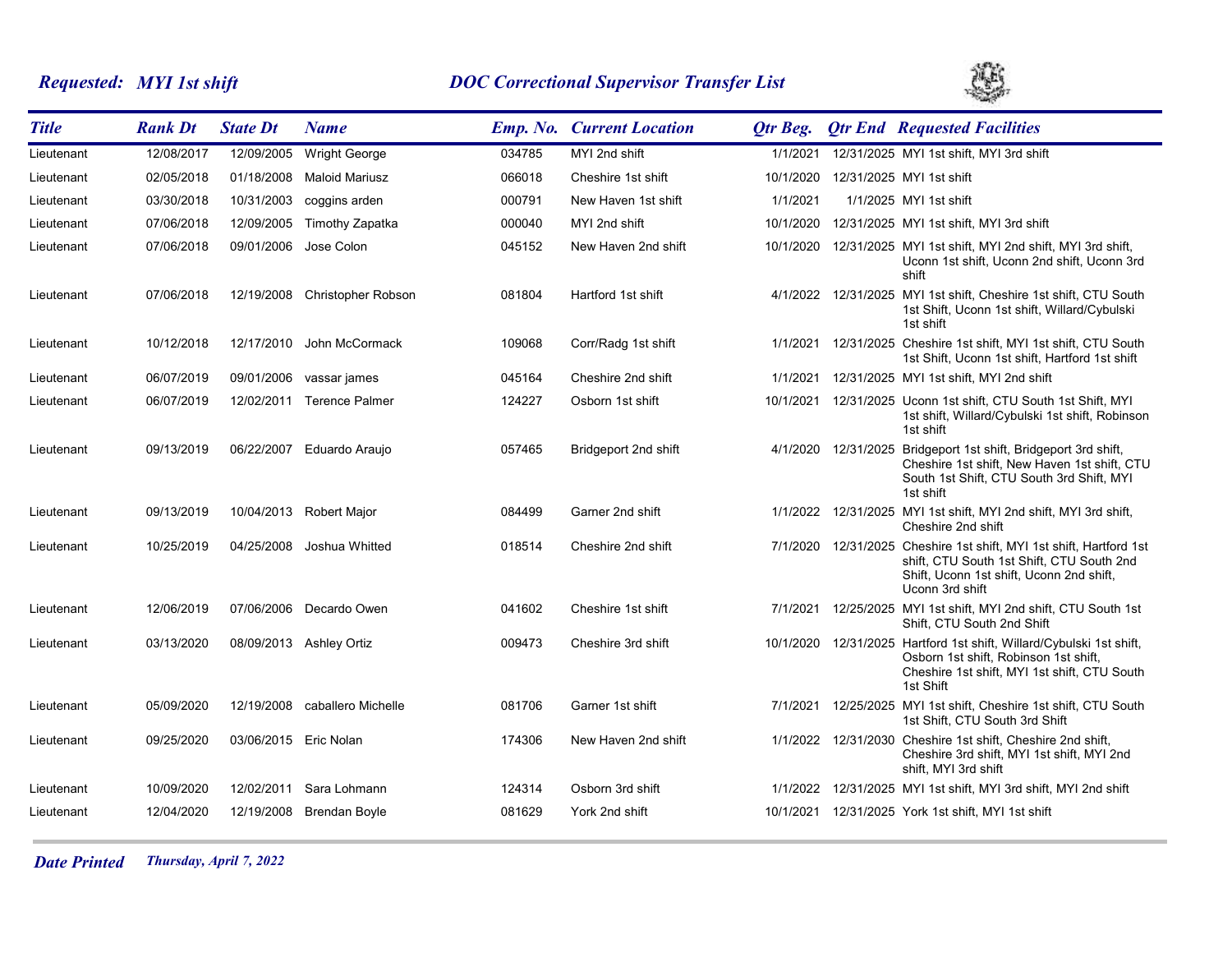# *Requested: MYI 1st shift DOC Correctional Supervisor Transfer List*



| <b>Title</b> | <b>Rank Dt</b> | <b>State Dt</b>       | <b>Name</b>               |        | <b>Emp. No. Current Location</b> | <b>Qtr Beg.</b> | <b>Qtr End Requested Facilities</b>                                                                                                                                    |
|--------------|----------------|-----------------------|---------------------------|--------|----------------------------------|-----------------|------------------------------------------------------------------------------------------------------------------------------------------------------------------------|
| Lieutenant   | 12/08/2017     | 12/09/2005            | <b>Wright George</b>      | 034785 | MYI 2nd shift                    | 1/1/2021        | 12/31/2025 MYI 1st shift, MYI 3rd shift                                                                                                                                |
| Lieutenant   | 02/05/2018     | 01/18/2008            | <b>Maloid Mariusz</b>     | 066018 | Cheshire 1st shift               | 10/1/2020       | 12/31/2025 MYI 1st shift                                                                                                                                               |
| Lieutenant   | 03/30/2018     | 10/31/2003            | coggins arden             | 000791 | New Haven 1st shift              | 1/1/2021        | 1/1/2025 MYI 1st shift                                                                                                                                                 |
| Lieutenant   | 07/06/2018     | 12/09/2005            | Timothy Zapatka           | 000040 | MYI 2nd shift                    | 10/1/2020       | 12/31/2025 MYI 1st shift, MYI 3rd shift                                                                                                                                |
| Lieutenant   | 07/06/2018     | 09/01/2006            | Jose Colon                | 045152 | New Haven 2nd shift              | 10/1/2020       | 12/31/2025 MYI 1st shift, MYI 2nd shift, MYI 3rd shift,<br>Uconn 1st shift, Uconn 2nd shift, Uconn 3rd<br>shift                                                        |
| Lieutenant   | 07/06/2018     | 12/19/2008            | <b>Christopher Robson</b> | 081804 | Hartford 1st shift               |                 | 4/1/2022 12/31/2025 MYI 1st shift, Cheshire 1st shift, CTU South<br>1st Shift, Uconn 1st shift, Willard/Cybulski<br>1st shift                                          |
| Lieutenant   | 10/12/2018     | 12/17/2010            | John McCormack            | 109068 | Corr/Radg 1st shift              | 1/1/2021        | 12/31/2025 Cheshire 1st shift, MYI 1st shift, CTU South<br>1st Shift, Uconn 1st shift, Hartford 1st shift                                                              |
| Lieutenant   | 06/07/2019     | 09/01/2006            | vassar james              | 045164 | Cheshire 2nd shift               | 1/1/2021        | 12/31/2025 MYI 1st shift, MYI 2nd shift                                                                                                                                |
| Lieutenant   | 06/07/2019     | 12/02/2011            | <b>Terence Palmer</b>     | 124227 | Osborn 1st shift                 | 10/1/2021       | 12/31/2025 Uconn 1st shift, CTU South 1st Shift, MYI<br>1st shift, Willard/Cybulski 1st shift, Robinson<br>1st shift                                                   |
| Lieutenant   | 09/13/2019     | 06/22/2007            | Eduardo Araujo            | 057465 | Bridgeport 2nd shift             | 4/1/2020        | 12/31/2025 Bridgeport 1st shift, Bridgeport 3rd shift,<br>Cheshire 1st shift, New Haven 1st shift, CTU<br>South 1st Shift, CTU South 3rd Shift, MYI<br>1st shift       |
| Lieutenant   | 09/13/2019     |                       | 10/04/2013 Robert Major   | 084499 | Garner 2nd shift                 | 1/1/2022        | 12/31/2025 MYI 1st shift, MYI 2nd shift, MYI 3rd shift,<br>Cheshire 2nd shift                                                                                          |
| Lieutenant   | 10/25/2019     | 04/25/2008            | Joshua Whitted            | 018514 | Cheshire 2nd shift               | 7/1/2020        | 12/31/2025 Cheshire 1st shift, MYI 1st shift, Hartford 1st<br>shift, CTU South 1st Shift, CTU South 2nd<br>Shift, Uconn 1st shift, Uconn 2nd shift,<br>Uconn 3rd shift |
| Lieutenant   | 12/06/2019     | 07/06/2006            | Decardo Owen              | 041602 | Cheshire 1st shift               | 7/1/2021        | 12/25/2025 MYI 1st shift, MYI 2nd shift, CTU South 1st<br>Shift, CTU South 2nd Shift                                                                                   |
| Lieutenant   | 03/13/2020     |                       | 08/09/2013 Ashley Ortiz   | 009473 | Cheshire 3rd shift               | 10/1/2020       | 12/31/2025 Hartford 1st shift, Willard/Cybulski 1st shift,<br>Osborn 1st shift, Robinson 1st shift,<br>Cheshire 1st shift, MYI 1st shift, CTU South<br>1st Shift       |
| Lieutenant   | 05/09/2020     | 12/19/2008            | caballero Michelle        | 081706 | Garner 1st shift                 | 7/1/2021        | 12/25/2025 MYI 1st shift, Cheshire 1st shift, CTU South<br>1st Shift, CTU South 3rd Shift                                                                              |
| Lieutenant   | 09/25/2020     | 03/06/2015 Eric Nolan |                           | 174306 | New Haven 2nd shift              | 1/1/2022        | 12/31/2030 Cheshire 1st shift, Cheshire 2nd shift,<br>Cheshire 3rd shift, MYI 1st shift, MYI 2nd<br>shift. MYI 3rd shift                                               |
| Lieutenant   | 10/09/2020     | 12/02/2011            | Sara Lohmann              | 124314 | Osborn 3rd shift                 | 1/1/2022        | 12/31/2025 MYI 1st shift, MYI 3rd shift, MYI 2nd shift                                                                                                                 |
| Lieutenant   | 12/04/2020     |                       | 12/19/2008 Brendan Boyle  | 081629 | York 2nd shift                   |                 | 10/1/2021 12/31/2025 York 1st shift, MYI 1st shift                                                                                                                     |

*Date Printed Thursday, April 7, 2022*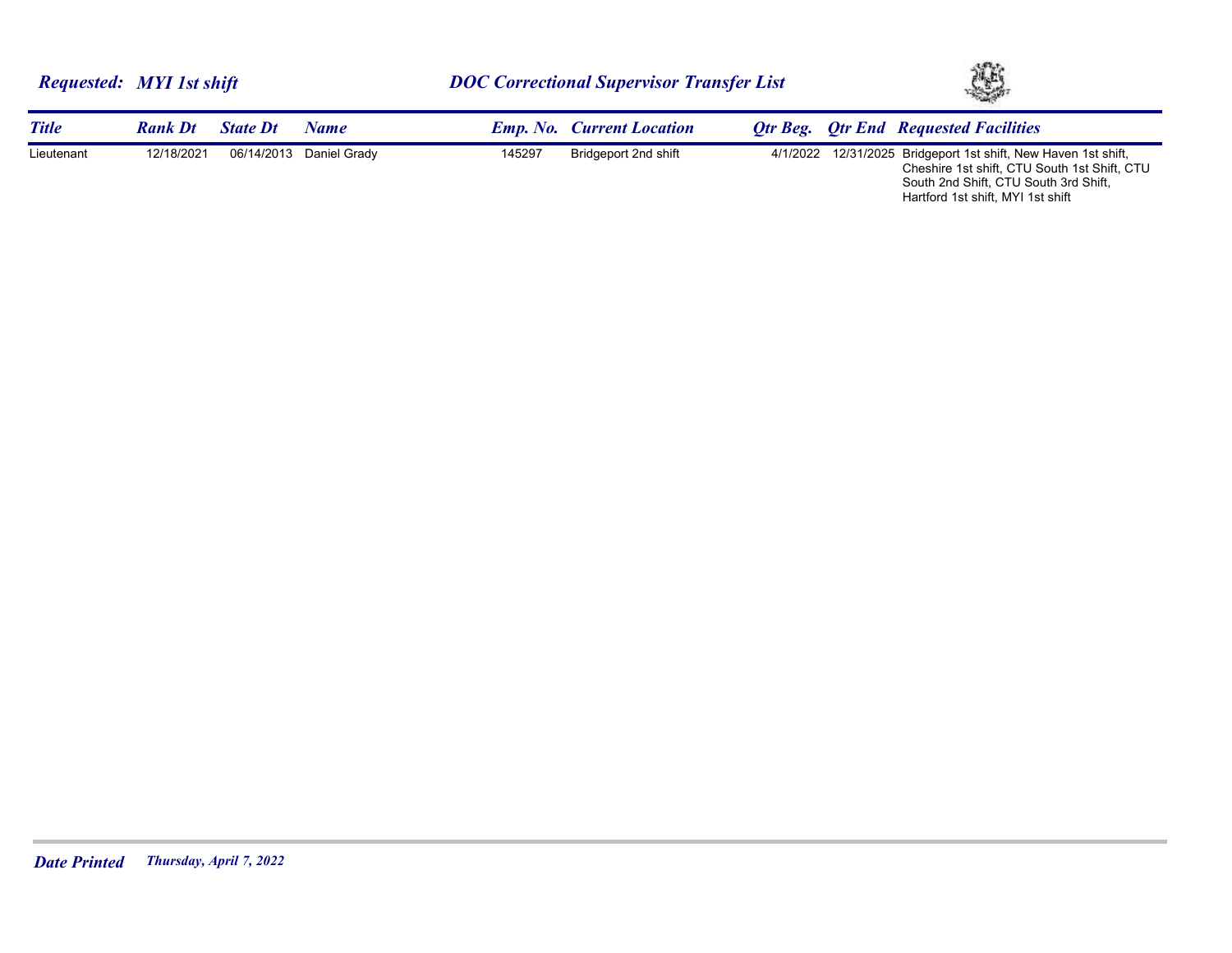Hartford 1st shift, MYI 1st shift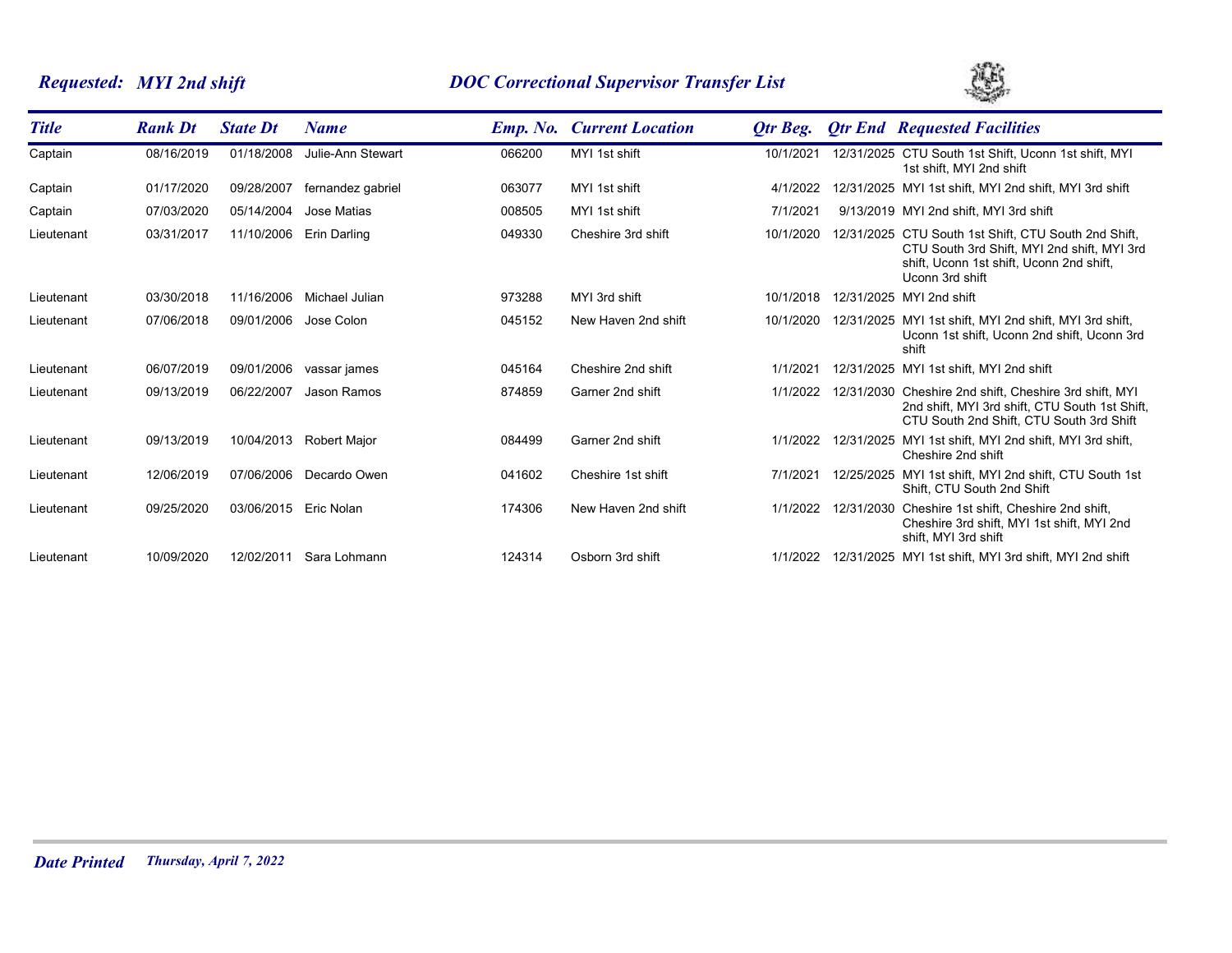# *Requested: MYI 2nd shift DOC Correctional Supervisor Transfer List*



| <b>Title</b> | <b>Rank Dt</b> | <b>State Dt</b> | <b>Name</b>         |        | <b>Emp. No. Current Location</b> | Otr Beg.  |            | <b>Qtr End Requested Facilities</b>                                                                                                                                |
|--------------|----------------|-----------------|---------------------|--------|----------------------------------|-----------|------------|--------------------------------------------------------------------------------------------------------------------------------------------------------------------|
| Captain      | 08/16/2019     | 01/18/2008      | Julie-Ann Stewart   | 066200 | MYI 1st shift                    | 10/1/2021 |            | 12/31/2025 CTU South 1st Shift, Uconn 1st shift, MYI<br>1st shift, MYI 2nd shift                                                                                   |
| Captain      | 01/17/2020     | 09/28/2007      | fernandez gabriel   | 063077 | MYI 1st shift                    | 4/1/2022  |            | 12/31/2025 MYI 1st shift, MYI 2nd shift, MYI 3rd shift                                                                                                             |
| Captain      | 07/03/2020     | 05/14/2004      | <b>Jose Matias</b>  | 008505 | MYI 1st shift                    | 7/1/2021  |            | 9/13/2019 MYI 2nd shift. MYI 3rd shift                                                                                                                             |
| Lieutenant   | 03/31/2017     | 11/10/2006      | Erin Darling        | 049330 | Cheshire 3rd shift               | 10/1/2020 |            | 12/31/2025 CTU South 1st Shift, CTU South 2nd Shift,<br>CTU South 3rd Shift, MYI 2nd shift, MYI 3rd<br>shift, Uconn 1st shift, Uconn 2nd shift,<br>Uconn 3rd shift |
| Lieutenant   | 03/30/2018     | 11/16/2006      | Michael Julian      | 973288 | MYI 3rd shift                    | 10/1/2018 |            | 12/31/2025 MYI 2nd shift                                                                                                                                           |
| Lieutenant   | 07/06/2018     | 09/01/2006      | Jose Colon          | 045152 | New Haven 2nd shift              | 10/1/2020 |            | 12/31/2025 MYI 1st shift. MYI 2nd shift. MYI 3rd shift.<br>Uconn 1st shift, Uconn 2nd shift, Uconn 3rd<br>shift                                                    |
| Lieutenant   | 06/07/2019     | 09/01/2006      | vassar james        | 045164 | Cheshire 2nd shift               | 1/1/2021  |            | 12/31/2025 MYI 1st shift, MYI 2nd shift                                                                                                                            |
| Lieutenant   | 09/13/2019     | 06/22/2007      | Jason Ramos         | 874859 | Garner 2nd shift                 | 1/1/2022  |            | 12/31/2030 Cheshire 2nd shift, Cheshire 3rd shift, MYI<br>2nd shift, MYI 3rd shift, CTU South 1st Shift,<br>CTU South 2nd Shift, CTU South 3rd Shift               |
| Lieutenant   | 09/13/2019     | 10/04/2013      | <b>Robert Major</b> | 084499 | Garner 2nd shift                 | 1/1/2022  | 12/31/2025 | MYI 1st shift, MYI 2nd shift, MYI 3rd shift,<br>Cheshire 2nd shift                                                                                                 |
| Lieutenant   | 12/06/2019     | 07/06/2006      | Decardo Owen        | 041602 | Cheshire 1st shift               | 7/1/2021  |            | 12/25/2025 MYI 1st shift, MYI 2nd shift, CTU South 1st<br>Shift, CTU South 2nd Shift                                                                               |
| Lieutenant   | 09/25/2020     | 03/06/2015      | Eric Nolan          | 174306 | New Haven 2nd shift              | 1/1/2022  | 12/31/2030 | Cheshire 1st shift, Cheshire 2nd shift,<br>Cheshire 3rd shift, MYI 1st shift, MYI 2nd<br>shift, MYI 3rd shift                                                      |
| Lieutenant   | 10/09/2020     | 12/02/2011      | Sara Lohmann        | 124314 | Osborn 3rd shift                 | 1/1/2022  |            | 12/31/2025 MYI 1st shift, MYI 3rd shift, MYI 2nd shift                                                                                                             |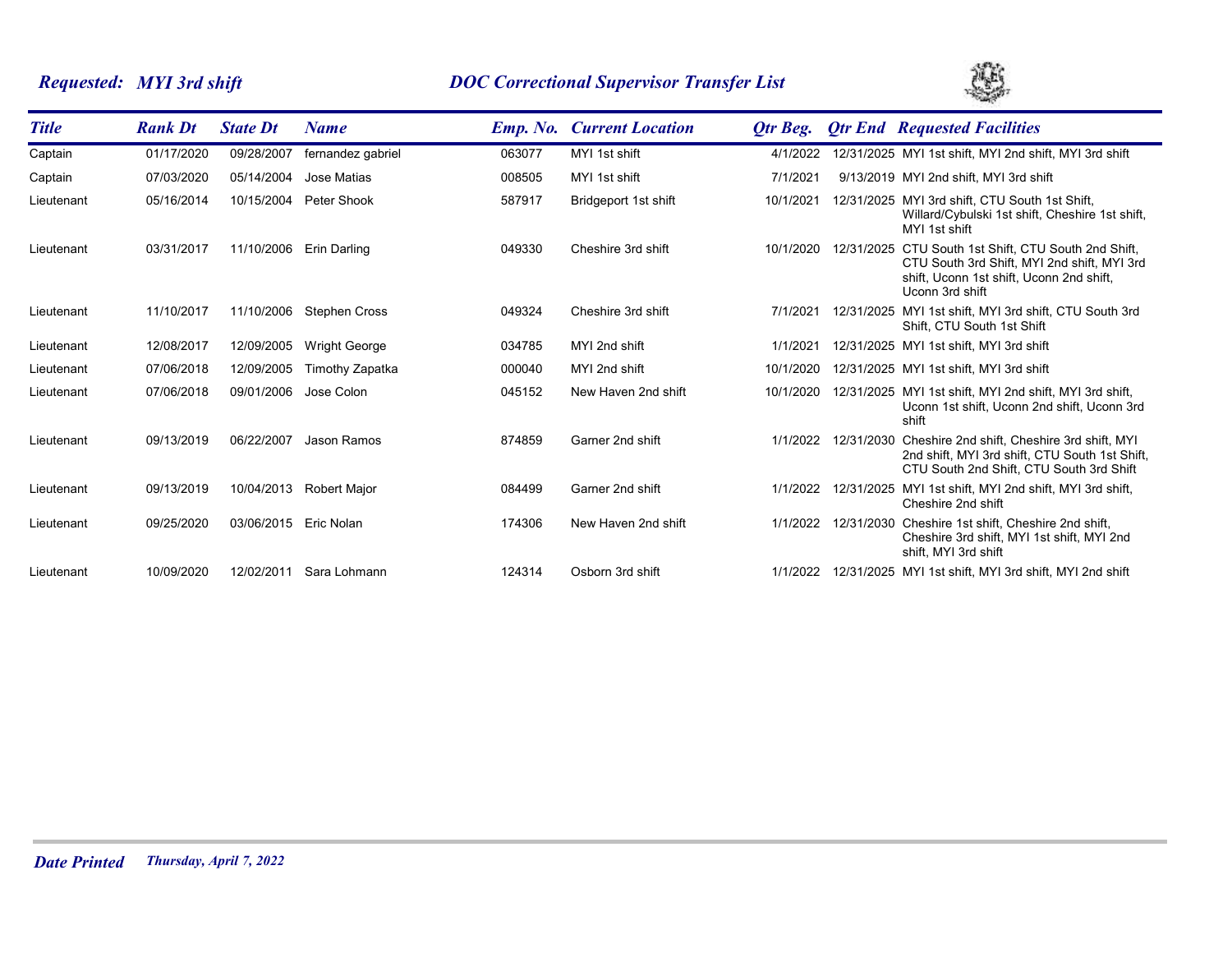# *Requested: MYI 3rd shift DOC Correctional Supervisor Transfer List*



| <b>Title</b> | <b>Rank Dt</b> | <b>State Dt</b> | <b>Name</b>             |        | <b>Emp. No. Current Location</b> | Otr Beg.  | <b>Qtr End Requested Facilities</b>                                                                                                                                |
|--------------|----------------|-----------------|-------------------------|--------|----------------------------------|-----------|--------------------------------------------------------------------------------------------------------------------------------------------------------------------|
| Captain      | 01/17/2020     | 09/28/2007      | fernandez gabriel       | 063077 | MYI 1st shift                    | 4/1/2022  | 12/31/2025 MYI 1st shift, MYI 2nd shift, MYI 3rd shift                                                                                                             |
| Captain      | 07/03/2020     | 05/14/2004      | Jose Matias             | 008505 | MYI 1st shift                    | 7/1/2021  | 9/13/2019 MYI 2nd shift. MYI 3rd shift                                                                                                                             |
| Lieutenant   | 05/16/2014     | 10/15/2004      | Peter Shook             | 587917 | Bridgeport 1st shift             | 10/1/2021 | 12/31/2025 MYI 3rd shift, CTU South 1st Shift,<br>Willard/Cybulski 1st shift, Cheshire 1st shift,<br>MYI 1st shift                                                 |
| Lieutenant   | 03/31/2017     |                 | 11/10/2006 Erin Darling | 049330 | Cheshire 3rd shift               | 10/1/2020 | 12/31/2025 CTU South 1st Shift, CTU South 2nd Shift,<br>CTU South 3rd Shift, MYI 2nd shift, MYI 3rd<br>shift, Uconn 1st shift, Uconn 2nd shift,<br>Uconn 3rd shift |
| Lieutenant   | 11/10/2017     | 11/10/2006      | Stephen Cross           | 049324 | Cheshire 3rd shift               | 7/1/2021  | 12/31/2025 MYI 1st shift, MYI 3rd shift, CTU South 3rd<br>Shift, CTU South 1st Shift                                                                               |
| Lieutenant   | 12/08/2017     | 12/09/2005      | <b>Wright George</b>    | 034785 | MYI 2nd shift                    | 1/1/2021  | 12/31/2025 MYI 1st shift, MYI 3rd shift                                                                                                                            |
| Lieutenant   | 07/06/2018     | 12/09/2005      | Timothy Zapatka         | 000040 | MYI 2nd shift                    | 10/1/2020 | 12/31/2025 MYI 1st shift, MYI 3rd shift                                                                                                                            |
| Lieutenant   | 07/06/2018     | 09/01/2006      | Jose Colon              | 045152 | New Haven 2nd shift              | 10/1/2020 | 12/31/2025 MYI 1st shift, MYI 2nd shift, MYI 3rd shift,<br>Uconn 1st shift, Uconn 2nd shift, Uconn 3rd<br>shift                                                    |
| Lieutenant   | 09/13/2019     | 06/22/2007      | Jason Ramos             | 874859 | Garner 2nd shift                 | 1/1/2022  | 12/31/2030 Cheshire 2nd shift, Cheshire 3rd shift, MYI<br>2nd shift. MYI 3rd shift. CTU South 1st Shift.<br>CTU South 2nd Shift, CTU South 3rd Shift               |
| Lieutenant   | 09/13/2019     | 10/04/2013      | <b>Robert Major</b>     | 084499 | Garner 2nd shift                 | 1/1/2022  | 12/31/2025 MYI 1st shift, MYI 2nd shift, MYI 3rd shift,<br>Cheshire 2nd shift                                                                                      |
| Lieutenant   | 09/25/2020     | 03/06/2015      | Eric Nolan              | 174306 | New Haven 2nd shift              | 1/1/2022  | 12/31/2030 Cheshire 1st shift, Cheshire 2nd shift,<br>Cheshire 3rd shift, MYI 1st shift, MYI 2nd<br>shift. MYI 3rd shift                                           |
| Lieutenant   | 10/09/2020     | 12/02/2011      | Sara Lohmann            | 124314 | Osborn 3rd shift                 | 1/1/2022  | 12/31/2025 MYI 1st shift, MYI 3rd shift, MYI 2nd shift                                                                                                             |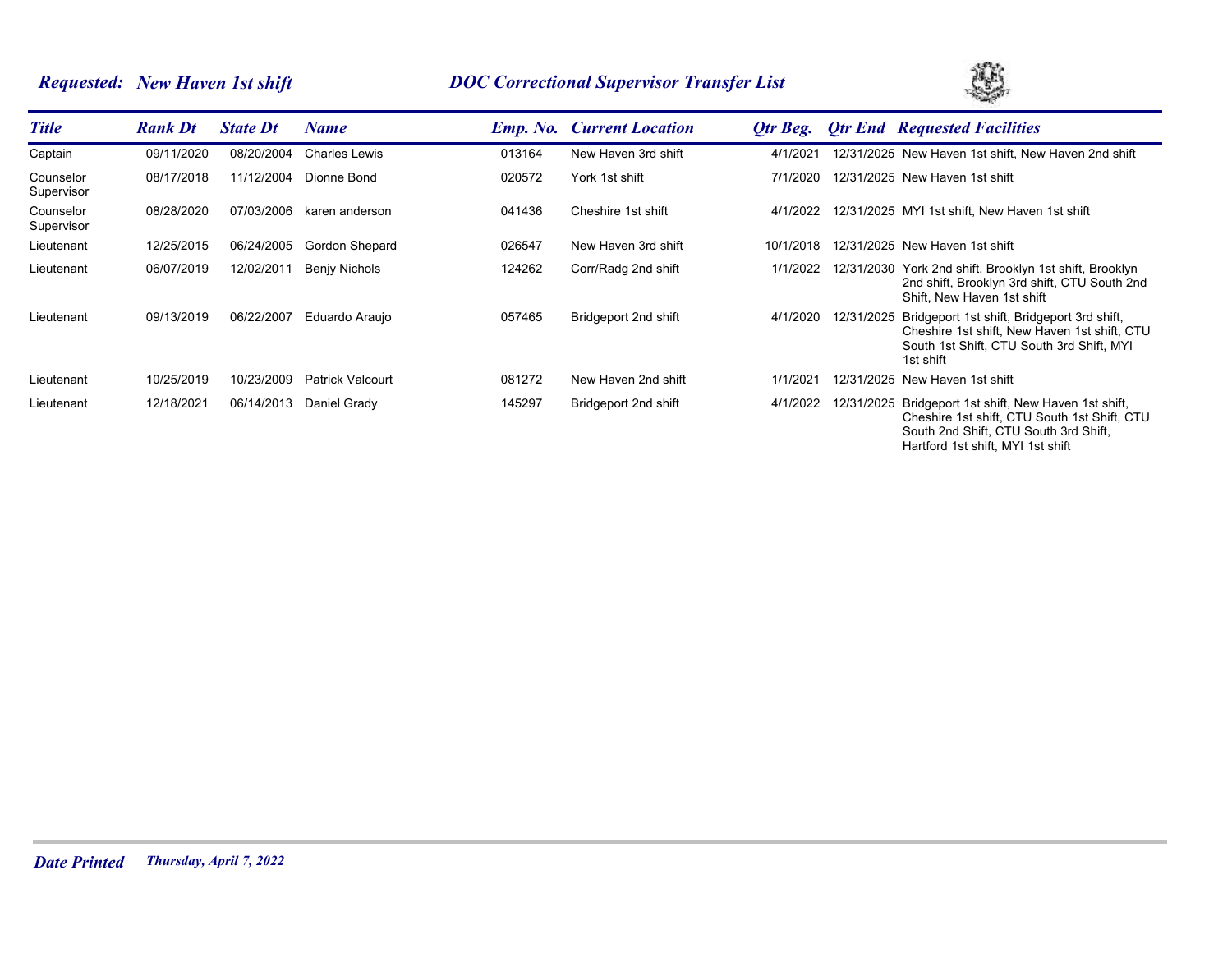# *Requested: New Haven 1st shift DOC Correctional Supervisor Transfer List*



| <b>Title</b>            | <b>Rank Dt</b> | <b>State Dt</b> | Name                    |        | <b>Emp. No. Current Location</b> | Otr Beg.  |            | <b>Otr End Requested Facilities</b>                                                                                                                                                 |
|-------------------------|----------------|-----------------|-------------------------|--------|----------------------------------|-----------|------------|-------------------------------------------------------------------------------------------------------------------------------------------------------------------------------------|
| Captain                 | 09/11/2020     | 08/20/2004      | <b>Charles Lewis</b>    | 013164 | New Haven 3rd shift              | 4/1/2021  |            | 12/31/2025 New Haven 1st shift, New Haven 2nd shift                                                                                                                                 |
| Counselor<br>Supervisor | 08/17/2018     | 11/12/2004      | Dionne Bond             | 020572 | York 1st shift                   | 7/1/2020  |            | 12/31/2025 New Haven 1st shift                                                                                                                                                      |
| Counselor<br>Supervisor | 08/28/2020     | 07/03/2006      | karen anderson          | 041436 | Cheshire 1st shift               | 4/1/2022  |            | 12/31/2025 MYI 1st shift, New Haven 1st shift                                                                                                                                       |
| Lieutenant              | 12/25/2015     | 06/24/2005      | Gordon Shepard          | 026547 | New Haven 3rd shift              | 10/1/2018 |            | 12/31/2025 New Haven 1st shift                                                                                                                                                      |
| Lieutenant              | 06/07/2019     | 12/02/2011      | <b>Benjy Nichols</b>    | 124262 | Corr/Radg 2nd shift              | 1/1/2022  |            | 12/31/2030 York 2nd shift, Brooklyn 1st shift, Brooklyn<br>2nd shift, Brooklyn 3rd shift, CTU South 2nd<br>Shift. New Haven 1st shift                                               |
| Lieutenant              | 09/13/2019     | 06/22/2007      | Eduardo Araujo          | 057465 | Bridgeport 2nd shift             | 4/1/2020  | 12/31/2025 | Bridgeport 1st shift, Bridgeport 3rd shift,<br>Cheshire 1st shift, New Haven 1st shift, CTU<br>South 1st Shift, CTU South 3rd Shift, MYI<br>1st shift                               |
| Lieutenant              | 10/25/2019     | 10/23/2009      | <b>Patrick Valcourt</b> | 081272 | New Haven 2nd shift              | 1/1/2021  |            | 12/31/2025 New Haven 1st shift                                                                                                                                                      |
| Lieutenant              | 12/18/2021     | 06/14/2013      | Daniel Grady            | 145297 | Bridgeport 2nd shift             | 4/1/2022  |            | 12/31/2025 Bridgeport 1st shift, New Haven 1st shift,<br>Cheshire 1st shift, CTU South 1st Shift, CTU<br>South 2nd Shift, CTU South 3rd Shift,<br>Hartford 1st shift, MYI 1st shift |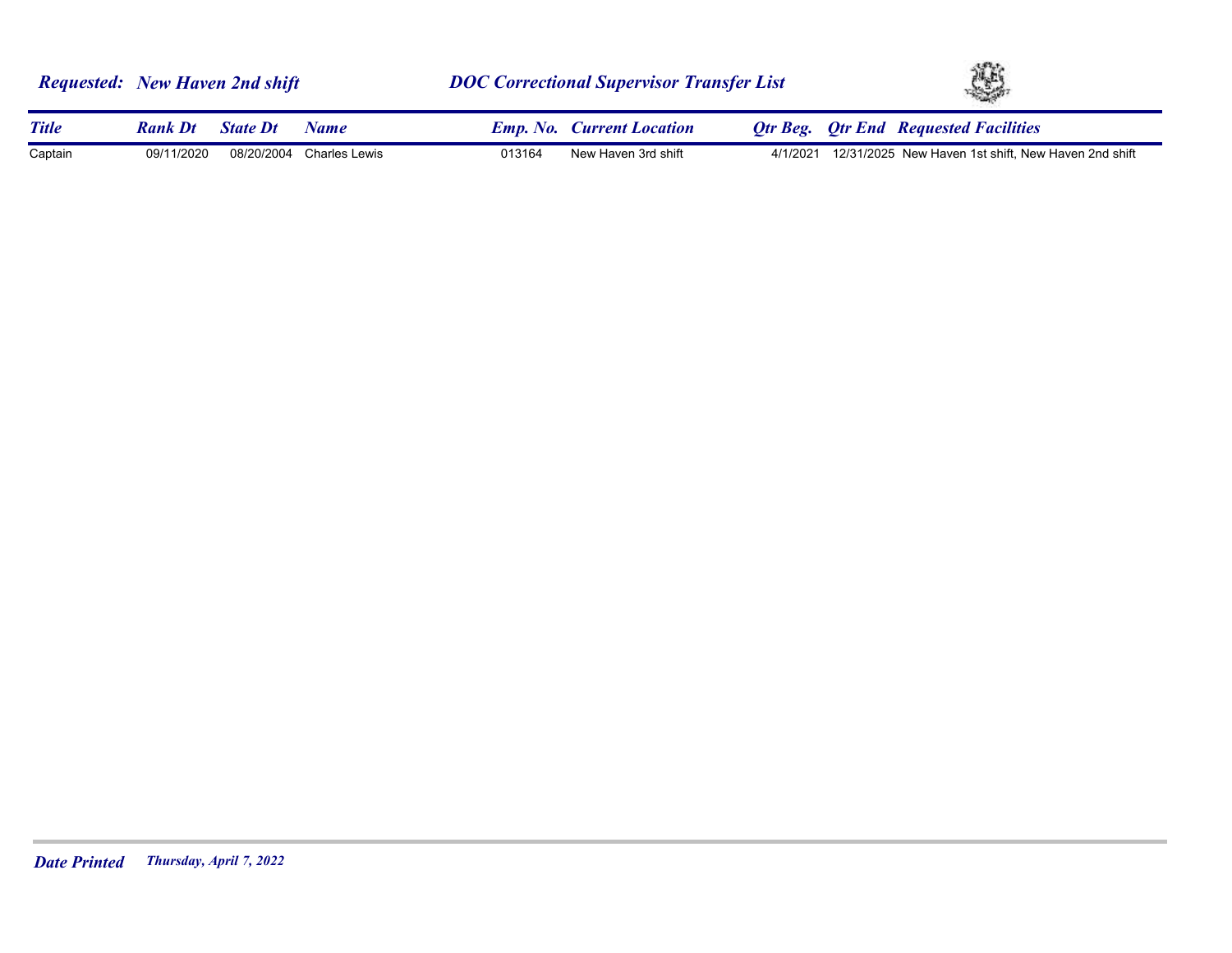|              | <b>Requested:</b> New Haven 2nd shift |                 |                          | <b>DOC Correctional Supervisor Transfer List</b> |                                  |  | ¥ |                                                              |  |
|--------------|---------------------------------------|-----------------|--------------------------|--------------------------------------------------|----------------------------------|--|---|--------------------------------------------------------------|--|
| <b>Title</b> | <b>Rank Dt</b>                        | <b>State Dt</b> | <b>Name</b>              |                                                  | <b>Emp. No.</b> Current Location |  |   | <b>Otr Beg.</b> Otr End Requested Facilities                 |  |
| Captain      | 09/11/2020                            |                 | 08/20/2004 Charles Lewis | 013164                                           | New Haven 3rd shift              |  |   | 4/1/2021 12/31/2025 New Haven 1st shift, New Haven 2nd shift |  |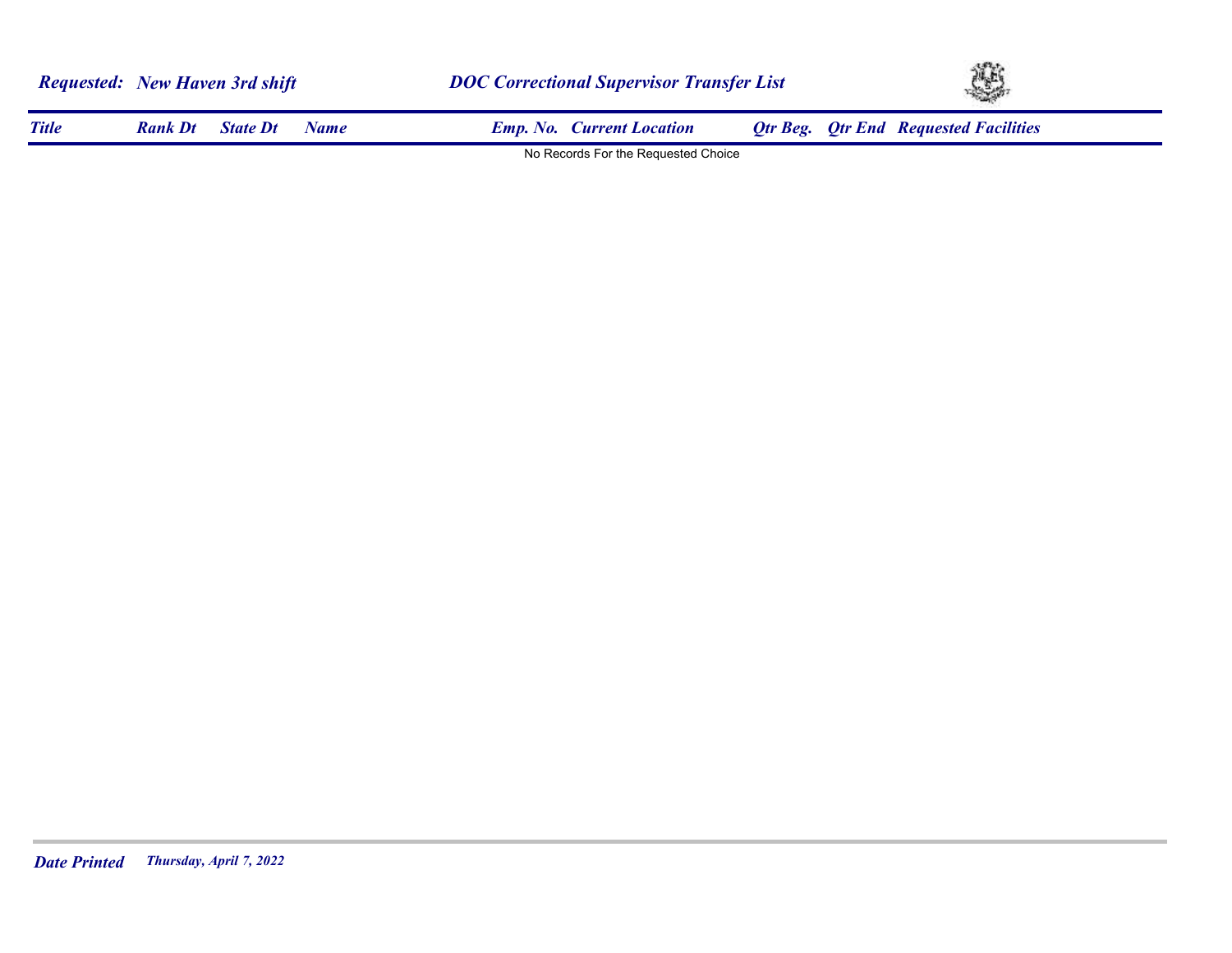| <b>Requested:</b> New Haven 3rd shift |                |                 |             | <b>DOC Correctional Supervisor Transfer List</b> | YS. |                                              |  |
|---------------------------------------|----------------|-----------------|-------------|--------------------------------------------------|-----|----------------------------------------------|--|
| <b>Title</b>                          | <b>Rank Dt</b> | <b>State Dt</b> | <b>Name</b> | <b>Emp. No. Current Location</b>                 |     | <b>Qtr Beg. Qtr End Requested Facilities</b> |  |
|                                       |                |                 |             | No Records For the Requested Choice              |     |                                              |  |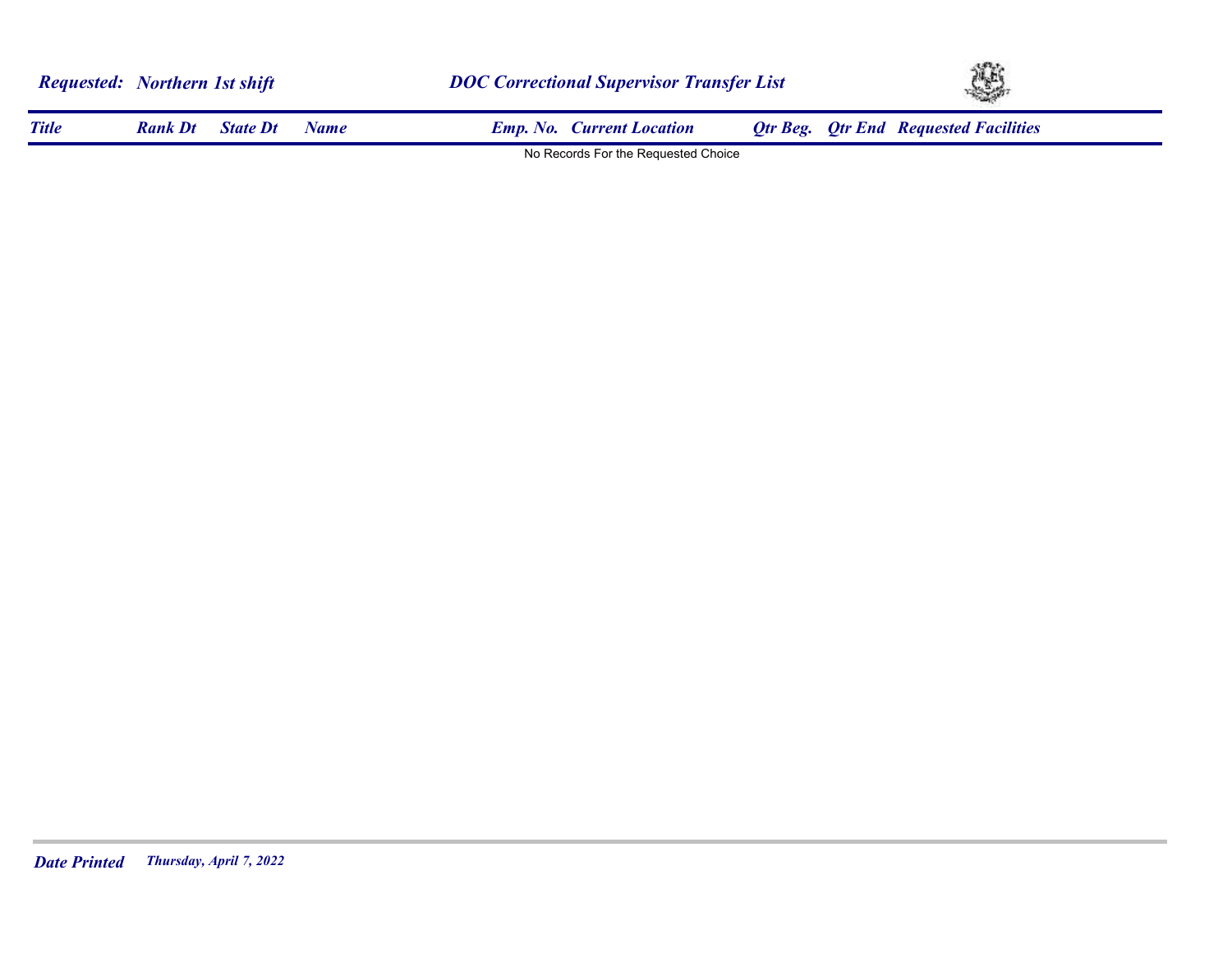| <b>Requested:</b> Northern 1st shift |                |                 |             | <b>DOC Correctional Supervisor Transfer List</b> | YE.                                          |  |  |
|--------------------------------------|----------------|-----------------|-------------|--------------------------------------------------|----------------------------------------------|--|--|
| <b>Title</b>                         | <b>Rank Dt</b> | <b>State Dt</b> | <b>Name</b> | <b>Emp. No. Current Location</b>                 | <b>Qtr Beg.</b> Qtr End Requested Facilities |  |  |
|                                      |                |                 |             | No Records For the Requested Choice              |                                              |  |  |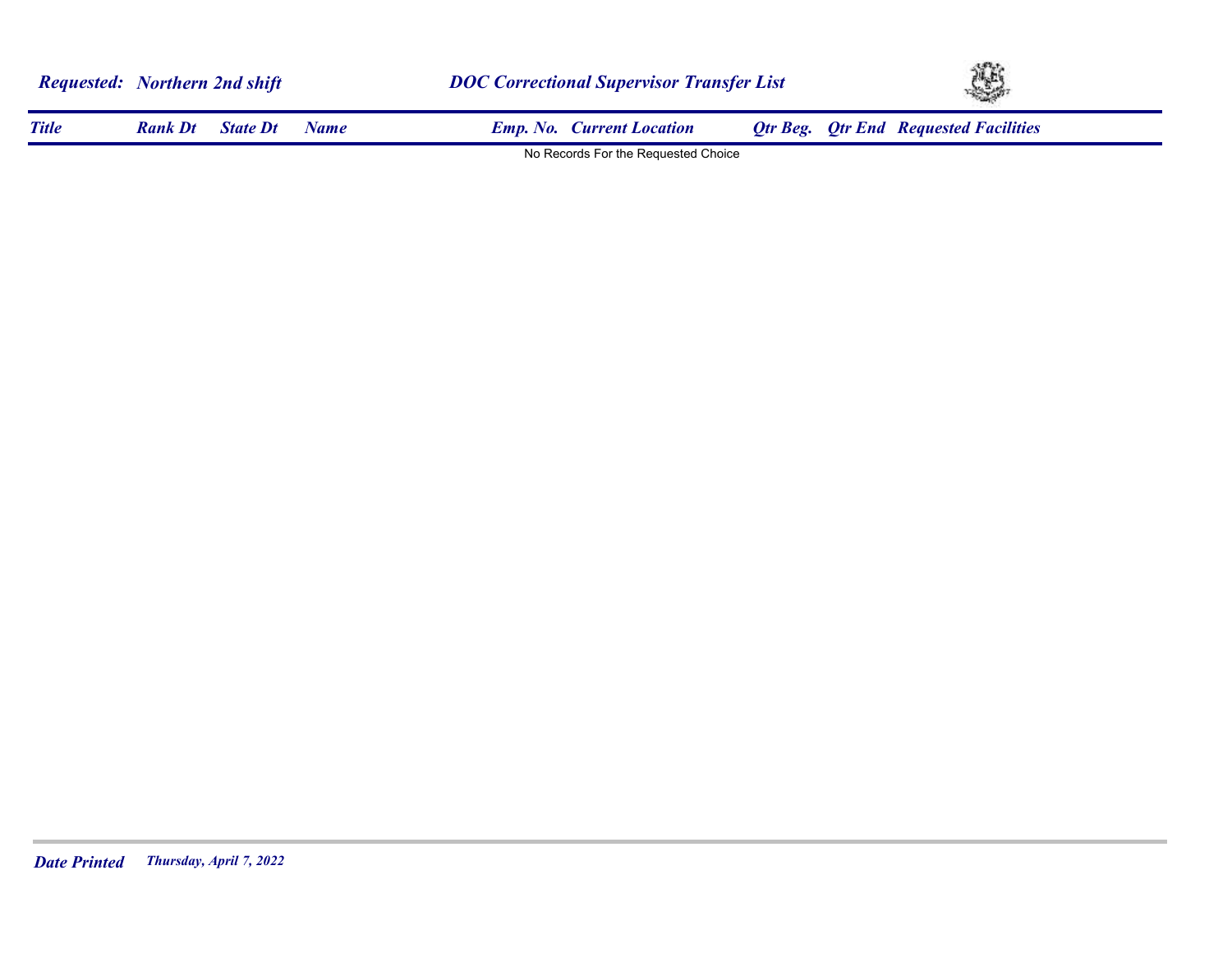| <b>Requested:</b> Northern 2nd shift |                |                 |             |                                     | <b>DOC Correctional Supervisor Transfer List</b> |                                              |  |
|--------------------------------------|----------------|-----------------|-------------|-------------------------------------|--------------------------------------------------|----------------------------------------------|--|
| <b>Title</b>                         | <b>Rank Dt</b> | <b>State Dt</b> | <b>Name</b> | <b>Emp. No. Current Location</b>    |                                                  | <b>Qtr Beg.</b> Qtr End Requested Facilities |  |
|                                      |                |                 |             | No Records For the Requested Choice |                                                  |                                              |  |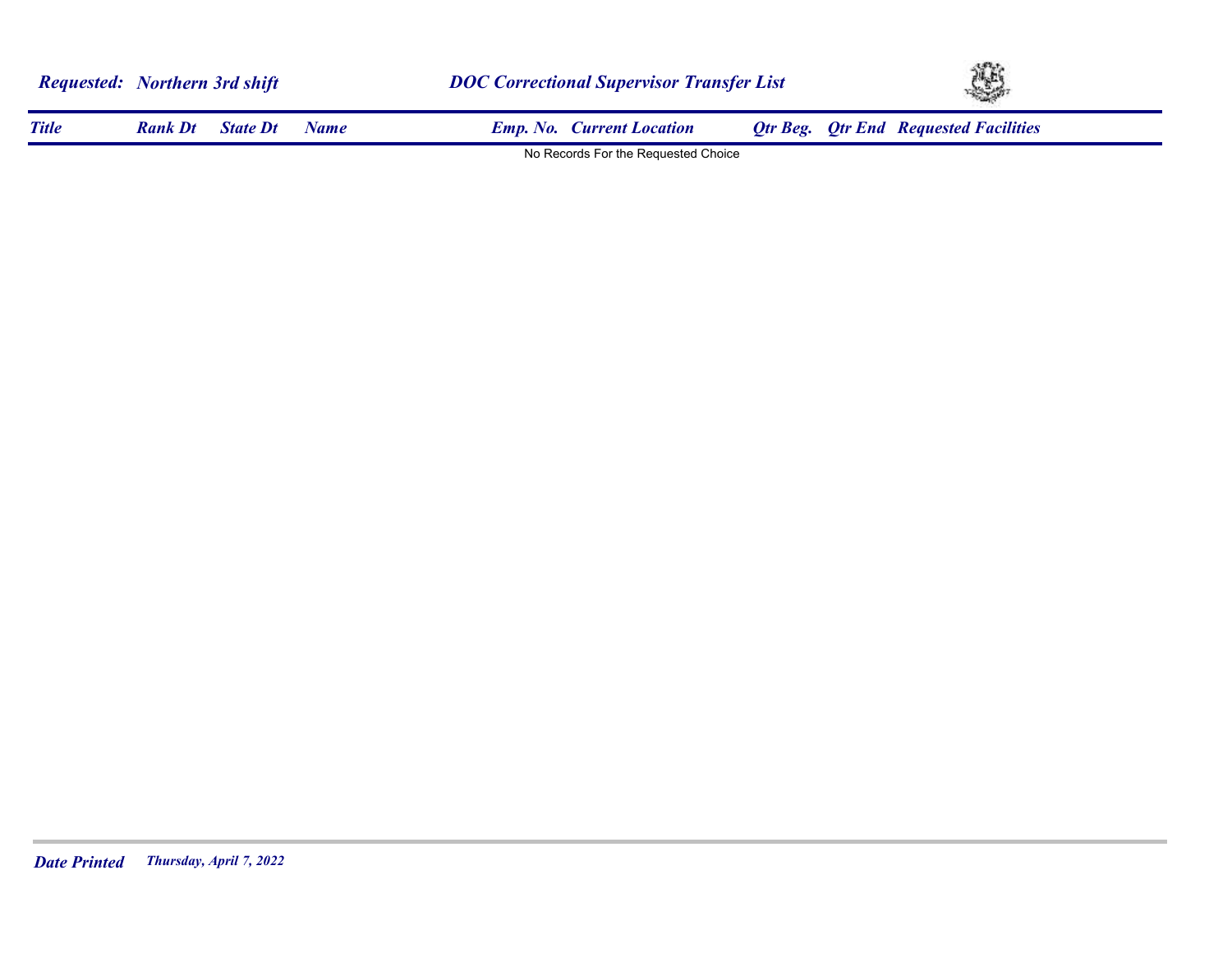| <b>Requested: Northern 3rd shift</b> |                |                 |             | <b>DOC Correctional Supervisor Transfer List</b> | Ą,                                           |  |  |
|--------------------------------------|----------------|-----------------|-------------|--------------------------------------------------|----------------------------------------------|--|--|
| <b>Title</b>                         | <b>Rank Dt</b> | <b>State Dt</b> | <b>Name</b> | <b>Emp. No. Current Location</b>                 | <b>Qtr Beg.</b> Qtr End Requested Facilities |  |  |
|                                      |                |                 |             | No Records For the Requested Choice              |                                              |  |  |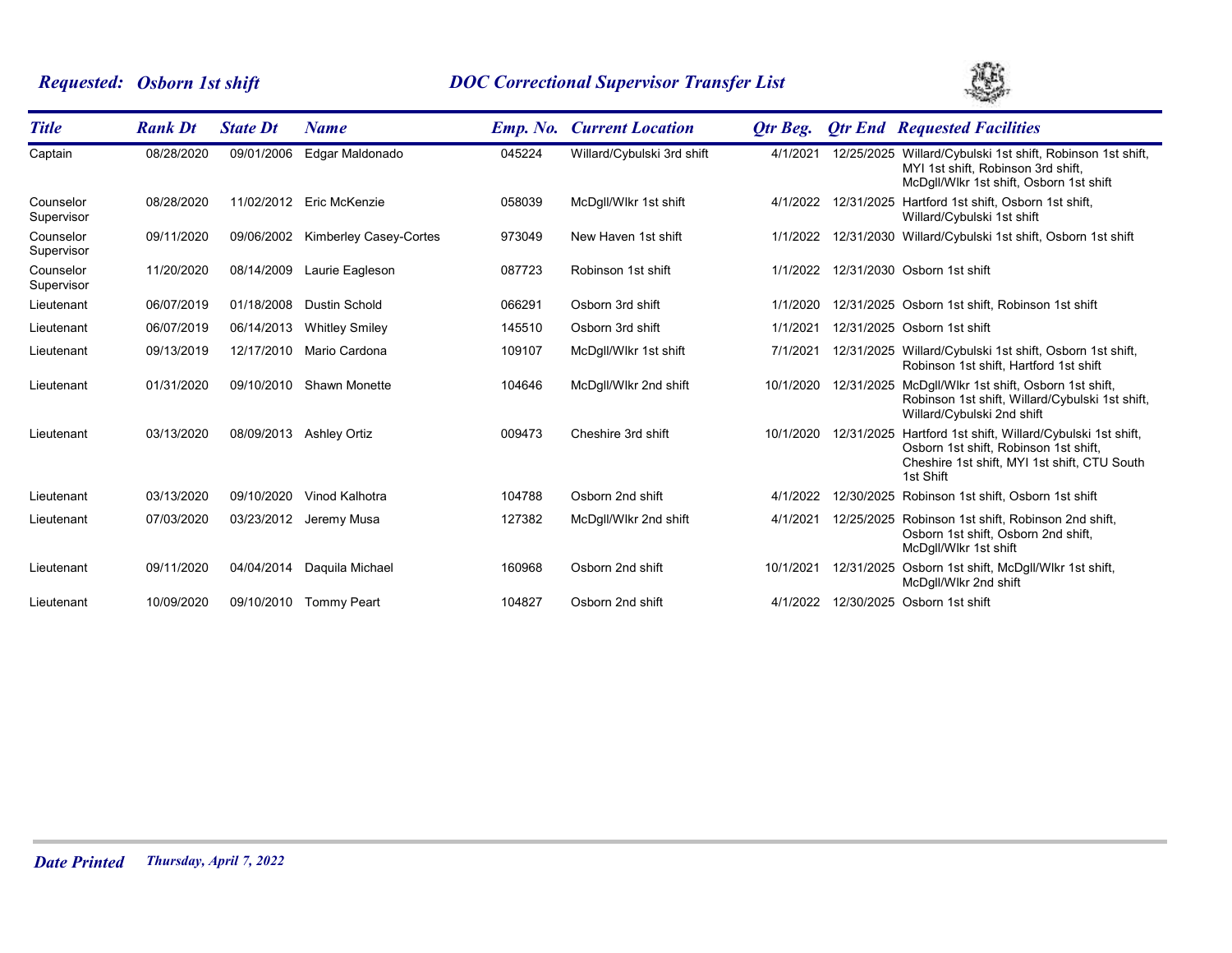# *Requested: Osborn 1st shift DOC Correctional Supervisor Transfer List*



| <b>Title</b>            | <b>Rank Dt</b> | <b>State Dt</b> | <b>Name</b>                   | <b>Emp.</b> No. | <b>Current Location</b>    | Otr Beg.  |            | <b>Otr End Requested Facilities</b>                                                                                                                   |
|-------------------------|----------------|-----------------|-------------------------------|-----------------|----------------------------|-----------|------------|-------------------------------------------------------------------------------------------------------------------------------------------------------|
| Captain                 | 08/28/2020     | 09/01/2006      | Edgar Maldonado               | 045224          | Willard/Cybulski 3rd shift | 4/1/2021  |            | 12/25/2025 Willard/Cybulski 1st shift, Robinson 1st shift,<br>MYI 1st shift, Robinson 3rd shift,<br>McDgll/Wlkr 1st shift, Osborn 1st shift           |
| Counselor<br>Supervisor | 08/28/2020     |                 | 11/02/2012 Eric McKenzie      | 058039          | McDgll/Wlkr 1st shift      | 4/1/2022  | 12/31/2025 | Hartford 1st shift, Osborn 1st shift,<br>Willard/Cybulski 1st shift                                                                                   |
| Counselor<br>Supervisor | 09/11/2020     | 09/06/2002      | <b>Kimberley Casey-Cortes</b> | 973049          | New Haven 1st shift        | 1/1/2022  |            | 12/31/2030 Willard/Cybulski 1st shift, Osborn 1st shift                                                                                               |
| Counselor<br>Supervisor | 11/20/2020     | 08/14/2009      | Laurie Eagleson               | 087723          | Robinson 1st shift         | 1/1/2022  |            | 12/31/2030 Osborn 1st shift                                                                                                                           |
| Lieutenant              | 06/07/2019     | 01/18/2008      | <b>Dustin Schold</b>          | 066291          | Osborn 3rd shift           | 1/1/2020  |            | 12/31/2025 Osborn 1st shift, Robinson 1st shift                                                                                                       |
| Lieutenant              | 06/07/2019     | 06/14/2013      | <b>Whitley Smiley</b>         | 145510          | Osborn 3rd shift           | 1/1/2021  |            | 12/31/2025 Osborn 1st shift                                                                                                                           |
| Lieutenant              | 09/13/2019     | 12/17/2010      | Mario Cardona                 | 109107          | McDgll/Wlkr 1st shift      | 7/1/2021  |            | 12/31/2025 Willard/Cybulski 1st shift, Osborn 1st shift,<br>Robinson 1st shift, Hartford 1st shift                                                    |
| Lieutenant              | 01/31/2020     | 09/10/2010      | Shawn Monette                 | 104646          | McDgll/Wlkr 2nd shift      | 10/1/2020 | 12/31/2025 | McDgll/Wlkr 1st shift, Osborn 1st shift,<br>Robinson 1st shift, Willard/Cybulski 1st shift,<br>Willard/Cybulski 2nd shift                             |
| Lieutenant              | 03/13/2020     | 08/09/2013      | Ashley Ortiz                  | 009473          | Cheshire 3rd shift         | 10/1/2020 | 12/31/2025 | Hartford 1st shift, Willard/Cybulski 1st shift,<br>Osborn 1st shift, Robinson 1st shift,<br>Cheshire 1st shift, MYI 1st shift, CTU South<br>1st Shift |
| Lieutenant              | 03/13/2020     | 09/10/2020      | Vinod Kalhotra                | 104788          | Osborn 2nd shift           | 4/1/2022  |            | 12/30/2025 Robinson 1st shift, Osborn 1st shift                                                                                                       |
| Lieutenant              | 07/03/2020     | 03/23/2012      | Jeremy Musa                   | 127382          | McDgll/Wlkr 2nd shift      | 4/1/2021  |            | 12/25/2025 Robinson 1st shift, Robinson 2nd shift,<br>Osborn 1st shift, Osborn 2nd shift,<br>McDgll/Wlkr 1st shift                                    |
| Lieutenant              | 09/11/2020     | 04/04/2014      | Daquila Michael               | 160968          | Osborn 2nd shift           | 10/1/2021 | 12/31/2025 | Osborn 1st shift, McDgll/Wlkr 1st shift,<br>McDgll/Wlkr 2nd shift                                                                                     |
| Lieutenant              | 10/09/2020     |                 | 09/10/2010 Tommy Peart        | 104827          | Osborn 2nd shift           | 4/1/2022  |            | 12/30/2025 Osborn 1st shift                                                                                                                           |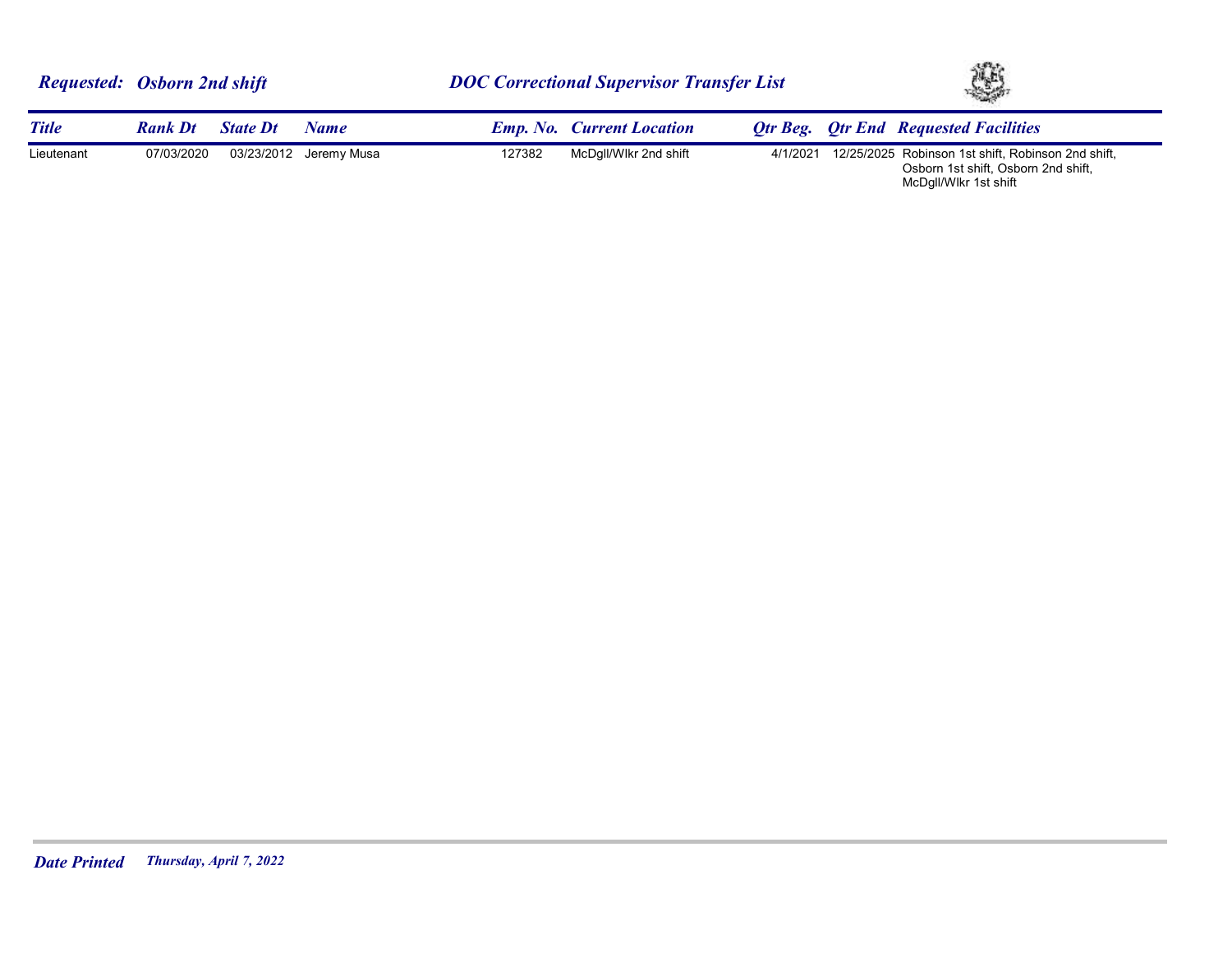|              | <b>Requested:</b> Osborn 2nd shift |                 |                        | <b>DOC Correctional Supervisor Transfer List</b> |                                  |  | XB. |                                                                                                    |  |
|--------------|------------------------------------|-----------------|------------------------|--------------------------------------------------|----------------------------------|--|-----|----------------------------------------------------------------------------------------------------|--|
| <b>Title</b> | <b>Rank Dt</b>                     | <b>State Dt</b> | Name                   |                                                  | <b>Emp. No. Current Location</b> |  |     | <b>Otr Beg.</b> Otr End Requested Facilities                                                       |  |
| Lieutenant   | 07/03/2020                         |                 | 03/23/2012 Jeremy Musa | 127382                                           | McDqll/Wlkr 2nd shift            |  |     | 4/1/2021 12/25/2025 Robinson 1st shift, Robinson 2nd shift,<br>Osborn 1st shift, Osborn 2nd shift, |  |

McDgll/Wlkr 1st shift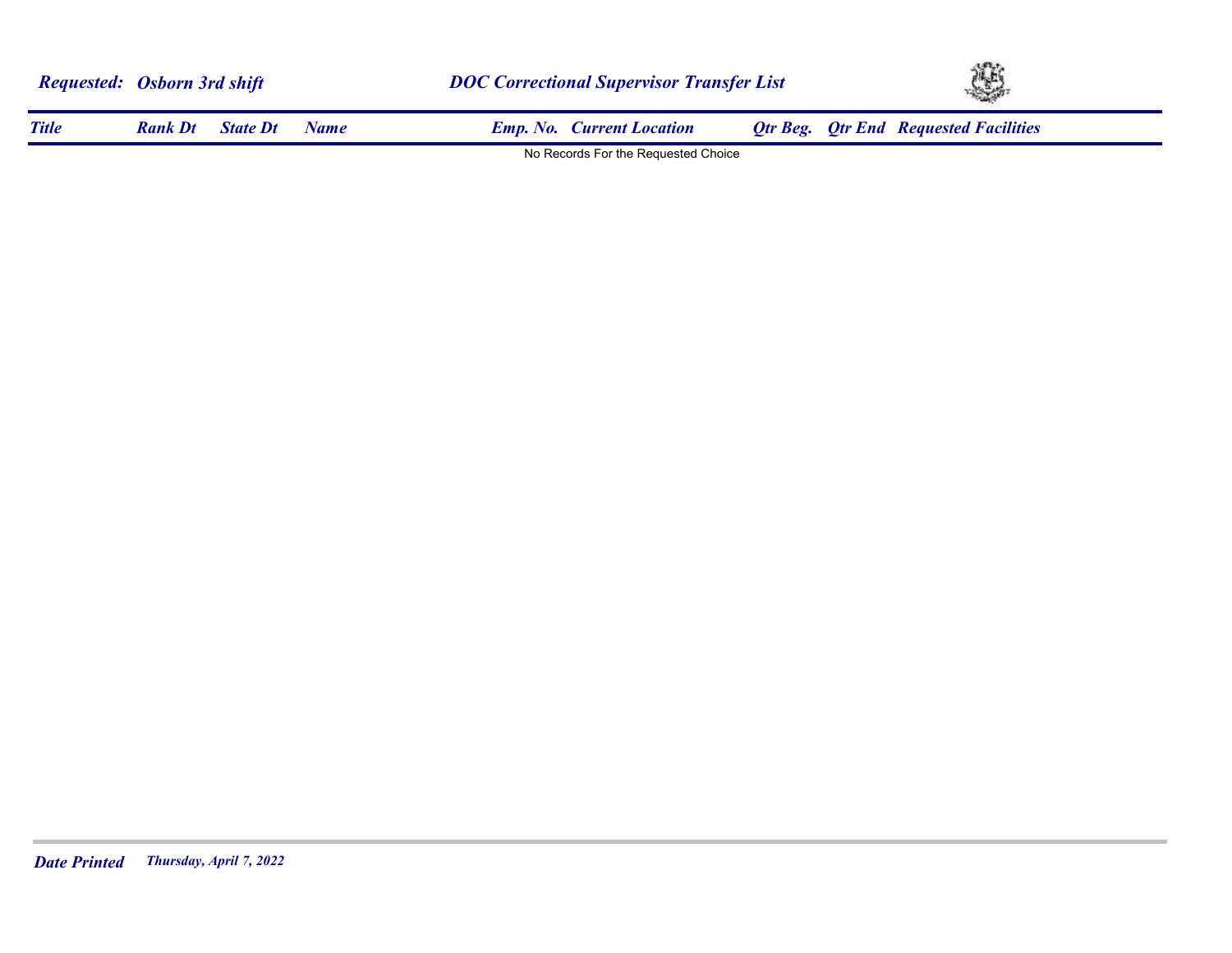| <b>Requested: Osborn 3rd shift</b> |                |                 |      |                                     | <b>DOC Correctional Supervisor Transfer List</b> |  |                                              | XB. |  |
|------------------------------------|----------------|-----------------|------|-------------------------------------|--------------------------------------------------|--|----------------------------------------------|-----|--|
| <b>Title</b>                       | <b>Rank Dt</b> | <b>State Dt</b> | Name | <b>Emp. No. Current Location</b>    |                                                  |  | <b>Qtr Beg. Qtr End Requested Facilities</b> |     |  |
|                                    |                |                 |      | No Records For the Requested Choice |                                                  |  |                                              |     |  |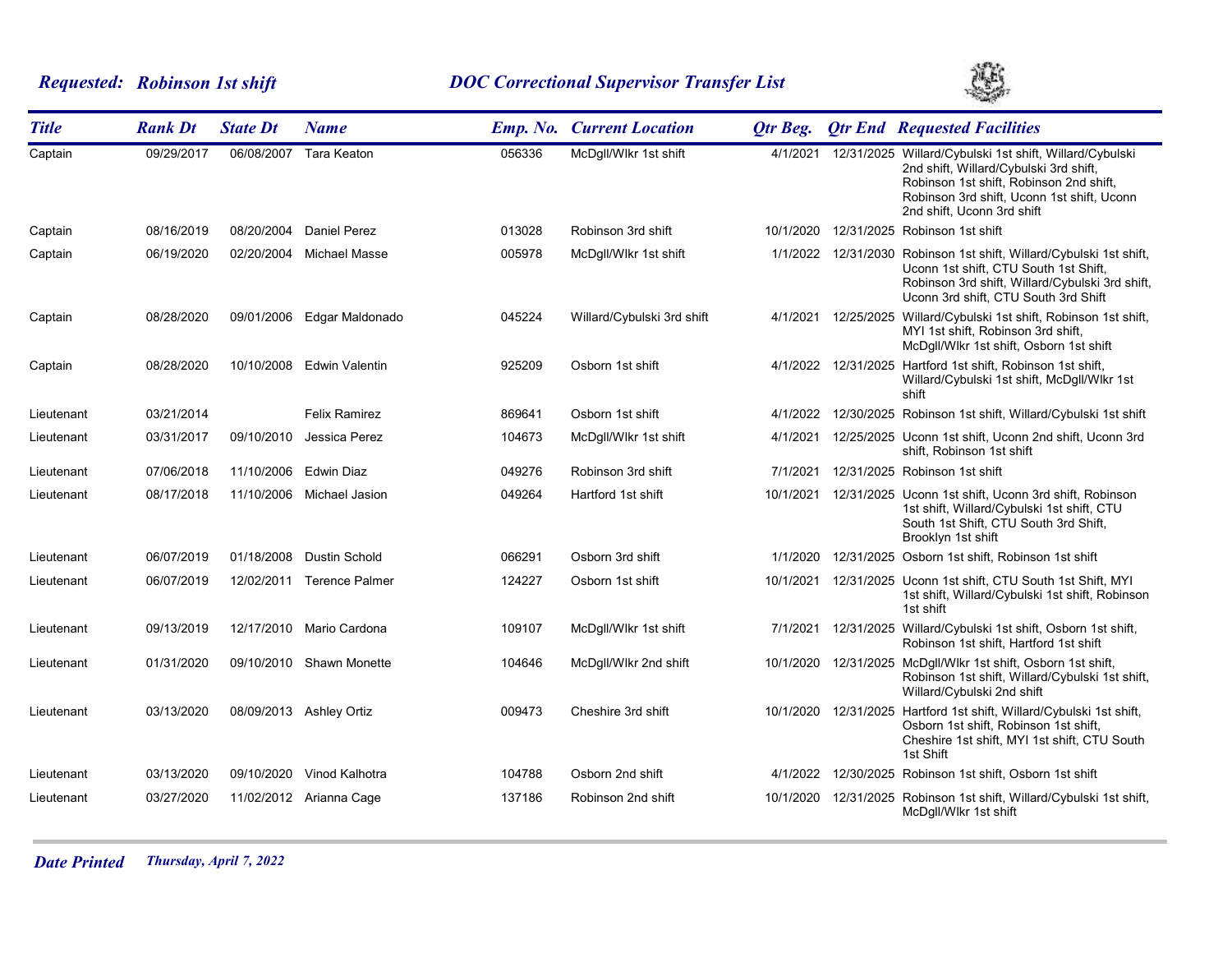# *Requested: Robinson 1st shift DOC Correctional Supervisor Transfer List*



| <b>Title</b> | <b>Rank Dt</b> | <b>State Dt</b> | <b>Name</b>               |        | <b>Emp. No. Current Location</b> | <b>Qtr Beg.</b> | <b>Qtr End Requested Facilities</b>                                                                                                                                                                                      |
|--------------|----------------|-----------------|---------------------------|--------|----------------------------------|-----------------|--------------------------------------------------------------------------------------------------------------------------------------------------------------------------------------------------------------------------|
| Captain      | 09/29/2017     | 06/08/2007      | <b>Tara Keaton</b>        | 056336 | McDgll/Wlkr 1st shift            | 4/1/2021        | 12/31/2025 Willard/Cybulski 1st shift, Willard/Cybulski<br>2nd shift, Willard/Cybulski 3rd shift,<br>Robinson 1st shift, Robinson 2nd shift,<br>Robinson 3rd shift, Uconn 1st shift, Uconn<br>2nd shift, Uconn 3rd shift |
| Captain      | 08/16/2019     | 08/20/2004      | <b>Daniel Perez</b>       | 013028 | Robinson 3rd shift               | 10/1/2020       | 12/31/2025 Robinson 1st shift                                                                                                                                                                                            |
| Captain      | 06/19/2020     | 02/20/2004      | Michael Masse             | 005978 | McDqll/Wlkr 1st shift            |                 | 1/1/2022 12/31/2030 Robinson 1st shift, Willard/Cybulski 1st shift,<br>Uconn 1st shift, CTU South 1st Shift,<br>Robinson 3rd shift, Willard/Cybulski 3rd shift,<br>Uconn 3rd shift, CTU South 3rd Shift                  |
| Captain      | 08/28/2020     | 09/01/2006      | Edgar Maldonado           | 045224 | Willard/Cybulski 3rd shift       | 4/1/2021        | 12/25/2025 Willard/Cybulski 1st shift, Robinson 1st shift,<br>MYI 1st shift, Robinson 3rd shift,<br>McDgll/Wlkr 1st shift, Osborn 1st shift                                                                              |
| Captain      | 08/28/2020     | 10/10/2008      | <b>Edwin Valentin</b>     | 925209 | Osborn 1st shift                 |                 | 4/1/2022 12/31/2025 Hartford 1st shift, Robinson 1st shift,<br>Willard/Cybulski 1st shift, McDqll/Wlkr 1st<br>shift                                                                                                      |
| Lieutenant   | 03/21/2014     |                 | <b>Felix Ramirez</b>      | 869641 | Osborn 1st shift                 | 4/1/2022        | 12/30/2025 Robinson 1st shift, Willard/Cybulski 1st shift                                                                                                                                                                |
| Lieutenant   | 03/31/2017     | 09/10/2010      | Jessica Perez             | 104673 | McDgll/Wlkr 1st shift            | 4/1/2021        | 12/25/2025 Uconn 1st shift, Uconn 2nd shift, Uconn 3rd<br>shift, Robinson 1st shift                                                                                                                                      |
| Lieutenant   | 07/06/2018     |                 | 11/10/2006 Edwin Diaz     | 049276 | Robinson 3rd shift               | 7/1/2021        | 12/31/2025 Robinson 1st shift                                                                                                                                                                                            |
| Lieutenant   | 08/17/2018     | 11/10/2006      | Michael Jasion            | 049264 | Hartford 1st shift               | 10/1/2021       | 12/31/2025 Uconn 1st shift, Uconn 3rd shift, Robinson<br>1st shift, Willard/Cybulski 1st shift, CTU<br>South 1st Shift, CTU South 3rd Shift,<br>Brooklyn 1st shift                                                       |
| Lieutenant   | 06/07/2019     | 01/18/2008      | Dustin Schold             | 066291 | Osborn 3rd shift                 | 1/1/2020        | 12/31/2025 Osborn 1st shift, Robinson 1st shift                                                                                                                                                                          |
| Lieutenant   | 06/07/2019     | 12/02/2011      | <b>Terence Palmer</b>     | 124227 | Osborn 1st shift                 | 10/1/2021       | 12/31/2025 Uconn 1st shift, CTU South 1st Shift, MYI<br>1st shift, Willard/Cybulski 1st shift, Robinson<br>1st shift                                                                                                     |
| Lieutenant   | 09/13/2019     | 12/17/2010      | Mario Cardona             | 109107 | McDgll/Wlkr 1st shift            | 7/1/2021        | 12/31/2025 Willard/Cybulski 1st shift, Osborn 1st shift,<br>Robinson 1st shift, Hartford 1st shift                                                                                                                       |
| Lieutenant   | 01/31/2020     | 09/10/2010      | <b>Shawn Monette</b>      | 104646 | McDgll/Wlkr 2nd shift            | 10/1/2020       | 12/31/2025 McDgll/Wlkr 1st shift, Osborn 1st shift,<br>Robinson 1st shift, Willard/Cybulski 1st shift,<br>Willard/Cybulski 2nd shift                                                                                     |
| Lieutenant   | 03/13/2020     |                 | 08/09/2013 Ashley Ortiz   | 009473 | Cheshire 3rd shift               | 10/1/2020       | 12/31/2025 Hartford 1st shift, Willard/Cybulski 1st shift,<br>Osborn 1st shift, Robinson 1st shift,<br>Cheshire 1st shift, MYI 1st shift, CTU South<br>1st Shift                                                         |
| Lieutenant   | 03/13/2020     |                 | 09/10/2020 Vinod Kalhotra | 104788 | Osborn 2nd shift                 | 4/1/2022        | 12/30/2025 Robinson 1st shift, Osborn 1st shift                                                                                                                                                                          |
| Lieutenant   | 03/27/2020     |                 | 11/02/2012 Arianna Cage   | 137186 | Robinson 2nd shift               | 10/1/2020       | 12/31/2025 Robinson 1st shift, Willard/Cybulski 1st shift,<br>McDgll/Wlkr 1st shift                                                                                                                                      |

*Date Printed Thursday, April 7, 2022*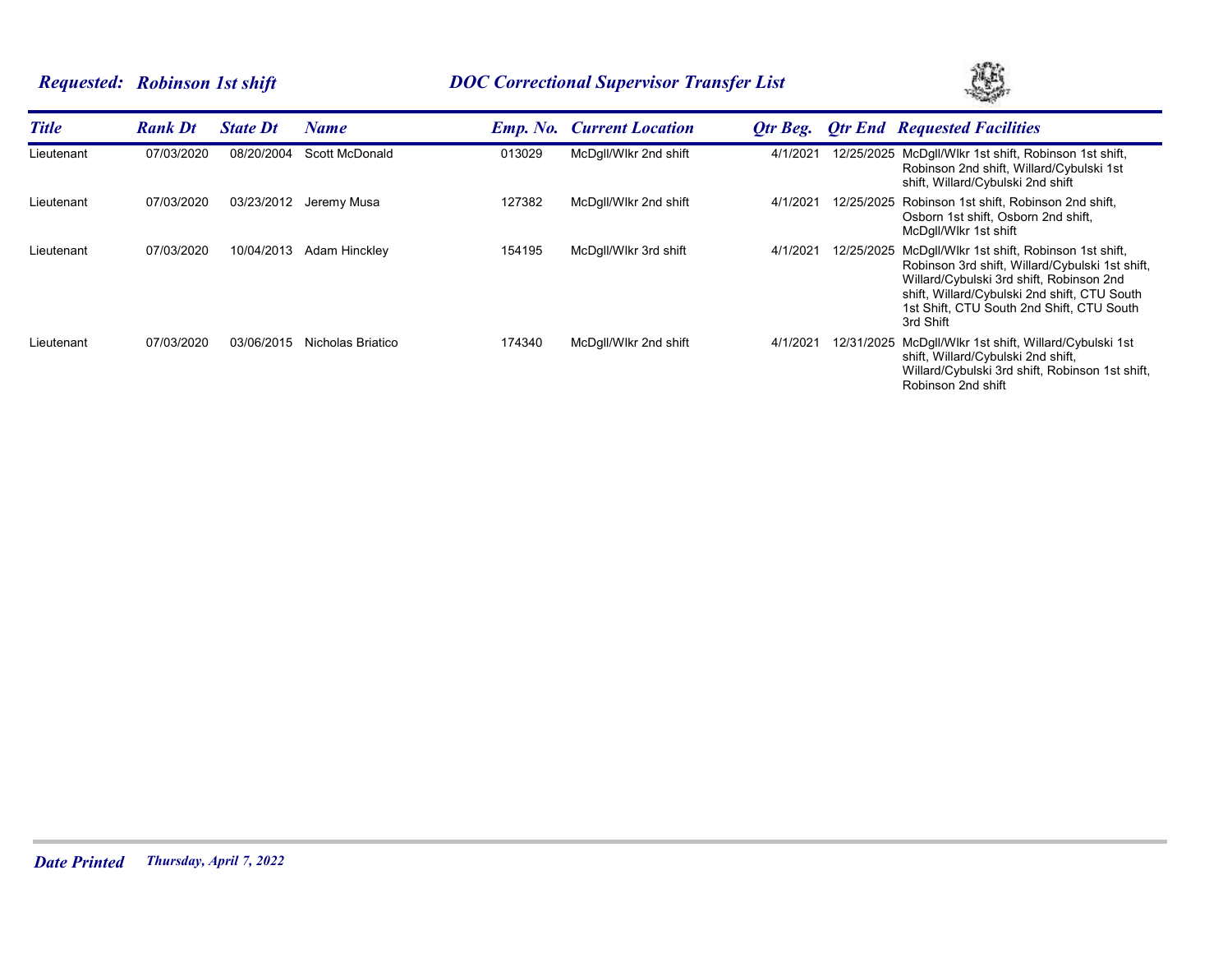# *Requested: Robinson 1st shift DOC Correctional Supervisor Transfer List*



| <b>Title</b> | <b>Rank Dt</b> | <b>State Dt</b> | Name              |        | <b>Emp. No. Current Location</b> | Otr Beg. |            | <b>Qtr End Requested Facilities</b>                                                                                                                                                                                                                            |
|--------------|----------------|-----------------|-------------------|--------|----------------------------------|----------|------------|----------------------------------------------------------------------------------------------------------------------------------------------------------------------------------------------------------------------------------------------------------------|
| Lieutenant   | 07/03/2020     | 08/20/2004      | Scott McDonald    | 013029 | McDgll/Wlkr 2nd shift            | 4/1/202  |            | 12/25/2025 McDgll/Wlkr 1st shift, Robinson 1st shift,<br>Robinson 2nd shift, Willard/Cybulski 1st<br>shift, Willard/Cybulski 2nd shift                                                                                                                         |
| Lieutenant   | 07/03/2020     | 03/23/2012      | Jeremy Musa       | 127382 | McDgll/Wlkr 2nd shift            | 4/1/202' | 12/25/2025 | Robinson 1st shift, Robinson 2nd shift,<br>Osborn 1st shift, Osborn 2nd shift,<br>McDgll/Wlkr 1st shift                                                                                                                                                        |
| Lieutenant   | 07/03/2020     | 10/04/2013      | Adam Hinckley     | 154195 | McDgll/Wlkr 3rd shift            | 4/1/2021 |            | 12/25/2025 McDgll/Wlkr 1st shift, Robinson 1st shift,<br>Robinson 3rd shift, Willard/Cybulski 1st shift,<br>Willard/Cybulski 3rd shift, Robinson 2nd<br>shift, Willard/Cybulski 2nd shift, CTU South<br>1st Shift, CTU South 2nd Shift, CTU South<br>3rd Shift |
| Lieutenant   | 07/03/2020     | 03/06/2015      | Nicholas Briatico | 174340 | McDgll/Wlkr 2nd shift            | 4/1/202' |            | 12/31/2025 McDgll/Wlkr 1st shift, Willard/Cybulski 1st<br>shift, Willard/Cybulski 2nd shift,<br>Willard/Cybulski 3rd shift, Robinson 1st shift,<br>Robinson 2nd shift                                                                                          |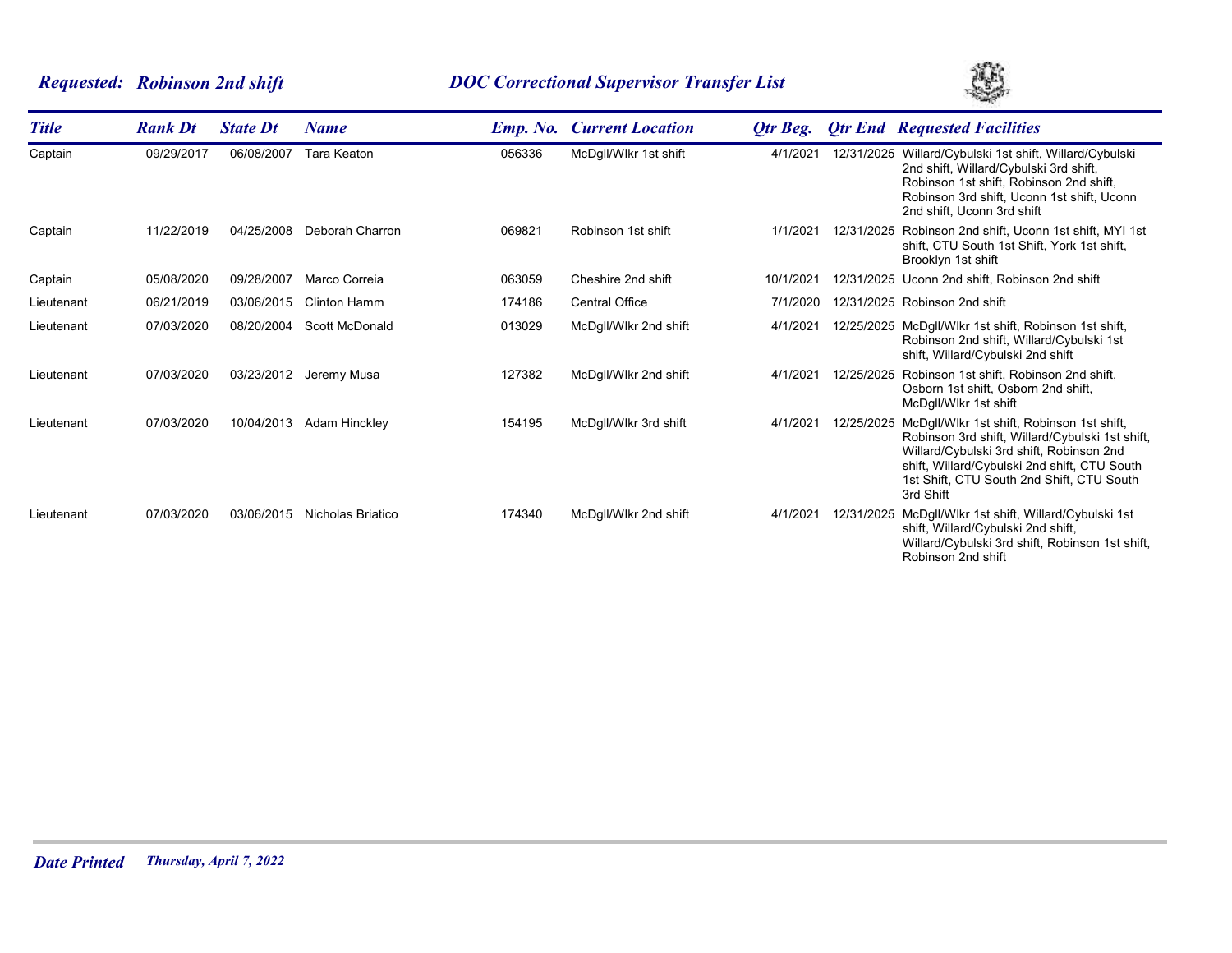# *Requested: Robinson 2nd shift DOC Correctional Supervisor Transfer List*



| <b>Title</b> | <b>Rank Dt</b> | <b>State Dt</b> | <b>Name</b>           | <b>Emp.</b> No. | <b>Current Location</b> | <b>Qtr Beg.</b> |            | <b>Qtr End Requested Facilities</b>                                                                                                                                                                                                                 |
|--------------|----------------|-----------------|-----------------------|-----------------|-------------------------|-----------------|------------|-----------------------------------------------------------------------------------------------------------------------------------------------------------------------------------------------------------------------------------------------------|
| Captain      | 09/29/2017     | 06/08/2007      | <b>Tara Keaton</b>    | 056336          | McDgll/Wlkr 1st shift   | 4/1/2021        |            | 12/31/2025 Willard/Cybulski 1st shift, Willard/Cybulski<br>2nd shift, Willard/Cybulski 3rd shift,<br>Robinson 1st shift, Robinson 2nd shift,<br>Robinson 3rd shift, Uconn 1st shift, Uconn<br>2nd shift. Uconn 3rd shift                            |
| Captain      | 11/22/2019     | 04/25/2008      | Deborah Charron       | 069821          | Robinson 1st shift      | 1/1/2021        | 12/31/2025 | Robinson 2nd shift, Uconn 1st shift, MYI 1st<br>shift, CTU South 1st Shift, York 1st shift,<br>Brooklyn 1st shift                                                                                                                                   |
| Captain      | 05/08/2020     | 09/28/2007      | Marco Correia         | 063059          | Cheshire 2nd shift      | 10/1/2021       |            | 12/31/2025 Uconn 2nd shift, Robinson 2nd shift                                                                                                                                                                                                      |
| Lieutenant   | 06/21/2019     | 03/06/2015      | Clinton Hamm          | 174186          | <b>Central Office</b>   | 7/1/2020        |            | 12/31/2025 Robinson 2nd shift                                                                                                                                                                                                                       |
| Lieutenant   | 07/03/2020     | 08/20/2004      | <b>Scott McDonald</b> | 013029          | McDgll/Wlkr 2nd shift   | 4/1/202         |            | 12/25/2025 McDgll/Wlkr 1st shift, Robinson 1st shift,<br>Robinson 2nd shift, Willard/Cybulski 1st<br>shift, Willard/Cybulski 2nd shift                                                                                                              |
| Lieutenant   | 07/03/2020     | 03/23/2012      | Jeremy Musa           | 127382          | McDgll/Wlkr 2nd shift   | 4/1/202         | 12/25/2025 | Robinson 1st shift, Robinson 2nd shift,<br>Osborn 1st shift, Osborn 2nd shift,<br>McDgll/Wlkr 1st shift                                                                                                                                             |
| Lieutenant   | 07/03/2020     | 10/04/2013      | Adam Hinckley         | 154195          | McDgll/Wlkr 3rd shift   | 4/1/2021        | 12/25/2025 | McDgll/Wlkr 1st shift, Robinson 1st shift,<br>Robinson 3rd shift, Willard/Cybulski 1st shift,<br>Willard/Cybulski 3rd shift, Robinson 2nd<br>shift, Willard/Cybulski 2nd shift, CTU South<br>1st Shift, CTU South 2nd Shift, CTU South<br>3rd Shift |
| Lieutenant   | 07/03/2020     | 03/06/2015      | Nicholas Briatico     | 174340          | McDgll/Wlkr 2nd shift   | 4/1/2021        | 12/31/2025 | McDgll/Wlkr 1st shift, Willard/Cybulski 1st<br>shift, Willard/Cybulski 2nd shift,<br>Willard/Cybulski 3rd shift, Robinson 1st shift,<br>Robinson 2nd shift                                                                                          |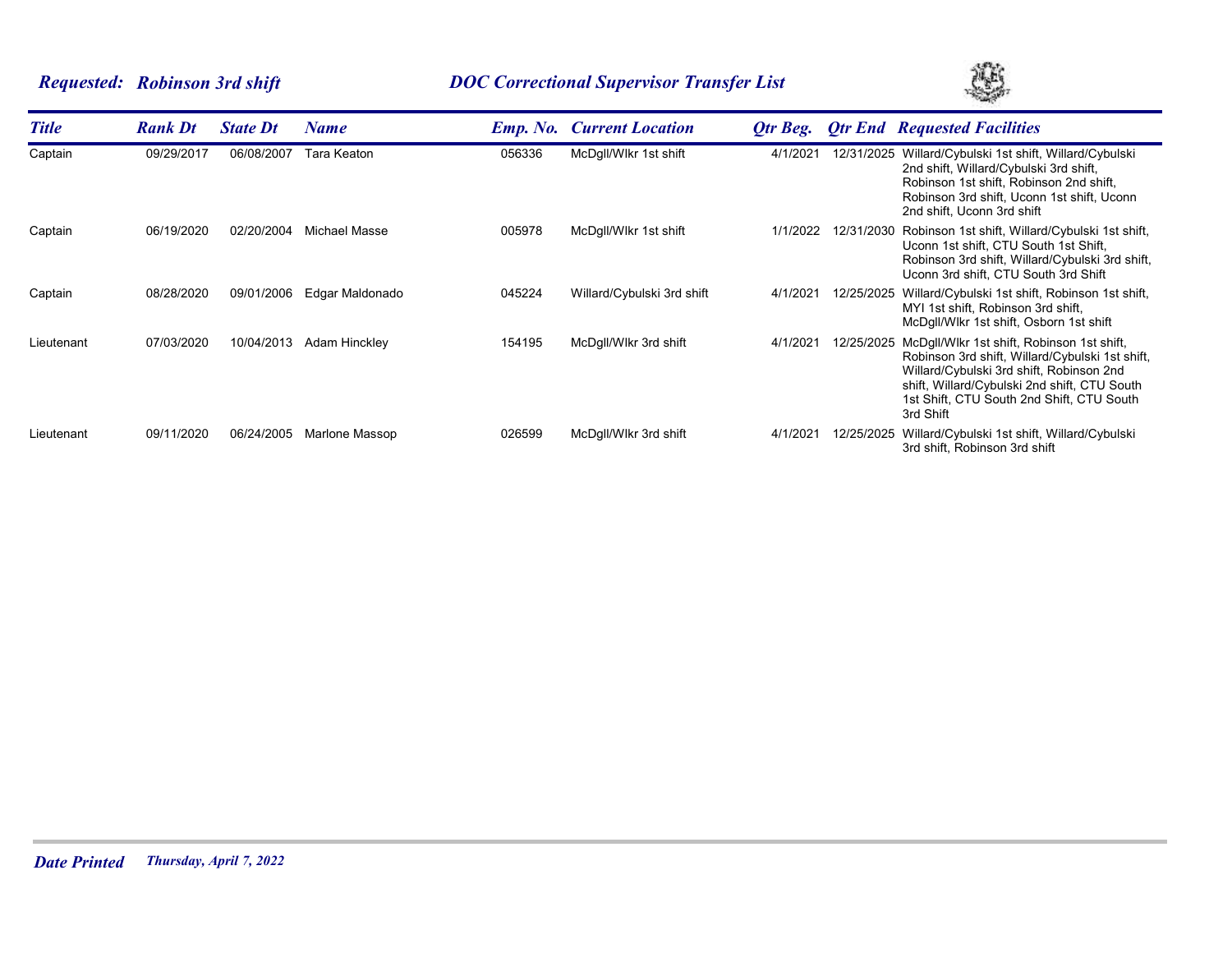# *Requested: Robinson 3rd shift DOC Correctional Supervisor Transfer List*



| <b>Title</b> | <b>Rank Dt</b> | <b>State Dt</b> | Name            |        | <b>Emp. No. Current Location</b> | Otr Beg. |            | <b>Otr End Requested Facilities</b>                                                                                                                                                                                                                 |
|--------------|----------------|-----------------|-----------------|--------|----------------------------------|----------|------------|-----------------------------------------------------------------------------------------------------------------------------------------------------------------------------------------------------------------------------------------------------|
| Captain      | 09/29/2017     | 06/08/2007      | Tara Keaton     | 056336 | McDgll/Wlkr 1st shift            | 4/1/2021 | 12/31/2025 | Willard/Cybulski 1st shift, Willard/Cybulski<br>2nd shift, Willard/Cybulski 3rd shift,<br>Robinson 1st shift, Robinson 2nd shift,<br>Robinson 3rd shift, Uconn 1st shift, Uconn<br>2nd shift, Uconn 3rd shift                                       |
| Captain      | 06/19/2020     | 02/20/2004      | Michael Masse   | 005978 | McDgll/Wlkr 1st shift            | 1/1/2022 | 12/31/2030 | Robinson 1st shift, Willard/Cybulski 1st shift,<br>Uconn 1st shift, CTU South 1st Shift,<br>Robinson 3rd shift, Willard/Cybulski 3rd shift,<br>Uconn 3rd shift, CTU South 3rd Shift                                                                 |
| Captain      | 08/28/2020     | 09/01/2006      | Edgar Maldonado | 045224 | Willard/Cybulski 3rd shift       | 4/1/2021 | 12/25/2025 | Willard/Cybulski 1st shift, Robinson 1st shift,<br>MYI 1st shift, Robinson 3rd shift,<br>McDgll/Wlkr 1st shift, Osborn 1st shift                                                                                                                    |
| Lieutenant   | 07/03/2020     | 10/04/2013      | Adam Hinckley   | 154195 | McDgll/Wlkr 3rd shift            | 4/1/2021 | 12/25/2025 | McDgll/Wlkr 1st shift, Robinson 1st shift,<br>Robinson 3rd shift, Willard/Cybulski 1st shift,<br>Willard/Cybulski 3rd shift, Robinson 2nd<br>shift, Willard/Cybulski 2nd shift, CTU South<br>1st Shift, CTU South 2nd Shift, CTU South<br>3rd Shift |
| Lieutenant   | 09/11/2020     | 06/24/2005      | Marlone Massop  | 026599 | McDgll/Wlkr 3rd shift            | 4/1/2021 | 12/25/2025 | Willard/Cybulski 1st shift, Willard/Cybulski<br>3rd shift, Robinson 3rd shift                                                                                                                                                                       |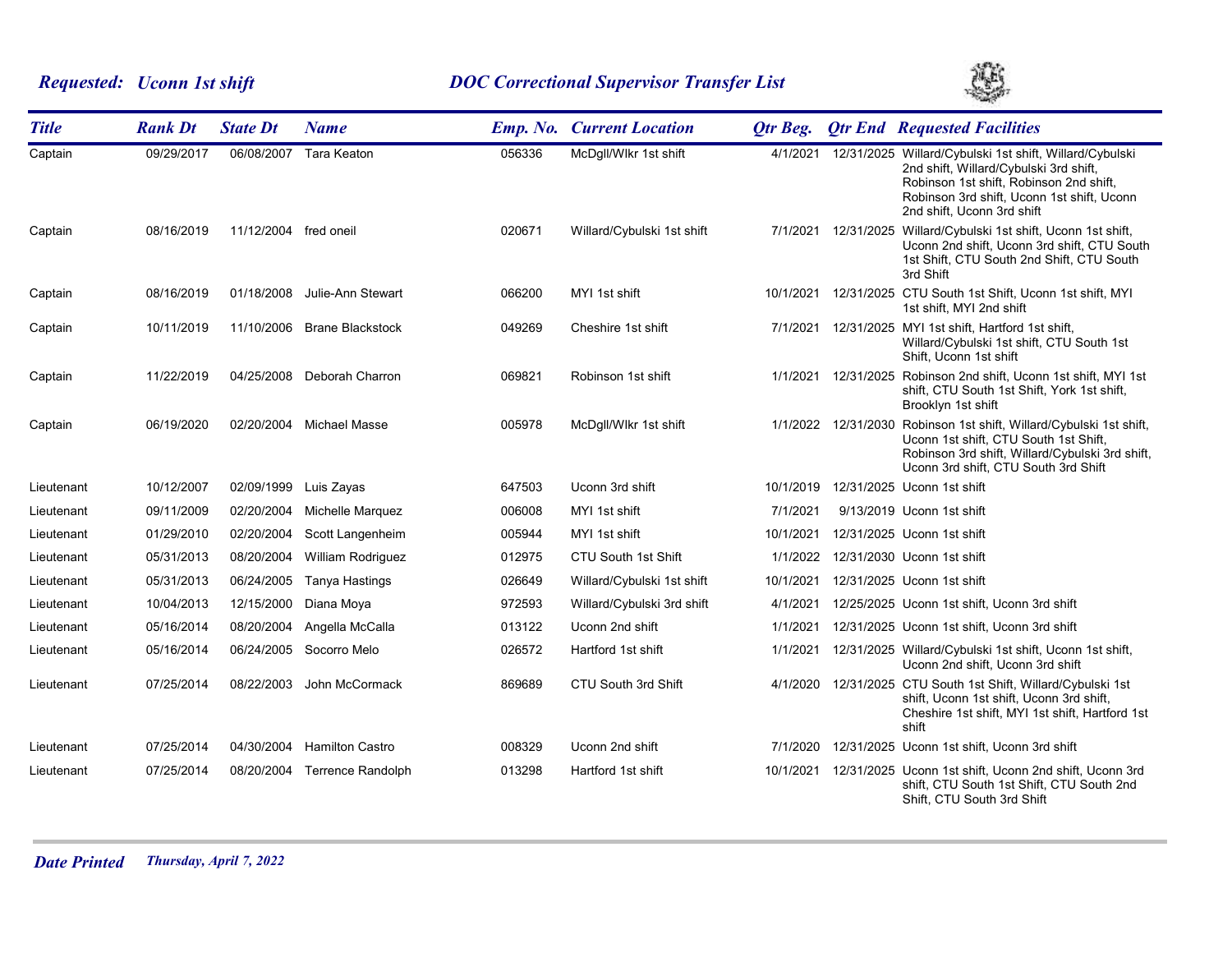# *Requested: Uconn 1st shift DOC Correctional Supervisor Transfer List*



| <b>Title</b> | <b>Rank Dt</b> | <b>State Dt</b>       | <b>Name</b>              |        | <b>Emp. No. Current Location</b> | Otr Beg.  |                     | <b>Qtr End Requested Facilities</b>                                                                                                                                                                                      |
|--------------|----------------|-----------------------|--------------------------|--------|----------------------------------|-----------|---------------------|--------------------------------------------------------------------------------------------------------------------------------------------------------------------------------------------------------------------------|
| Captain      | 09/29/2017     | 06/08/2007            | Tara Keaton              | 056336 | McDgll/Wlkr 1st shift            | 4/1/2021  |                     | 12/31/2025 Willard/Cybulski 1st shift, Willard/Cybulski<br>2nd shift, Willard/Cybulski 3rd shift,<br>Robinson 1st shift, Robinson 2nd shift,<br>Robinson 3rd shift, Uconn 1st shift, Uconn<br>2nd shift, Uconn 3rd shift |
| Captain      | 08/16/2019     | 11/12/2004 fred oneil |                          | 020671 | Willard/Cybulski 1st shift       | 7/1/2021  |                     | 12/31/2025 Willard/Cybulski 1st shift, Uconn 1st shift,<br>Uconn 2nd shift, Uconn 3rd shift, CTU South<br>1st Shift, CTU South 2nd Shift, CTU South<br>3rd Shift                                                         |
| Captain      | 08/16/2019     | 01/18/2008            | Julie-Ann Stewart        | 066200 | MYI 1st shift                    |           |                     | 10/1/2021 12/31/2025 CTU South 1st Shift, Uconn 1st shift, MYI<br>1st shift, MYI 2nd shift                                                                                                                               |
| Captain      | 10/11/2019     | 11/10/2006            | <b>Brane Blackstock</b>  | 049269 | Cheshire 1st shift               | 7/1/2021  |                     | 12/31/2025 MYI 1st shift, Hartford 1st shift,<br>Willard/Cybulski 1st shift, CTU South 1st<br>Shift, Uconn 1st shift                                                                                                     |
| Captain      | 11/22/2019     | 04/25/2008            | Deborah Charron          | 069821 | Robinson 1st shift               |           | 1/1/2021 12/31/2025 | Robinson 2nd shift, Uconn 1st shift, MYI 1st<br>shift, CTU South 1st Shift, York 1st shift,<br>Brooklyn 1st shift                                                                                                        |
| Captain      | 06/19/2020     |                       | 02/20/2004 Michael Masse | 005978 | McDgll/Wlkr 1st shift            |           | 1/1/2022 12/31/2030 | Robinson 1st shift, Willard/Cybulski 1st shift,<br>Uconn 1st shift, CTU South 1st Shift,<br>Robinson 3rd shift, Willard/Cybulski 3rd shift,<br>Uconn 3rd shift, CTU South 3rd Shift                                      |
| Lieutenant   | 10/12/2007     | 02/09/1999            | Luis Zayas               | 647503 | Uconn 3rd shift                  | 10/1/2019 |                     | 12/31/2025 Uconn 1st shift                                                                                                                                                                                               |
| Lieutenant   | 09/11/2009     | 02/20/2004            | Michelle Marquez         | 006008 | MYI 1st shift                    | 7/1/2021  |                     | 9/13/2019 Uconn 1st shift                                                                                                                                                                                                |
| Lieutenant   | 01/29/2010     | 02/20/2004            | Scott Langenheim         | 005944 | MYI 1st shift                    | 10/1/2021 |                     | 12/31/2025 Uconn 1st shift                                                                                                                                                                                               |
| Lieutenant   | 05/31/2013     | 08/20/2004            | William Rodriguez        | 012975 | CTU South 1st Shift              | 1/1/2022  |                     | 12/31/2030 Uconn 1st shift                                                                                                                                                                                               |
| Lieutenant   | 05/31/2013     | 06/24/2005            | Tanya Hastings           | 026649 | Willard/Cybulski 1st shift       | 10/1/2021 |                     | 12/31/2025 Uconn 1st shift                                                                                                                                                                                               |
| Lieutenant   | 10/04/2013     | 12/15/2000            | Diana Moya               | 972593 | Willard/Cybulski 3rd shift       | 4/1/2021  |                     | 12/25/2025 Uconn 1st shift, Uconn 3rd shift                                                                                                                                                                              |
| Lieutenant   | 05/16/2014     | 08/20/2004            | Angella McCalla          | 013122 | Uconn 2nd shift                  | 1/1/2021  |                     | 12/31/2025 Uconn 1st shift, Uconn 3rd shift                                                                                                                                                                              |
| Lieutenant   | 05/16/2014     | 06/24/2005            | Socorro Melo             | 026572 | Hartford 1st shift               | 1/1/2021  |                     | 12/31/2025 Willard/Cybulski 1st shift, Uconn 1st shift,<br>Uconn 2nd shift, Uconn 3rd shift                                                                                                                              |
| Lieutenant   | 07/25/2014     | 08/22/2003            | John McCormack           | 869689 | CTU South 3rd Shift              | 4/1/2020  |                     | 12/31/2025 CTU South 1st Shift, Willard/Cybulski 1st<br>shift, Uconn 1st shift, Uconn 3rd shift,<br>Cheshire 1st shift, MYI 1st shift, Hartford 1st<br>shift                                                             |
| Lieutenant   | 07/25/2014     | 04/30/2004            | <b>Hamilton Castro</b>   | 008329 | Uconn 2nd shift                  | 7/1/2020  |                     | 12/31/2025 Uconn 1st shift, Uconn 3rd shift                                                                                                                                                                              |
| Lieutenant   | 07/25/2014     | 08/20/2004            | <b>Terrence Randolph</b> | 013298 | Hartford 1st shift               | 10/1/2021 |                     | 12/31/2025 Uconn 1st shift, Uconn 2nd shift, Uconn 3rd<br>shift, CTU South 1st Shift, CTU South 2nd<br>Shift, CTU South 3rd Shift                                                                                        |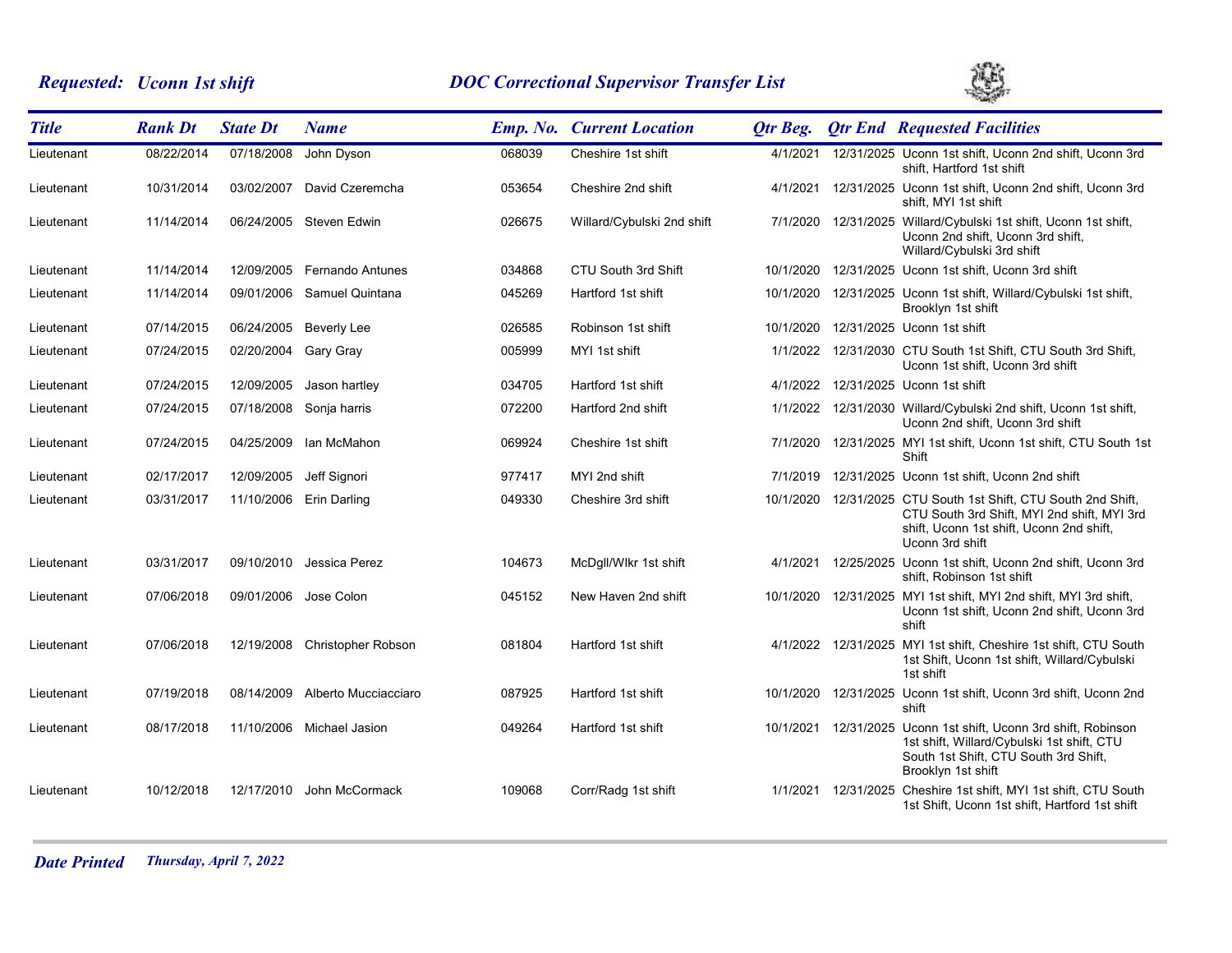# *Requested: Uconn 1st shift DOC Correctional Supervisor Transfer List*



| <b>Title</b> | <b>Rank Dt</b> | <b>State Dt</b> | <b>Name</b>               |        | <b>Emp. No. Current Location</b> | Otr Beg.  | <b>Qtr End Requested Facilities</b>                                                                                                                                            |
|--------------|----------------|-----------------|---------------------------|--------|----------------------------------|-----------|--------------------------------------------------------------------------------------------------------------------------------------------------------------------------------|
| Lieutenant   | 08/22/2014     | 07/18/2008      | John Dyson                | 068039 | Cheshire 1st shift               | 4/1/2021  | 12/31/2025 Uconn 1st shift, Uconn 2nd shift, Uconn 3rd<br>shift, Hartford 1st shift                                                                                            |
| Lieutenant   | 10/31/2014     | 03/02/2007      | David Czeremcha           | 053654 | Cheshire 2nd shift               | 4/1/2021  | 12/31/2025 Uconn 1st shift, Uconn 2nd shift, Uconn 3rd<br>shift. MYI 1st shift                                                                                                 |
| Lieutenant   | 11/14/2014     |                 | 06/24/2005 Steven Edwin   | 026675 | Willard/Cybulski 2nd shift       |           | 7/1/2020 12/31/2025 Willard/Cybulski 1st shift, Uconn 1st shift,<br>Uconn 2nd shift, Uconn 3rd shift,<br>Willard/Cybulski 3rd shift                                            |
| Lieutenant   | 11/14/2014     | 12/09/2005      | <b>Fernando Antunes</b>   | 034868 | CTU South 3rd Shift              | 10/1/2020 | 12/31/2025 Uconn 1st shift, Uconn 3rd shift                                                                                                                                    |
| Lieutenant   | 11/14/2014     | 09/01/2006      | Samuel Quintana           | 045269 | Hartford 1st shift               | 10/1/2020 | 12/31/2025 Uconn 1st shift, Willard/Cybulski 1st shift,<br>Brooklyn 1st shift                                                                                                  |
| Lieutenant   | 07/14/2015     | 06/24/2005      | <b>Beverly Lee</b>        | 026585 | Robinson 1st shift               | 10/1/2020 | 12/31/2025 Uconn 1st shift                                                                                                                                                     |
| Lieutenant   | 07/24/2015     | 02/20/2004      | Gary Gray                 | 005999 | MYI 1st shift                    |           | 1/1/2022 12/31/2030 CTU South 1st Shift, CTU South 3rd Shift,<br>Uconn 1st shift, Uconn 3rd shift                                                                              |
| Lieutenant   | 07/24/2015     | 12/09/2005      | Jason hartley             | 034705 | Hartford 1st shift               | 4/1/2022  | 12/31/2025 Uconn 1st shift                                                                                                                                                     |
| Lieutenant   | 07/24/2015     |                 | 07/18/2008 Sonja harris   | 072200 | Hartford 2nd shift               |           | 1/1/2022 12/31/2030 Willard/Cybulski 2nd shift, Uconn 1st shift,<br>Uconn 2nd shift, Uconn 3rd shift                                                                           |
| Lieutenant   | 07/24/2015     | 04/25/2009      | Ian McMahon               | 069924 | Cheshire 1st shift               | 7/1/2020  | 12/31/2025 MYI 1st shift, Uconn 1st shift, CTU South 1st<br>Shift                                                                                                              |
| Lieutenant   | 02/17/2017     | 12/09/2005      | Jeff Signori              | 977417 | MYI 2nd shift                    | 7/1/2019  | 12/31/2025 Uconn 1st shift, Uconn 2nd shift                                                                                                                                    |
| Lieutenant   | 03/31/2017     | 11/10/2006      | Erin Darling              | 049330 | Cheshire 3rd shift               | 10/1/2020 | 12/31/2025 CTU South 1st Shift, CTU South 2nd Shift,<br>CTU South 3rd Shift, MYI 2nd shift, MYI 3rd<br>shift, Uconn 1st shift, Uconn 2nd shift,<br>Uconn 3rd shift             |
| Lieutenant   | 03/31/2017     | 09/10/2010      | Jessica Perez             | 104673 | McDgll/Wlkr 1st shift            |           | 4/1/2021 12/25/2025 Uconn 1st shift, Uconn 2nd shift, Uconn 3rd<br>shift, Robinson 1st shift                                                                                   |
| Lieutenant   | 07/06/2018     |                 | 09/01/2006 Jose Colon     | 045152 | New Haven 2nd shift              |           | 10/1/2020 12/31/2025 MYI 1st shift, MYI 2nd shift, MYI 3rd shift,<br>Uconn 1st shift, Uconn 2nd shift, Uconn 3rd<br>shift                                                      |
| Lieutenant   | 07/06/2018     | 12/19/2008      | Christopher Robson        | 081804 | Hartford 1st shift               |           | 4/1/2022 12/31/2025 MYI 1st shift, Cheshire 1st shift, CTU South<br>1st Shift, Uconn 1st shift, Willard/Cybulski<br>1st shift                                                  |
| Lieutenant   | 07/19/2018     | 08/14/2009      | Alberto Mucciacciaro      | 087925 | Hartford 1st shift               | 10/1/2020 | 12/31/2025 Uconn 1st shift, Uconn 3rd shift, Uconn 2nd<br>shift                                                                                                                |
| Lieutenant   | 08/17/2018     |                 | 11/10/2006 Michael Jasion | 049264 | Hartford 1st shift               |           | 10/1/2021  12/31/2025  Uconn 1st shift, Uconn 3rd shift, Robinson<br>1st shift, Willard/Cybulski 1st shift, CTU<br>South 1st Shift, CTU South 3rd Shift,<br>Brooklyn 1st shift |
| Lieutenant   | 10/12/2018     | 12/17/2010      | John McCormack            | 109068 | Corr/Radg 1st shift              | 1/1/2021  | 12/31/2025 Cheshire 1st shift, MYI 1st shift, CTU South<br>1st Shift, Uconn 1st shift, Hartford 1st shift                                                                      |

*Date Printed Thursday, April 7, 2022*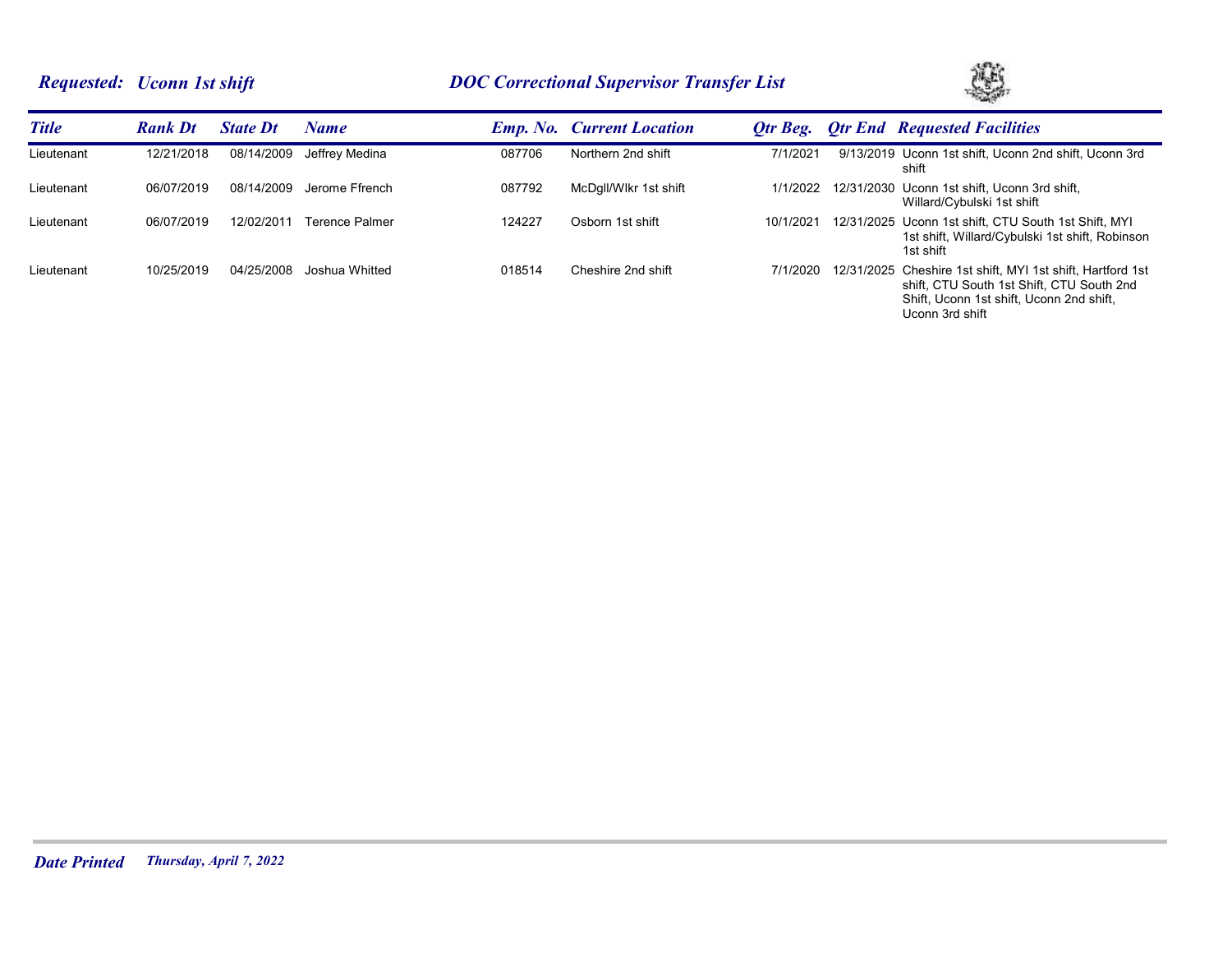# *Requested: Uconn 1st shift DOC Correctional Supervisor Transfer List*



| <b>Title</b> | <b>Rank Dt</b> | <b>State Dt</b> | Name                  |        | <b>Emp. No. Current Location</b> | Otr Beg.  | <b>Otr End Requested Facilities</b>                                                                                                                                    |
|--------------|----------------|-----------------|-----------------------|--------|----------------------------------|-----------|------------------------------------------------------------------------------------------------------------------------------------------------------------------------|
| Lieutenant   | 12/21/2018     | 08/14/2009      | Jeffrev Medina        | 087706 | Northern 2nd shift               | 7/1/2021  | 9/13/2019 Uconn 1st shift, Uconn 2nd shift, Uconn 3rd<br>shift                                                                                                         |
| Lieutenant   | 06/07/2019     | 08/14/2009      | Jerome Ffrench        | 087792 | McDgll/Wlkr 1st shift            | 1/1/2022  | 12/31/2030 Uconn 1st shift, Uconn 3rd shift,<br>Willard/Cybulski 1st shift                                                                                             |
| Lieutenant   | 06/07/2019     | 12/02/2011      | <b>Terence Palmer</b> | 124227 | Osborn 1st shift                 | 10/1/2021 | 12/31/2025 Uconn 1st shift, CTU South 1st Shift, MYI<br>1st shift, Willard/Cybulski 1st shift, Robinson<br>1st shift                                                   |
| Lieutenant   | 10/25/2019     | 04/25/2008      | Joshua Whitted        | 018514 | Cheshire 2nd shift               | 7/1/2020  | 12/31/2025 Cheshire 1st shift, MYI 1st shift, Hartford 1st<br>shift. CTU South 1st Shift. CTU South 2nd<br>Shift, Uconn 1st shift, Uconn 2nd shift,<br>Uconn 3rd shift |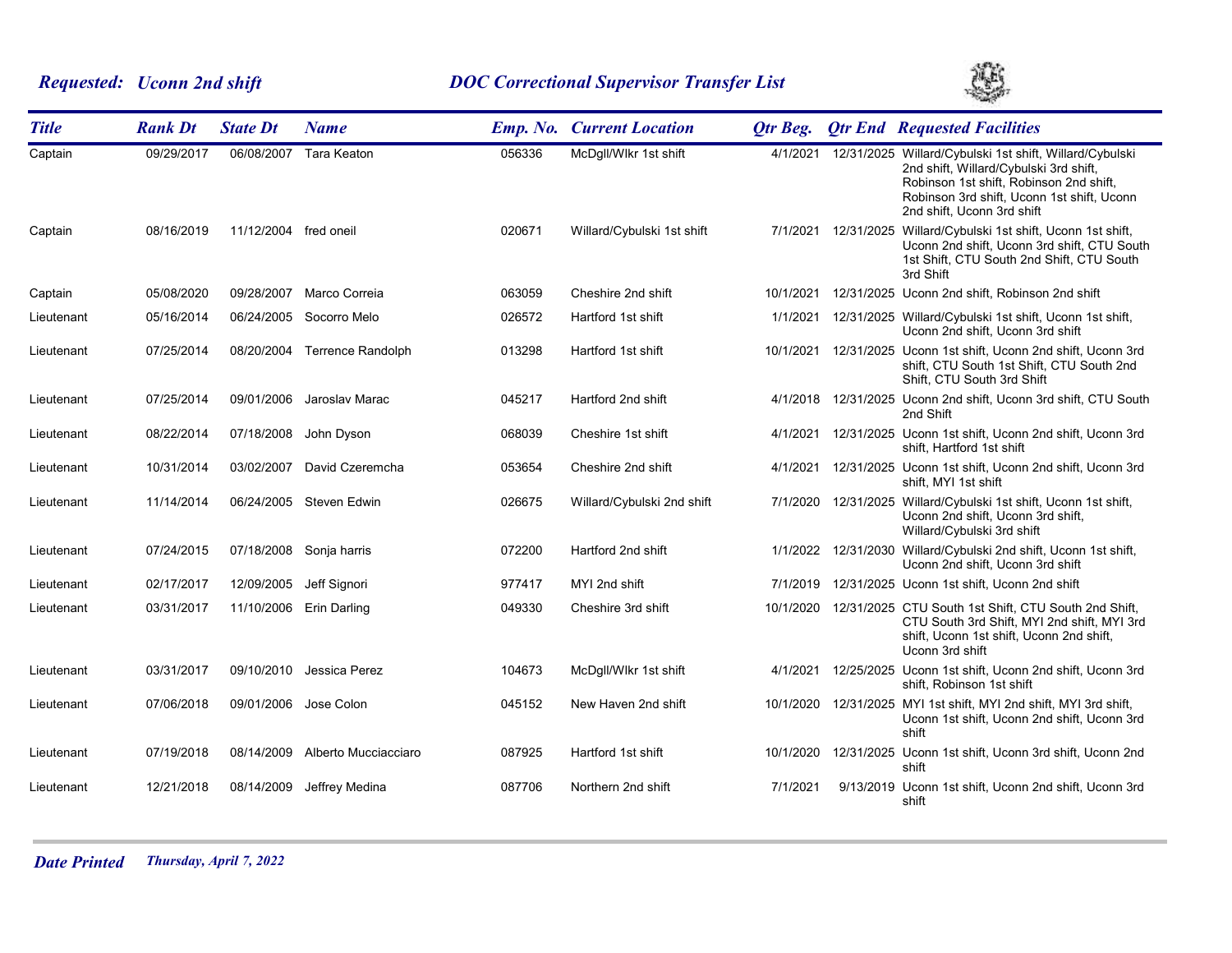# *Requested: Uconn 2nd shift DOC Correctional Supervisor Transfer List*



| <b>Title</b> | <b>Rank Dt</b> | <b>State Dt</b>       | <b>Name</b>                  |        | <b>Emp. No. Current Location</b> | Otr Beg.  | <b>Qtr End Requested Facilities</b>                                                                                                                                                                                      |
|--------------|----------------|-----------------------|------------------------------|--------|----------------------------------|-----------|--------------------------------------------------------------------------------------------------------------------------------------------------------------------------------------------------------------------------|
| Captain      | 09/29/2017     |                       | 06/08/2007 Tara Keaton       | 056336 | McDgll/Wlkr 1st shift            | 4/1/2021  | 12/31/2025 Willard/Cybulski 1st shift, Willard/Cybulski<br>2nd shift, Willard/Cybulski 3rd shift,<br>Robinson 1st shift, Robinson 2nd shift,<br>Robinson 3rd shift, Uconn 1st shift, Uconn<br>2nd shift, Uconn 3rd shift |
| Captain      | 08/16/2019     | 11/12/2004 fred oneil |                              | 020671 | Willard/Cybulski 1st shift       |           | 7/1/2021 12/31/2025 Willard/Cybulski 1st shift, Uconn 1st shift,<br>Uconn 2nd shift, Uconn 3rd shift, CTU South<br>1st Shift, CTU South 2nd Shift, CTU South<br>3rd Shift                                                |
| Captain      | 05/08/2020     | 09/28/2007            | Marco Correia                | 063059 | Cheshire 2nd shift               | 10/1/2021 | 12/31/2025 Uconn 2nd shift, Robinson 2nd shift                                                                                                                                                                           |
| Lieutenant   | 05/16/2014     | 06/24/2005            | Socorro Melo                 | 026572 | Hartford 1st shift               | 1/1/2021  | 12/31/2025 Willard/Cybulski 1st shift, Uconn 1st shift,<br>Uconn 2nd shift, Uconn 3rd shift                                                                                                                              |
| Lieutenant   | 07/25/2014     |                       | 08/20/2004 Terrence Randolph | 013298 | Hartford 1st shift               |           | 10/1/2021 12/31/2025 Uconn 1st shift, Uconn 2nd shift, Uconn 3rd<br>shift, CTU South 1st Shift, CTU South 2nd<br>Shift, CTU South 3rd Shift                                                                              |
| Lieutenant   | 07/25/2014     | 09/01/2006            | Jaroslav Marac               | 045217 | Hartford 2nd shift               | 4/1/2018  | 12/31/2025 Uconn 2nd shift, Uconn 3rd shift, CTU South<br>2nd Shift                                                                                                                                                      |
| Lieutenant   | 08/22/2014     | 07/18/2008            | John Dyson                   | 068039 | Cheshire 1st shift               |           | 4/1/2021 12/31/2025 Uconn 1st shift, Uconn 2nd shift, Uconn 3rd<br>shift, Hartford 1st shift                                                                                                                             |
| Lieutenant   | 10/31/2014     | 03/02/2007            | David Czeremcha              | 053654 | Cheshire 2nd shift               | 4/1/2021  | 12/31/2025 Uconn 1st shift, Uconn 2nd shift, Uconn 3rd<br>shift, MYI 1st shift                                                                                                                                           |
| Lieutenant   | 11/14/2014     |                       | 06/24/2005 Steven Edwin      | 026675 | Willard/Cybulski 2nd shift       | 7/1/2020  | 12/31/2025 Willard/Cybulski 1st shift, Uconn 1st shift,<br>Uconn 2nd shift, Uconn 3rd shift,<br>Willard/Cybulski 3rd shift                                                                                               |
| Lieutenant   | 07/24/2015     | 07/18/2008            | Sonja harris                 | 072200 | Hartford 2nd shift               |           | 1/1/2022 12/31/2030 Willard/Cybulski 2nd shift, Uconn 1st shift,<br>Uconn 2nd shift, Uconn 3rd shift                                                                                                                     |
| Lieutenant   | 02/17/2017     | 12/09/2005            | Jeff Signori                 | 977417 | MYI 2nd shift                    | 7/1/2019  | 12/31/2025 Uconn 1st shift, Uconn 2nd shift                                                                                                                                                                              |
| Lieutenant   | 03/31/2017     |                       | 11/10/2006 Erin Darling      | 049330 | Cheshire 3rd shift               | 10/1/2020 | 12/31/2025 CTU South 1st Shift, CTU South 2nd Shift,<br>CTU South 3rd Shift, MYI 2nd shift, MYI 3rd<br>shift, Uconn 1st shift, Uconn 2nd shift,<br>Uconn 3rd shift                                                       |
| Lieutenant   | 03/31/2017     | 09/10/2010            | Jessica Perez                | 104673 | McDgll/Wlkr 1st shift            | 4/1/2021  | 12/25/2025 Uconn 1st shift, Uconn 2nd shift, Uconn 3rd<br>shift, Robinson 1st shift                                                                                                                                      |
| Lieutenant   | 07/06/2018     | 09/01/2006            | Jose Colon                   | 045152 | New Haven 2nd shift              | 10/1/2020 | 12/31/2025 MYI 1st shift, MYI 2nd shift, MYI 3rd shift,<br>Uconn 1st shift, Uconn 2nd shift, Uconn 3rd<br>shift                                                                                                          |
| Lieutenant   | 07/19/2018     | 08/14/2009            | Alberto Mucciacciaro         | 087925 | Hartford 1st shift               | 10/1/2020 | 12/31/2025 Uconn 1st shift, Uconn 3rd shift, Uconn 2nd<br>shift                                                                                                                                                          |
| Lieutenant   | 12/21/2018     | 08/14/2009            | Jeffrey Medina               | 087706 | Northern 2nd shift               | 7/1/2021  | 9/13/2019 Uconn 1st shift, Uconn 2nd shift, Uconn 3rd<br>shift                                                                                                                                                           |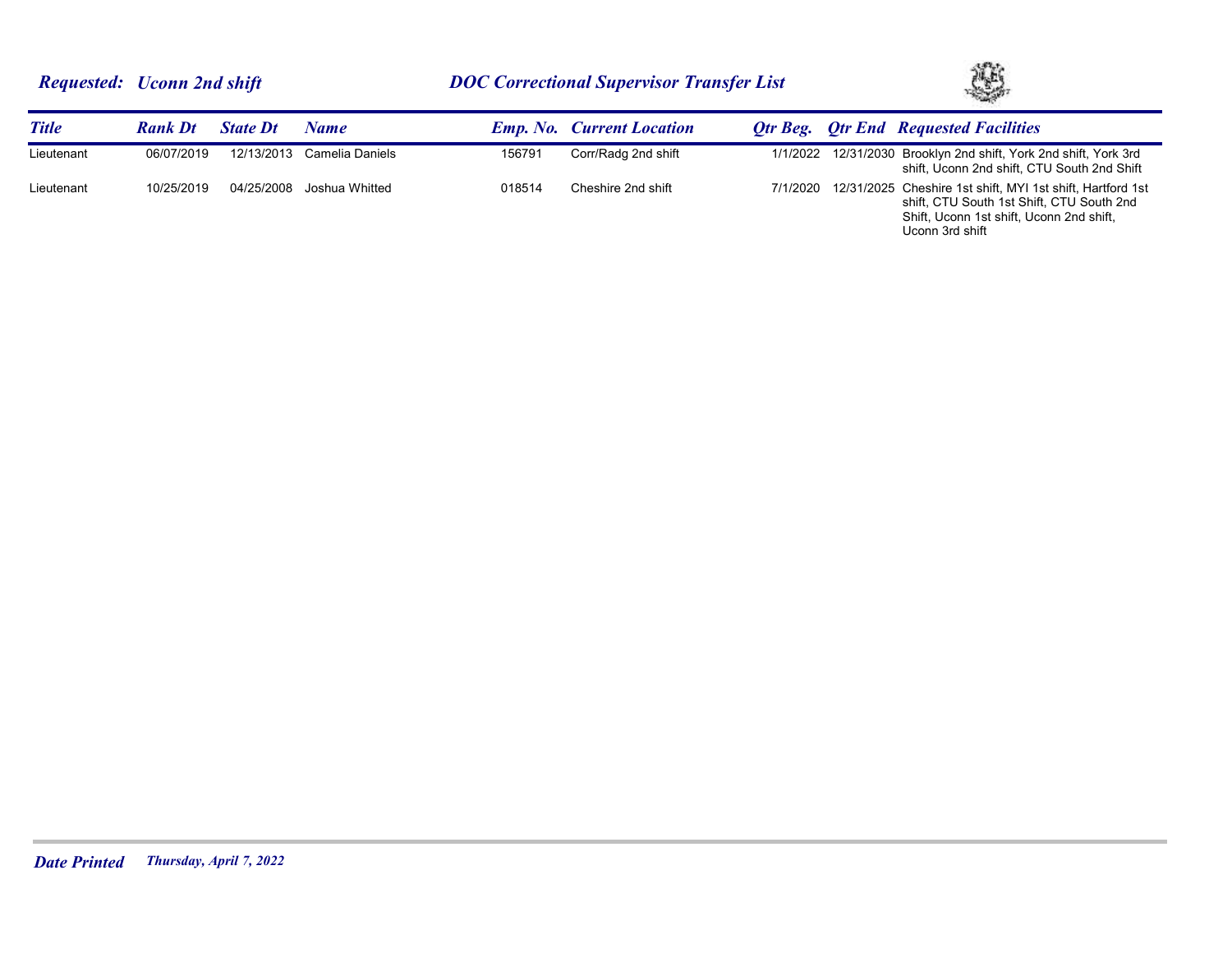

| <b>Title</b> | <b>Rank Dt</b> | <b>State Dt</b> | Name                      |        | <b>Emp. No. Current Location</b> |          | <b>Otr Beg.</b> Otr End Requested Facilities                                                                                                                           |
|--------------|----------------|-----------------|---------------------------|--------|----------------------------------|----------|------------------------------------------------------------------------------------------------------------------------------------------------------------------------|
| Lieutenant   | 06/07/2019     | 12/13/2013      | Camelia Daniels           | 156791 | Corr/Radg 2nd shift              |          | 1/1/2022 12/31/2030 Brooklyn 2nd shift, York 2nd shift, York 3rd<br>shift, Uconn 2nd shift, CTU South 2nd Shift                                                        |
| Lieutenant   | 10/25/2019     |                 | 04/25/2008 Joshua Whitted | 018514 | Cheshire 2nd shift               | 7/1/2020 | 12/31/2025 Cheshire 1st shift, MYI 1st shift, Hartford 1st<br>shift, CTU South 1st Shift, CTU South 2nd<br>Shift, Uconn 1st shift, Uconn 2nd shift,<br>Uconn 3rd shift |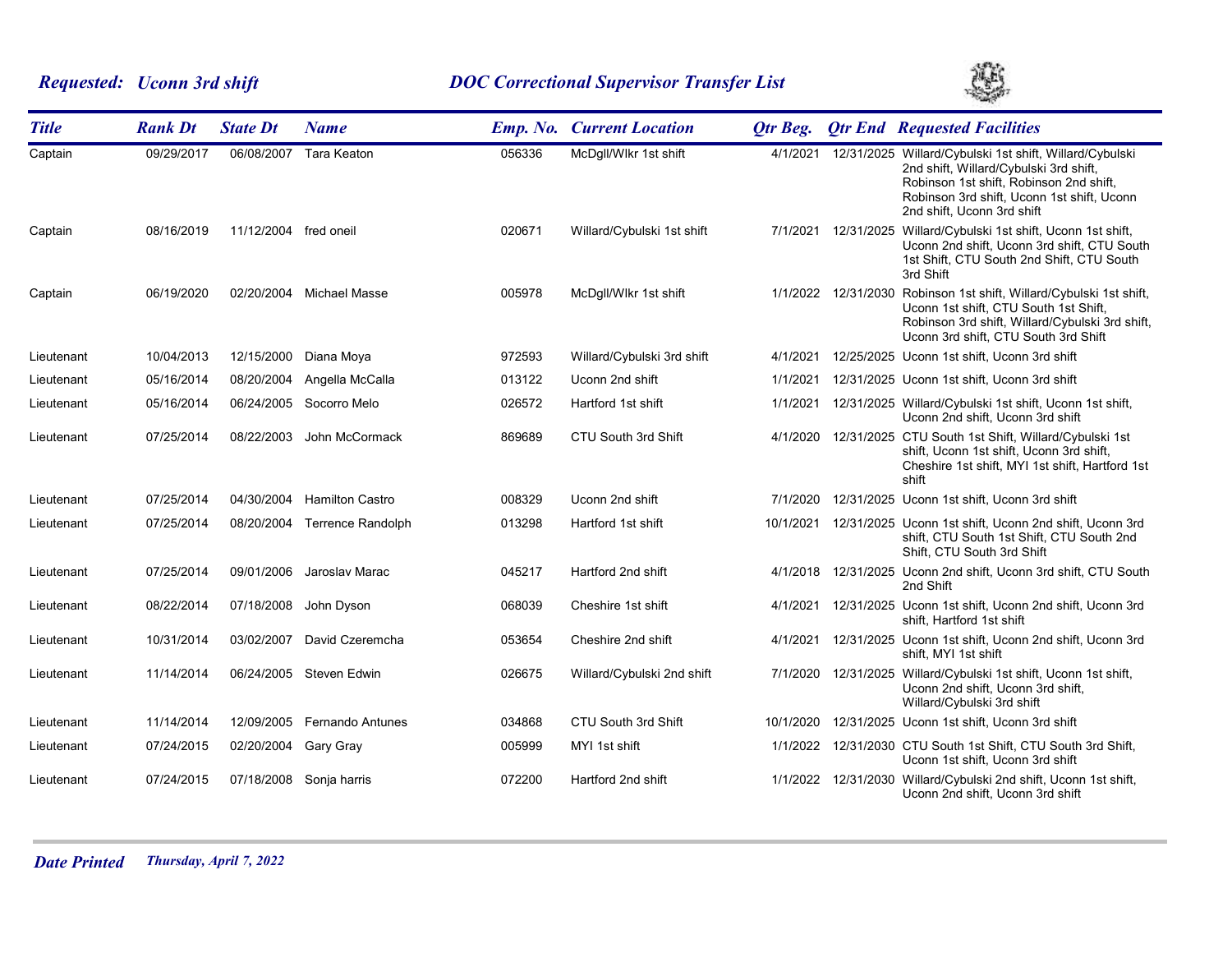# *Requested: Uconn 3rd shift DOC Correctional Supervisor Transfer List*



| <b>Title</b> | <b>Rank Dt</b> | <b>State Dt</b>       | <b>Name</b>              |        | <b>Emp. No. Current Location</b> | <b>Qtr Beg.</b> | <b>Qtr End Requested Facilities</b>                                                                                                                                                                                      |
|--------------|----------------|-----------------------|--------------------------|--------|----------------------------------|-----------------|--------------------------------------------------------------------------------------------------------------------------------------------------------------------------------------------------------------------------|
| Captain      | 09/29/2017     | 06/08/2007            | <b>Tara Keaton</b>       | 056336 | McDqll/Wlkr 1st shift            | 4/1/2021        | 12/31/2025 Willard/Cybulski 1st shift, Willard/Cybulski<br>2nd shift, Willard/Cybulski 3rd shift,<br>Robinson 1st shift, Robinson 2nd shift,<br>Robinson 3rd shift, Uconn 1st shift, Uconn<br>2nd shift. Uconn 3rd shift |
| Captain      | 08/16/2019     | 11/12/2004 fred oneil |                          | 020671 | Willard/Cybulski 1st shift       | 7/1/2021        | 12/31/2025 Willard/Cybulski 1st shift, Uconn 1st shift,<br>Uconn 2nd shift, Uconn 3rd shift, CTU South<br>1st Shift, CTU South 2nd Shift, CTU South<br>3rd Shift                                                         |
| Captain      | 06/19/2020     | 02/20/2004            | Michael Masse            | 005978 | McDgll/Wlkr 1st shift            |                 | 1/1/2022 12/31/2030 Robinson 1st shift, Willard/Cybulski 1st shift,<br>Uconn 1st shift, CTU South 1st Shift,<br>Robinson 3rd shift, Willard/Cybulski 3rd shift,<br>Uconn 3rd shift, CTU South 3rd Shift                  |
| Lieutenant   | 10/04/2013     | 12/15/2000            | Diana Moya               | 972593 | Willard/Cybulski 3rd shift       | 4/1/2021        | 12/25/2025 Uconn 1st shift, Uconn 3rd shift                                                                                                                                                                              |
| Lieutenant   | 05/16/2014     | 08/20/2004            | Angella McCalla          | 013122 | Uconn 2nd shift                  | 1/1/2021        | 12/31/2025 Uconn 1st shift, Uconn 3rd shift                                                                                                                                                                              |
| Lieutenant   | 05/16/2014     | 06/24/2005            | Socorro Melo             | 026572 | Hartford 1st shift               | 1/1/2021        | 12/31/2025 Willard/Cybulski 1st shift, Uconn 1st shift,<br>Uconn 2nd shift, Uconn 3rd shift                                                                                                                              |
| Lieutenant   | 07/25/2014     | 08/22/2003            | John McCormack           | 869689 | CTU South 3rd Shift              | 4/1/2020        | 12/31/2025 CTU South 1st Shift, Willard/Cybulski 1st<br>shift, Uconn 1st shift, Uconn 3rd shift,<br>Cheshire 1st shift, MYI 1st shift, Hartford 1st<br>shift                                                             |
| Lieutenant   | 07/25/2014     | 04/30/2004            | <b>Hamilton Castro</b>   | 008329 | Uconn 2nd shift                  | 7/1/2020        | 12/31/2025 Uconn 1st shift, Uconn 3rd shift                                                                                                                                                                              |
| Lieutenant   | 07/25/2014     | 08/20/2004            | <b>Terrence Randolph</b> | 013298 | Hartford 1st shift               |                 | 10/1/2021  12/31/2025  Uconn 1st shift, Uconn 2nd shift, Uconn 3rd<br>shift, CTU South 1st Shift, CTU South 2nd<br>Shift, CTU South 3rd Shift                                                                            |
| Lieutenant   | 07/25/2014     | 09/01/2006            | Jaroslav Marac           | 045217 | Hartford 2nd shift               | 4/1/2018        | 12/31/2025 Uconn 2nd shift, Uconn 3rd shift, CTU South<br>2nd Shift                                                                                                                                                      |
| Lieutenant   | 08/22/2014     | 07/18/2008            | John Dyson               | 068039 | Cheshire 1st shift               |                 | 4/1/2021 12/31/2025 Uconn 1st shift, Uconn 2nd shift, Uconn 3rd<br>shift, Hartford 1st shift                                                                                                                             |
| Lieutenant   | 10/31/2014     | 03/02/2007            | David Czeremcha          | 053654 | Cheshire 2nd shift               | 4/1/2021        | 12/31/2025 Uconn 1st shift, Uconn 2nd shift, Uconn 3rd<br>shift, MYI 1st shift                                                                                                                                           |
| Lieutenant   | 11/14/2014     |                       | 06/24/2005 Steven Edwin  | 026675 | Willard/Cybulski 2nd shift       | 7/1/2020        | 12/31/2025 Willard/Cybulski 1st shift, Uconn 1st shift,<br>Uconn 2nd shift, Uconn 3rd shift,<br>Willard/Cybulski 3rd shift                                                                                               |
| Lieutenant   | 11/14/2014     | 12/09/2005            | <b>Fernando Antunes</b>  | 034868 | CTU South 3rd Shift              | 10/1/2020       | 12/31/2025 Uconn 1st shift, Uconn 3rd shift                                                                                                                                                                              |
| Lieutenant   | 07/24/2015     | 02/20/2004            | Gary Gray                | 005999 | MYI 1st shift                    | 1/1/2022        | 12/31/2030 CTU South 1st Shift, CTU South 3rd Shift,<br>Uconn 1st shift, Uconn 3rd shift                                                                                                                                 |
| Lieutenant   | 07/24/2015     |                       | 07/18/2008 Sonja harris  | 072200 | Hartford 2nd shift               | 1/1/2022        | 12/31/2030 Willard/Cybulski 2nd shift, Uconn 1st shift,<br>Uconn 2nd shift, Uconn 3rd shift                                                                                                                              |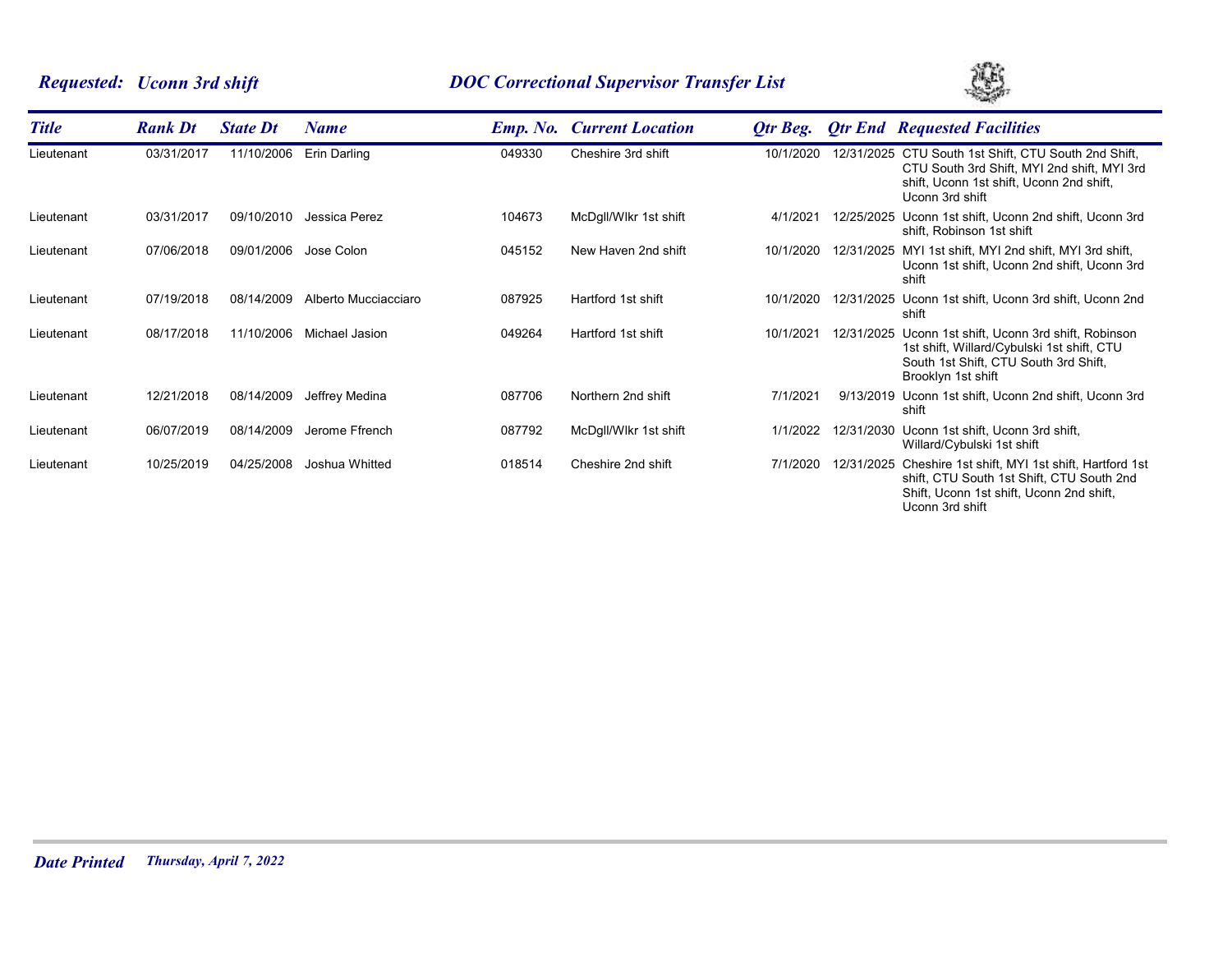# *Requested: Uconn 3rd shift DOC Correctional Supervisor Transfer List*



| <b>Title</b> | <b>Rank Dt</b> | <b>State Dt</b> | Name                 |        | <b>Emp. No. Current Location</b> | Otr Beg.  |            | <b>Qtr End Requested Facilities</b>                                                                                                                                |
|--------------|----------------|-----------------|----------------------|--------|----------------------------------|-----------|------------|--------------------------------------------------------------------------------------------------------------------------------------------------------------------|
| Lieutenant   | 03/31/2017     | 11/10/2006      | Erin Darling         | 049330 | Cheshire 3rd shift               | 10/1/2020 |            | 12/31/2025 CTU South 1st Shift, CTU South 2nd Shift,<br>CTU South 3rd Shift, MYI 2nd shift, MYI 3rd<br>shift, Uconn 1st shift, Uconn 2nd shift,<br>Uconn 3rd shift |
| Lieutenant   | 03/31/2017     | 09/10/2010      | Jessica Perez        | 104673 | McDgll/Wlkr 1st shift            | 4/1/202   |            | 12/25/2025 Uconn 1st shift, Uconn 2nd shift, Uconn 3rd<br>shift, Robinson 1st shift                                                                                |
| Lieutenant   | 07/06/2018     | 09/01/2006      | Jose Colon           | 045152 | New Haven 2nd shift              | 10/1/2020 |            | 12/31/2025 MYI 1st shift, MYI 2nd shift, MYI 3rd shift,<br>Uconn 1st shift, Uconn 2nd shift, Uconn 3rd<br>shift                                                    |
| Lieutenant   | 07/19/2018     | 08/14/2009      | Alberto Mucciacciaro | 087925 | Hartford 1st shift               | 10/1/2020 |            | 12/31/2025 Uconn 1st shift, Uconn 3rd shift, Uconn 2nd<br>shift                                                                                                    |
| Lieutenant   | 08/17/2018     | 11/10/2006      | Michael Jasion       | 049264 | Hartford 1st shift               | 10/1/2021 |            | 12/31/2025 Uconn 1st shift, Uconn 3rd shift, Robinson<br>1st shift, Willard/Cybulski 1st shift, CTU<br>South 1st Shift, CTU South 3rd Shift,<br>Brooklyn 1st shift |
| Lieutenant   | 12/21/2018     | 08/14/2009      | Jeffrey Medina       | 087706 | Northern 2nd shift               | 7/1/2021  |            | 9/13/2019 Uconn 1st shift, Uconn 2nd shift, Uconn 3rd<br>shift                                                                                                     |
| Lieutenant   | 06/07/2019     | 08/14/2009      | Jerome Ffrench       | 087792 | McDgll/Wlkr 1st shift            | 1/1/2022  |            | 12/31/2030 Uconn 1st shift, Uconn 3rd shift,<br>Willard/Cybulski 1st shift                                                                                         |
| Lieutenant   | 10/25/2019     | 04/25/2008      | Joshua Whitted       | 018514 | Cheshire 2nd shift               | 7/1/2020  | 12/31/2025 | Cheshire 1st shift, MYI 1st shift, Hartford 1st<br>shift, CTU South 1st Shift, CTU South 2nd<br>Shift, Uconn 1st shift, Uconn 2nd shift,<br>Uconn 3rd shift        |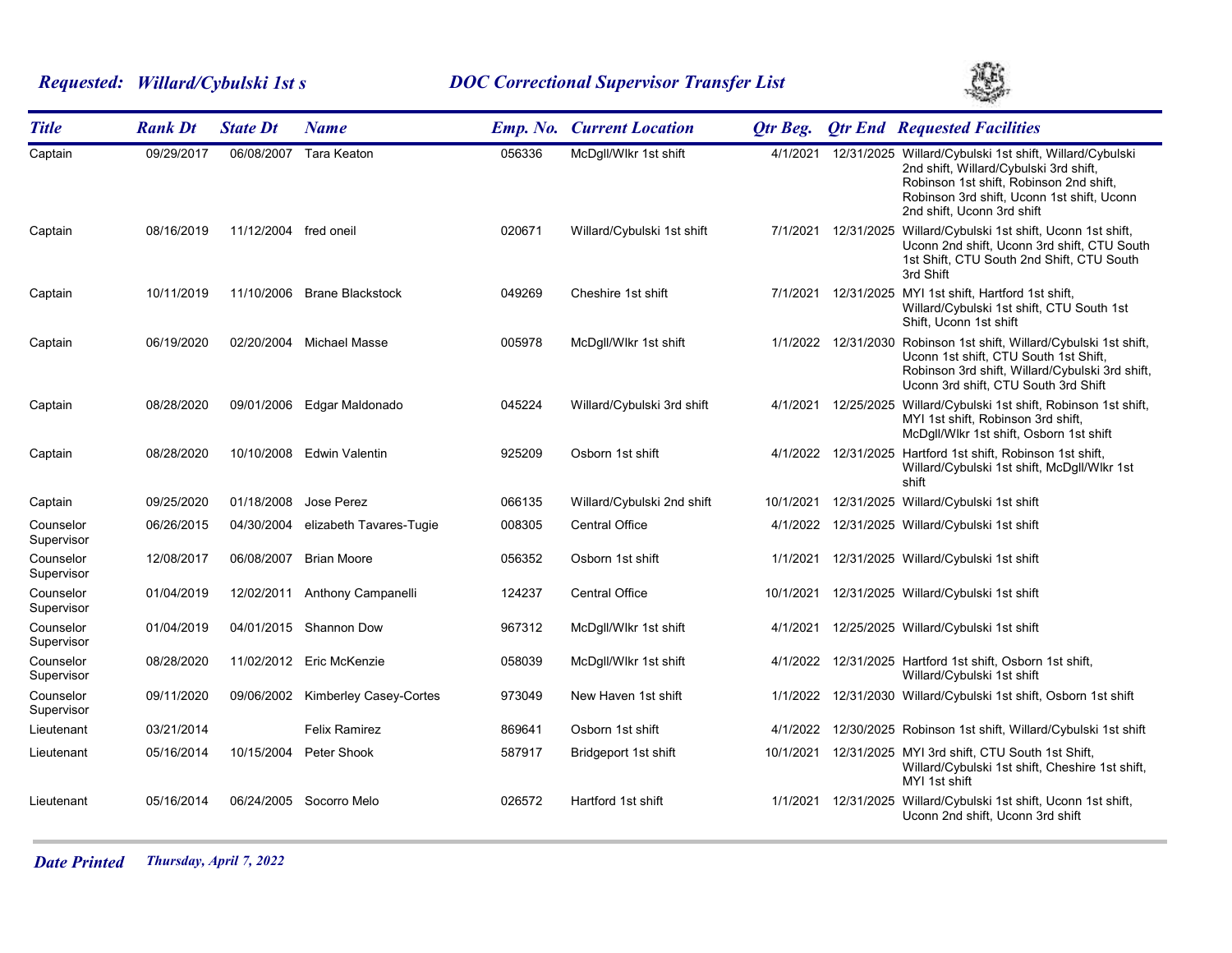# *Requested: Willard/Cybulski 1st s DOC Correctional Supervisor Transfer List*



| <b>Title</b>            | <b>Rank Dt</b> | <b>State Dt</b>       | <b>Name</b>                   |        | <b>Emp. No. Current Location</b> | <b>Qtr Beg.</b> |                     | <b>Qtr End Requested Facilities</b>                                                                                                                                                                                      |
|-------------------------|----------------|-----------------------|-------------------------------|--------|----------------------------------|-----------------|---------------------|--------------------------------------------------------------------------------------------------------------------------------------------------------------------------------------------------------------------------|
| Captain                 | 09/29/2017     | 06/08/2007            | Tara Keaton                   | 056336 | McDgll/Wlkr 1st shift            | 4/1/2021        |                     | 12/31/2025 Willard/Cybulski 1st shift, Willard/Cybulski<br>2nd shift, Willard/Cybulski 3rd shift,<br>Robinson 1st shift, Robinson 2nd shift,<br>Robinson 3rd shift, Uconn 1st shift, Uconn<br>2nd shift, Uconn 3rd shift |
| Captain                 | 08/16/2019     | 11/12/2004 fred oneil |                               | 020671 | Willard/Cybulski 1st shift       | 7/1/2021        |                     | 12/31/2025 Willard/Cybulski 1st shift, Uconn 1st shift,<br>Uconn 2nd shift, Uconn 3rd shift, CTU South<br>1st Shift, CTU South 2nd Shift, CTU South<br>3rd Shift                                                         |
| Captain                 | 10/11/2019     | 11/10/2006            | <b>Brane Blackstock</b>       | 049269 | Cheshire 1st shift               | 7/1/2021        | 12/31/2025          | MYI 1st shift, Hartford 1st shift,<br>Willard/Cybulski 1st shift, CTU South 1st<br>Shift, Uconn 1st shift                                                                                                                |
| Captain                 | 06/19/2020     |                       | 02/20/2004 Michael Masse      | 005978 | McDgll/Wlkr 1st shift            |                 | 1/1/2022 12/31/2030 | Robinson 1st shift, Willard/Cybulski 1st shift,<br>Uconn 1st shift, CTU South 1st Shift,<br>Robinson 3rd shift, Willard/Cybulski 3rd shift,<br>Uconn 3rd shift, CTU South 3rd Shift                                      |
| Captain                 | 08/28/2020     | 09/01/2006            | Edgar Maldonado               | 045224 | Willard/Cybulski 3rd shift       | 4/1/2021        |                     | 12/25/2025 Willard/Cybulski 1st shift, Robinson 1st shift,<br>MYI 1st shift, Robinson 3rd shift,<br>McDgll/Wlkr 1st shift, Osborn 1st shift                                                                              |
| Captain                 | 08/28/2020     |                       | 10/10/2008 Edwin Valentin     | 925209 | Osborn 1st shift                 |                 | 4/1/2022 12/31/2025 | Hartford 1st shift, Robinson 1st shift,<br>Willard/Cybulski 1st shift, McDgll/Wlkr 1st<br>shift                                                                                                                          |
| Captain                 | 09/25/2020     | 01/18/2008            | Jose Perez                    | 066135 | Willard/Cybulski 2nd shift       | 10/1/2021       |                     | 12/31/2025 Willard/Cybulski 1st shift                                                                                                                                                                                    |
| Counselor<br>Supervisor | 06/26/2015     | 04/30/2004            | elizabeth Tavares-Tugie       | 008305 | <b>Central Office</b>            | 4/1/2022        |                     | 12/31/2025 Willard/Cybulski 1st shift                                                                                                                                                                                    |
| Counselor<br>Supervisor | 12/08/2017     | 06/08/2007            | <b>Brian Moore</b>            | 056352 | Osborn 1st shift                 | 1/1/2021        |                     | 12/31/2025 Willard/Cybulski 1st shift                                                                                                                                                                                    |
| Counselor<br>Supervisor | 01/04/2019     | 12/02/2011            | Anthony Campanelli            | 124237 | <b>Central Office</b>            | 10/1/2021       |                     | 12/31/2025 Willard/Cybulski 1st shift                                                                                                                                                                                    |
| Counselor<br>Supervisor | 01/04/2019     | 04/01/2015            | <b>Shannon Dow</b>            | 967312 | McDgll/Wlkr 1st shift            | 4/1/2021        |                     | 12/25/2025 Willard/Cybulski 1st shift                                                                                                                                                                                    |
| Counselor<br>Supervisor | 08/28/2020     |                       | 11/02/2012 Eric McKenzie      | 058039 | McDgll/Wlkr 1st shift            |                 |                     | 4/1/2022 12/31/2025 Hartford 1st shift, Osborn 1st shift,<br>Willard/Cybulski 1st shift                                                                                                                                  |
| Counselor<br>Supervisor | 09/11/2020     | 09/06/2002            | <b>Kimberley Casey-Cortes</b> | 973049 | New Haven 1st shift              | 1/1/2022        |                     | 12/31/2030 Willard/Cybulski 1st shift, Osborn 1st shift                                                                                                                                                                  |
| Lieutenant              | 03/21/2014     |                       | Felix Ramirez                 | 869641 | Osborn 1st shift                 | 4/1/2022        |                     | 12/30/2025 Robinson 1st shift, Willard/Cybulski 1st shift                                                                                                                                                                |
| Lieutenant              | 05/16/2014     | 10/15/2004            | Peter Shook                   | 587917 | Bridgeport 1st shift             | 10/1/2021       |                     | 12/31/2025 MYI 3rd shift, CTU South 1st Shift,<br>Willard/Cybulski 1st shift, Cheshire 1st shift,<br>MYI 1st shift                                                                                                       |
| Lieutenant              | 05/16/2014     | 06/24/2005            | Socorro Melo                  | 026572 | Hartford 1st shift               | 1/1/2021        |                     | 12/31/2025 Willard/Cybulski 1st shift, Uconn 1st shift,<br>Uconn 2nd shift, Uconn 3rd shift                                                                                                                              |

*Date Printed Thursday, April 7, 2022*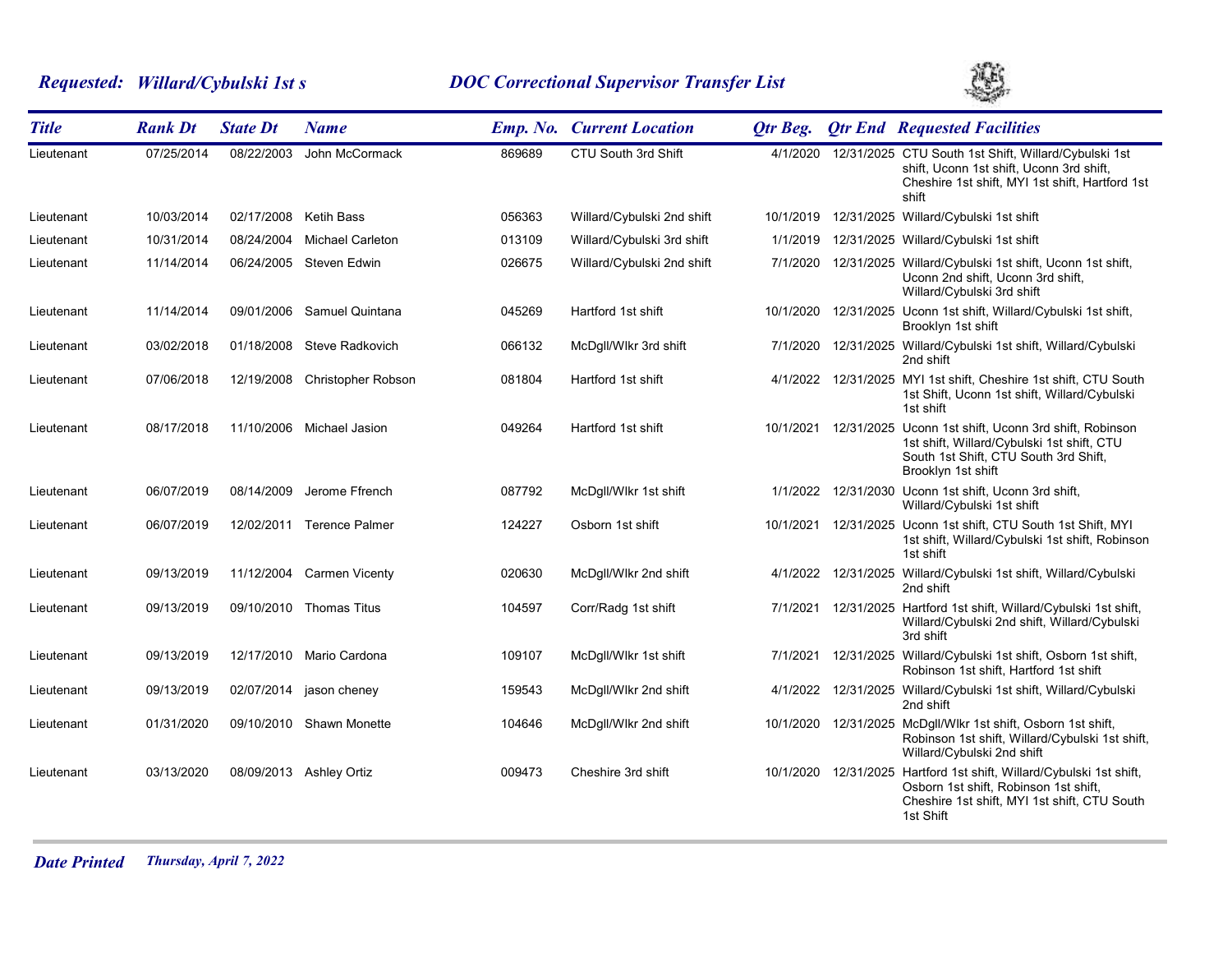# *Requested: Willard/Cybulski 1st s DOC Correctional Supervisor Transfer List*



| <b>Title</b> | <b>Rank Dt</b> | <b>State Dt</b> | <b>Name</b>                   |        | <b>Emp. No. Current Location</b> | <b>Qtr Beg.</b> | <b>Qtr End Requested Facilities</b>                                                                                                                                        |
|--------------|----------------|-----------------|-------------------------------|--------|----------------------------------|-----------------|----------------------------------------------------------------------------------------------------------------------------------------------------------------------------|
| Lieutenant   | 07/25/2014     | 08/22/2003      | John McCormack                | 869689 | CTU South 3rd Shift              | 4/1/2020        | 12/31/2025 CTU South 1st Shift, Willard/Cybulski 1st<br>shift, Uconn 1st shift, Uconn 3rd shift,<br>Cheshire 1st shift, MYI 1st shift, Hartford 1st<br>shift               |
| Lieutenant   | 10/03/2014     |                 | 02/17/2008 Ketih Bass         | 056363 | Willard/Cybulski 2nd shift       | 10/1/2019       | 12/31/2025 Willard/Cybulski 1st shift                                                                                                                                      |
| Lieutenant   | 10/31/2014     | 08/24/2004      | <b>Michael Carleton</b>       | 013109 | Willard/Cybulski 3rd shift       | 1/1/2019        | 12/31/2025 Willard/Cybulski 1st shift                                                                                                                                      |
| Lieutenant   | 11/14/2014     |                 | 06/24/2005 Steven Edwin       | 026675 | Willard/Cybulski 2nd shift       |                 | 7/1/2020 12/31/2025 Willard/Cybulski 1st shift, Uconn 1st shift,<br>Uconn 2nd shift, Uconn 3rd shift,<br>Willard/Cybulski 3rd shift                                        |
| Lieutenant   | 11/14/2014     |                 | 09/01/2006 Samuel Quintana    | 045269 | Hartford 1st shift               | 10/1/2020       | 12/31/2025 Uconn 1st shift, Willard/Cybulski 1st shift,<br>Brooklyn 1st shift                                                                                              |
| Lieutenant   | 03/02/2018     |                 | 01/18/2008 Steve Radkovich    | 066132 | McDgll/Wlkr 3rd shift            | 7/1/2020        | 12/31/2025 Willard/Cybulski 1st shift, Willard/Cybulski<br>2nd shift                                                                                                       |
| Lieutenant   | 07/06/2018     |                 | 12/19/2008 Christopher Robson | 081804 | Hartford 1st shift               |                 | 4/1/2022 12/31/2025 MYI 1st shift, Cheshire 1st shift, CTU South<br>1st Shift, Uconn 1st shift, Willard/Cybulski<br>1st shift                                              |
| Lieutenant   | 08/17/2018     |                 | 11/10/2006 Michael Jasion     | 049264 | Hartford 1st shift               | 10/1/2021       | 12/31/2025 Uconn 1st shift, Uconn 3rd shift, Robinson<br>1st shift, Willard/Cybulski 1st shift, CTU<br>South 1st Shift, CTU South 3rd Shift,<br>Brooklyn 1st shift         |
| Lieutenant   | 06/07/2019     | 08/14/2009      | Jerome Ffrench                | 087792 | McDgll/Wlkr 1st shift            |                 | 1/1/2022 12/31/2030 Uconn 1st shift, Uconn 3rd shift,<br>Willard/Cybulski 1st shift                                                                                        |
| Lieutenant   | 06/07/2019     |                 | 12/02/2011 Terence Palmer     | 124227 | Osborn 1st shift                 | 10/1/2021       | 12/31/2025 Uconn 1st shift, CTU South 1st Shift, MYI<br>1st shift, Willard/Cybulski 1st shift, Robinson<br>1st shift                                                       |
| Lieutenant   | 09/13/2019     | 11/12/2004      | Carmen Vicenty                | 020630 | McDgll/Wlkr 2nd shift            | 4/1/2022        | 12/31/2025 Willard/Cybulski 1st shift, Willard/Cybulski<br>2nd shift                                                                                                       |
| Lieutenant   | 09/13/2019     |                 | 09/10/2010 Thomas Titus       | 104597 | Corr/Radg 1st shift              | 7/1/2021        | 12/31/2025 Hartford 1st shift, Willard/Cybulski 1st shift,<br>Willard/Cybulski 2nd shift, Willard/Cybulski<br>3rd shift                                                    |
| Lieutenant   | 09/13/2019     |                 | 12/17/2010 Mario Cardona      | 109107 | McDgll/Wlkr 1st shift            | 7/1/2021        | 12/31/2025 Willard/Cybulski 1st shift, Osborn 1st shift,<br>Robinson 1st shift, Hartford 1st shift                                                                         |
| Lieutenant   | 09/13/2019     | 02/07/2014      | jason cheney                  | 159543 | McDgll/Wlkr 2nd shift            | 4/1/2022        | 12/31/2025 Willard/Cybulski 1st shift, Willard/Cybulski<br>2nd shift                                                                                                       |
| Lieutenant   | 01/31/2020     |                 | 09/10/2010 Shawn Monette      | 104646 | McDgll/Wlkr 2nd shift            | 10/1/2020       | 12/31/2025 McDgll/Wlkr 1st shift, Osborn 1st shift,<br>Robinson 1st shift, Willard/Cybulski 1st shift,<br>Willard/Cybulski 2nd shift                                       |
| Lieutenant   | 03/13/2020     |                 | 08/09/2013 Ashley Ortiz       | 009473 | Cheshire 3rd shift               |                 | 10/1/2020 12/31/2025 Hartford 1st shift, Willard/Cybulski 1st shift,<br>Osborn 1st shift, Robinson 1st shift,<br>Cheshire 1st shift, MYI 1st shift, CTU South<br>1st Shift |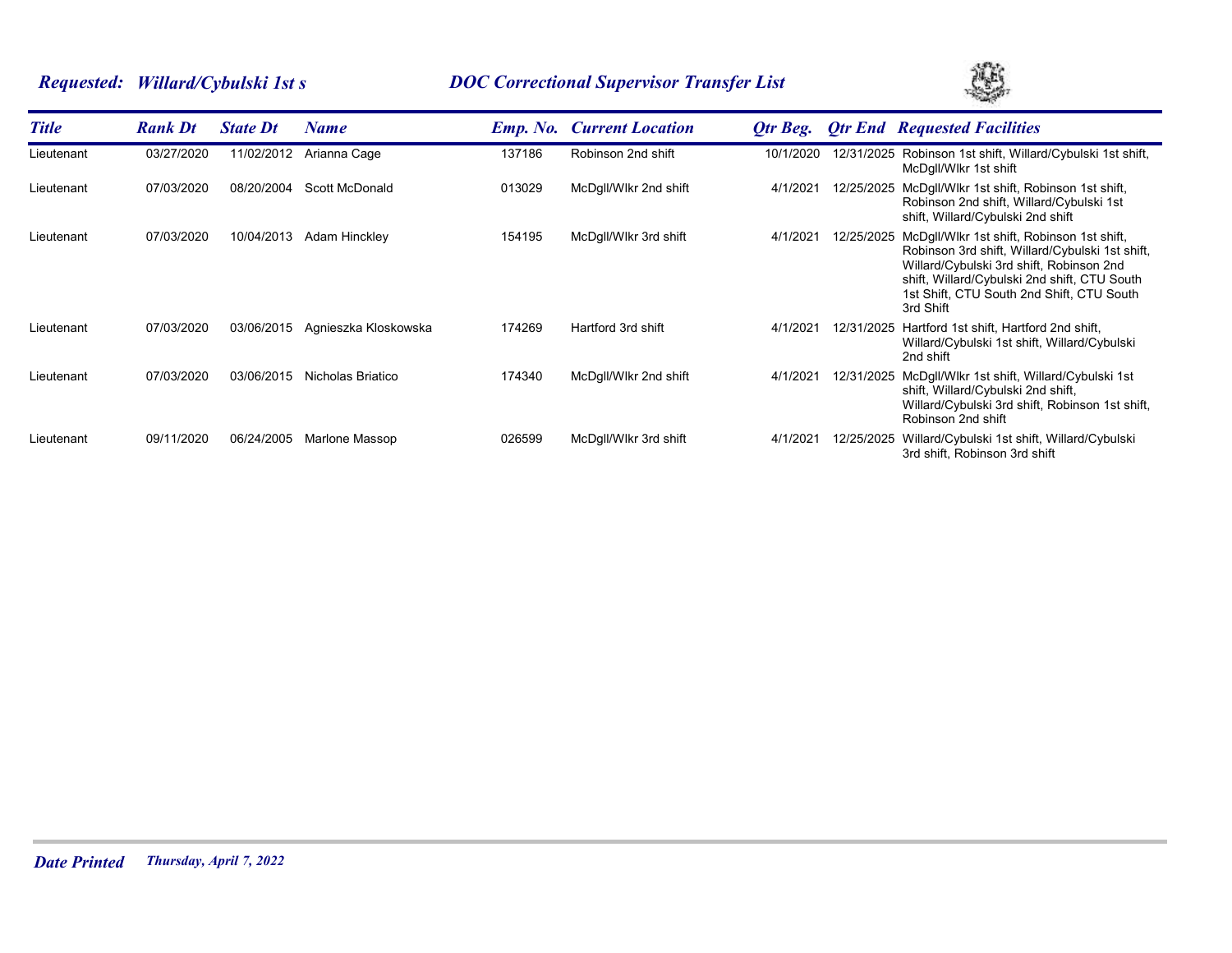# *Requested: Willard/Cybulski 1st s DOC Correctional Supervisor Transfer List*



| <b>Title</b> | <b>Rank Dt</b> | <b>State Dt</b> | Name                 |        | <b>Emp. No. Current Location</b> | Otr Beg.  |            | <b>Otr End Requested Facilities</b>                                                                                                                                                                                                                 |
|--------------|----------------|-----------------|----------------------|--------|----------------------------------|-----------|------------|-----------------------------------------------------------------------------------------------------------------------------------------------------------------------------------------------------------------------------------------------------|
| Lieutenant   | 03/27/2020     | 11/02/2012      | Arianna Cage         | 137186 | Robinson 2nd shift               | 10/1/2020 | 12/31/2025 | Robinson 1st shift, Willard/Cybulski 1st shift,<br>McDqll/Wlkr 1st shift                                                                                                                                                                            |
| Lieutenant   | 07/03/2020     | 08/20/2004      | Scott McDonald       | 013029 | McDgll/Wlkr 2nd shift            | 4/1/2021  | 12/25/2025 | McDgll/Wlkr 1st shift, Robinson 1st shift,<br>Robinson 2nd shift, Willard/Cybulski 1st<br>shift, Willard/Cybulski 2nd shift                                                                                                                         |
| Lieutenant   | 07/03/2020     | 10/04/2013      | Adam Hinckley        | 154195 | McDgll/Wlkr 3rd shift            | 4/1/2021  | 12/25/2025 | McDgll/Wlkr 1st shift, Robinson 1st shift,<br>Robinson 3rd shift, Willard/Cybulski 1st shift,<br>Willard/Cybulski 3rd shift, Robinson 2nd<br>shift, Willard/Cybulski 2nd shift, CTU South<br>1st Shift, CTU South 2nd Shift, CTU South<br>3rd Shift |
| Lieutenant   | 07/03/2020     | 03/06/2015      | Agnieszka Kloskowska | 174269 | Hartford 3rd shift               | 4/1/2021  | 12/31/2025 | Hartford 1st shift, Hartford 2nd shift,<br>Willard/Cybulski 1st shift, Willard/Cybulski<br>2nd shift                                                                                                                                                |
| Lieutenant   | 07/03/2020     | 03/06/2015      | Nicholas Briatico    | 174340 | McDgll/Wlkr 2nd shift            | 4/1/2021  | 12/31/2025 | McDgll/Wlkr 1st shift, Willard/Cybulski 1st<br>shift, Willard/Cybulski 2nd shift,<br>Willard/Cybulski 3rd shift, Robinson 1st shift,<br>Robinson 2nd shift                                                                                          |
| Lieutenant   | 09/11/2020     | 06/24/2005      | Marlone Massop       | 026599 | McDgll/Wlkr 3rd shift            | 4/1/2021  | 12/25/2025 | Willard/Cybulski 1st shift, Willard/Cybulski<br>3rd shift, Robinson 3rd shift                                                                                                                                                                       |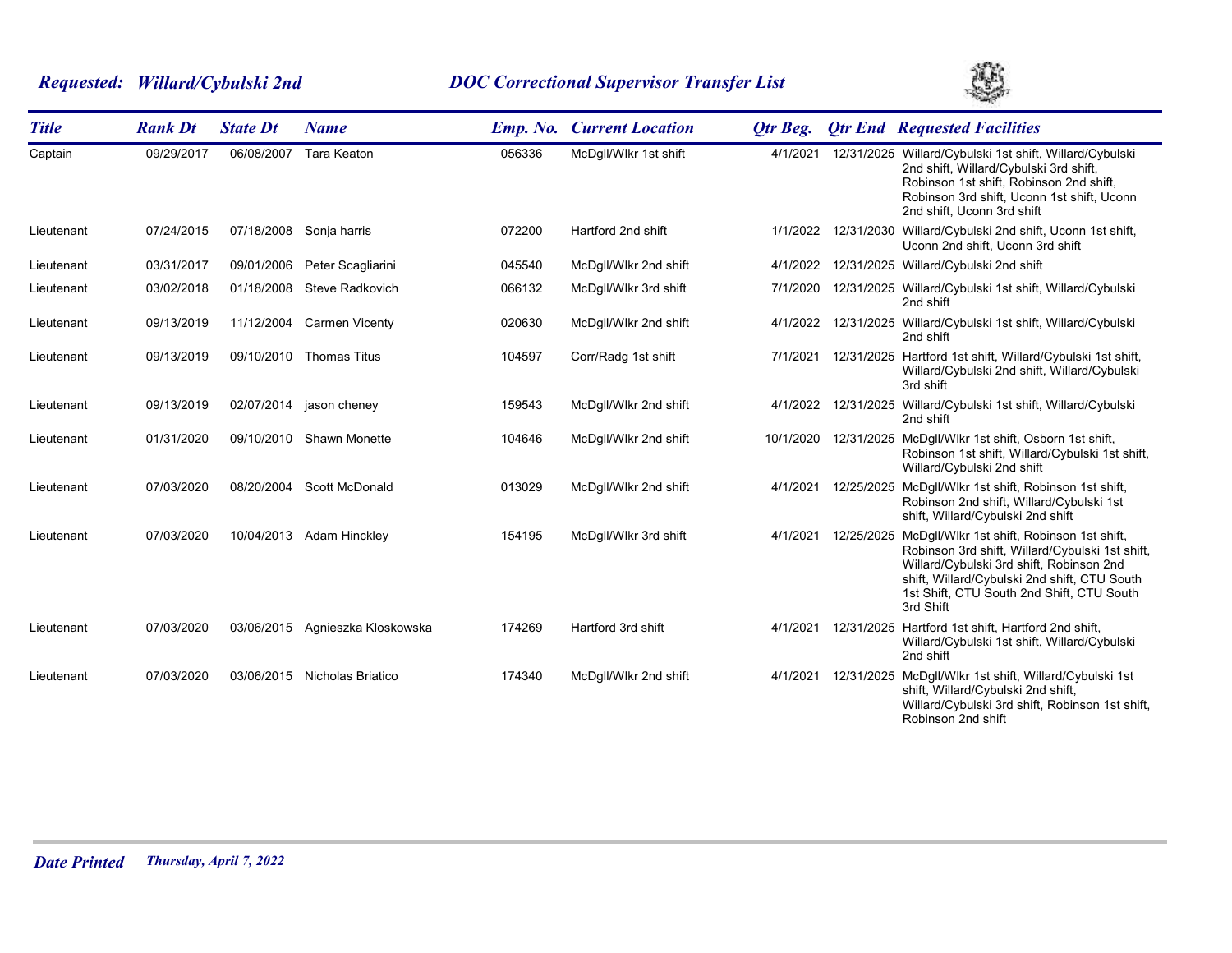# *Requested: Willard/Cybulski 2nd DOC Correctional Supervisor Transfer List*



| <b>Title</b> | <b>Rank Dt</b> | <b>State Dt</b> | <b>Name</b>                     |        | <b>Emp. No. Current Location</b> | Otr Beg.  |            | <b>Qtr End Requested Facilities</b>                                                                                                                                                                                                                 |
|--------------|----------------|-----------------|---------------------------------|--------|----------------------------------|-----------|------------|-----------------------------------------------------------------------------------------------------------------------------------------------------------------------------------------------------------------------------------------------------|
| Captain      | 09/29/2017     | 06/08/2007      | Tara Keaton                     | 056336 | McDgll/Wlkr 1st shift            | 4/1/2021  |            | 12/31/2025 Willard/Cybulski 1st shift, Willard/Cybulski<br>2nd shift, Willard/Cybulski 3rd shift,<br>Robinson 1st shift, Robinson 2nd shift,<br>Robinson 3rd shift, Uconn 1st shift, Uconn<br>2nd shift, Uconn 3rd shift                            |
| Lieutenant   | 07/24/2015     |                 | 07/18/2008 Sonja harris         | 072200 | Hartford 2nd shift               | 1/1/2022  |            | 12/31/2030 Willard/Cybulski 2nd shift, Uconn 1st shift,<br>Uconn 2nd shift, Uconn 3rd shift                                                                                                                                                         |
| Lieutenant   | 03/31/2017     | 09/01/2006      | Peter Scagliarini               | 045540 | McDgll/Wlkr 2nd shift            | 4/1/2022  |            | 12/31/2025 Willard/Cybulski 2nd shift                                                                                                                                                                                                               |
| Lieutenant   | 03/02/2018     | 01/18/2008      | Steve Radkovich                 | 066132 | McDgll/Wlkr 3rd shift            | 7/1/2020  |            | 12/31/2025 Willard/Cybulski 1st shift, Willard/Cybulski<br>2nd shift                                                                                                                                                                                |
| Lieutenant   | 09/13/2019     |                 | 11/12/2004 Carmen Vicenty       | 020630 | McDgll/Wlkr 2nd shift            |           |            | 4/1/2022 12/31/2025 Willard/Cybulski 1st shift, Willard/Cybulski<br>2nd shift                                                                                                                                                                       |
| Lieutenant   | 09/13/2019     |                 | 09/10/2010 Thomas Titus         | 104597 | Corr/Radg 1st shift              | 7/1/2021  |            | 12/31/2025 Hartford 1st shift, Willard/Cybulski 1st shift,<br>Willard/Cybulski 2nd shift, Willard/Cybulski<br>3rd shift                                                                                                                             |
| Lieutenant   | 09/13/2019     |                 | 02/07/2014 jason cheney         | 159543 | McDgll/Wlkr 2nd shift            | 4/1/2022  |            | 12/31/2025 Willard/Cybulski 1st shift, Willard/Cybulski<br>2nd shift                                                                                                                                                                                |
| Lieutenant   | 01/31/2020     |                 | 09/10/2010 Shawn Monette        | 104646 | McDgll/Wlkr 2nd shift            | 10/1/2020 |            | 12/31/2025 McDgll/Wlkr 1st shift, Osborn 1st shift,<br>Robinson 1st shift, Willard/Cybulski 1st shift,<br>Willard/Cybulski 2nd shift                                                                                                                |
| Lieutenant   | 07/03/2020     |                 | 08/20/2004 Scott McDonald       | 013029 | McDgll/Wlkr 2nd shift            | 4/1/2021  | 12/25/2025 | McDgll/Wlkr 1st shift, Robinson 1st shift,<br>Robinson 2nd shift, Willard/Cybulski 1st<br>shift, Willard/Cybulski 2nd shift                                                                                                                         |
| Lieutenant   | 07/03/2020     |                 | 10/04/2013 Adam Hinckley        | 154195 | McDgll/Wlkr 3rd shift            | 4/1/2021  | 12/25/2025 | McDqll/Wlkr 1st shift, Robinson 1st shift,<br>Robinson 3rd shift, Willard/Cybulski 1st shift,<br>Willard/Cybulski 3rd shift, Robinson 2nd<br>shift, Willard/Cybulski 2nd shift, CTU South<br>1st Shift, CTU South 2nd Shift, CTU South<br>3rd Shift |
| Lieutenant   | 07/03/2020     |                 | 03/06/2015 Agnieszka Kloskowska | 174269 | Hartford 3rd shift               | 4/1/2021  | 12/31/2025 | Hartford 1st shift, Hartford 2nd shift,<br>Willard/Cybulski 1st shift, Willard/Cybulski<br>2nd shift                                                                                                                                                |
| Lieutenant   | 07/03/2020     | 03/06/2015      | Nicholas Briatico               | 174340 | McDgll/Wlkr 2nd shift            | 4/1/2021  | 12/31/2025 | McDgll/Wlkr 1st shift, Willard/Cybulski 1st<br>shift, Willard/Cybulski 2nd shift,<br>Willard/Cybulski 3rd shift, Robinson 1st shift,<br>Robinson 2nd shift                                                                                          |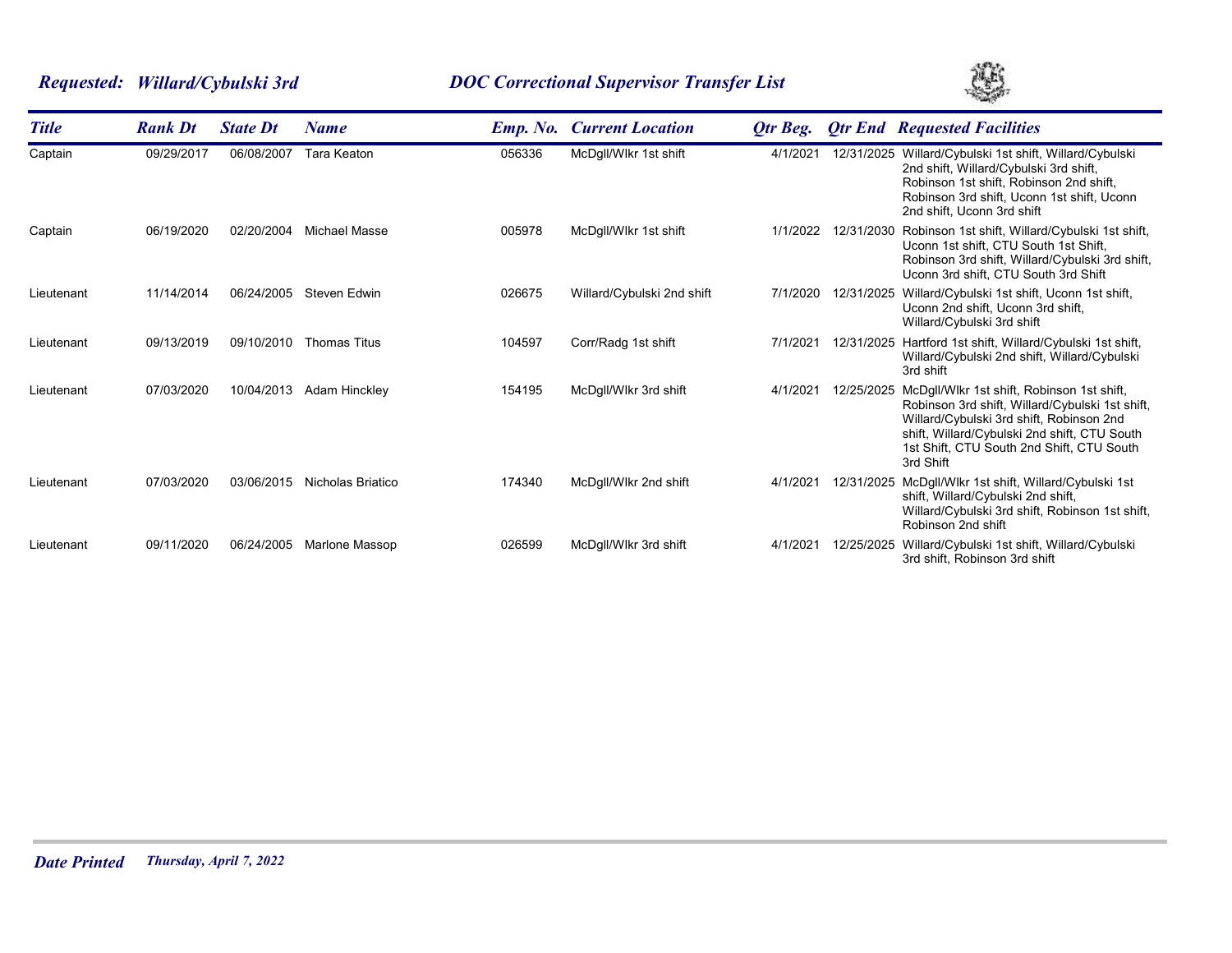# *Requested: Willard/Cybulski 3rd DOC Correctional Supervisor Transfer List*



| <b>Title</b> | <b>Rank Dt</b> | <b>State Dt</b> | <b>Name</b>           | <b>Emp.</b> No. | <b>Current Location</b>    | <b>Qtr Beg.</b> |            | <b>Qtr End Requested Facilities</b>                                                                                                                                                                                                                 |
|--------------|----------------|-----------------|-----------------------|-----------------|----------------------------|-----------------|------------|-----------------------------------------------------------------------------------------------------------------------------------------------------------------------------------------------------------------------------------------------------|
| Captain      | 09/29/2017     | 06/08/2007      | <b>Tara Keaton</b>    | 056336          | McDgll/Wlkr 1st shift      | 4/1/2021        | 12/31/2025 | Willard/Cybulski 1st shift, Willard/Cybulski<br>2nd shift, Willard/Cybulski 3rd shift,<br>Robinson 1st shift, Robinson 2nd shift,<br>Robinson 3rd shift, Uconn 1st shift, Uconn<br>2nd shift, Uconn 3rd shift                                       |
| Captain      | 06/19/2020     | 02/20/2004      | <b>Michael Masse</b>  | 005978          | McDgll/Wlkr 1st shift      | 1/1/2022        | 12/31/2030 | Robinson 1st shift, Willard/Cybulski 1st shift,<br>Uconn 1st shift, CTU South 1st Shift,<br>Robinson 3rd shift, Willard/Cybulski 3rd shift,<br>Uconn 3rd shift, CTU South 3rd Shift                                                                 |
| Lieutenant   | 11/14/2014     | 06/24/2005      | <b>Steven Edwin</b>   | 026675          | Willard/Cybulski 2nd shift | 7/1/2020        | 12/31/2025 | Willard/Cybulski 1st shift, Uconn 1st shift,<br>Uconn 2nd shift, Uconn 3rd shift,<br>Willard/Cybulski 3rd shift                                                                                                                                     |
| Lieutenant   | 09/13/2019     | 09/10/2010      | <b>Thomas Titus</b>   | 104597          | Corr/Radg 1st shift        | 7/1/202         | 12/31/2025 | Hartford 1st shift, Willard/Cybulski 1st shift,<br>Willard/Cybulski 2nd shift, Willard/Cybulski<br>3rd shift                                                                                                                                        |
| Lieutenant   | 07/03/2020     | 10/04/2013      | Adam Hinckley         | 154195          | McDgll/Wlkr 3rd shift      | 4/1/202         | 12/25/2025 | McDgll/Wlkr 1st shift, Robinson 1st shift,<br>Robinson 3rd shift, Willard/Cybulski 1st shift,<br>Willard/Cybulski 3rd shift, Robinson 2nd<br>shift, Willard/Cybulski 2nd shift, CTU South<br>1st Shift, CTU South 2nd Shift, CTU South<br>3rd Shift |
| Lieutenant   | 07/03/2020     | 03/06/2015      | Nicholas Briatico     | 174340          | McDgll/Wlkr 2nd shift      | 4/1/202         | 12/31/2025 | McDgll/Wlkr 1st shift, Willard/Cybulski 1st<br>shift, Willard/Cybulski 2nd shift,<br>Willard/Cybulski 3rd shift, Robinson 1st shift,<br>Robinson 2nd shift                                                                                          |
| Lieutenant   | 09/11/2020     | 06/24/2005      | <b>Marlone Massop</b> | 026599          | McDgll/Wlkr 3rd shift      | 4/1/202         | 12/25/2025 | Willard/Cybulski 1st shift, Willard/Cybulski<br>3rd shift, Robinson 3rd shift                                                                                                                                                                       |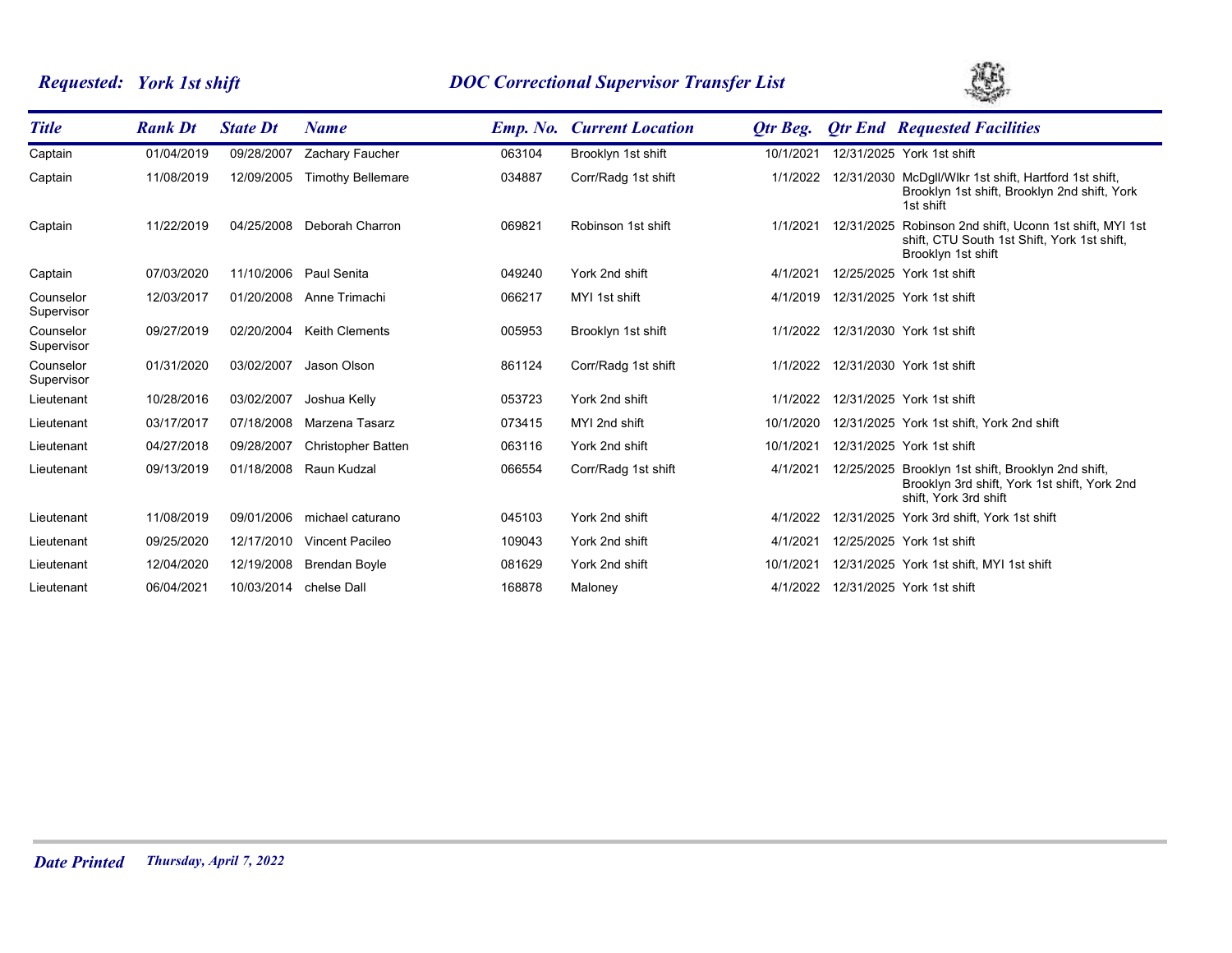# *Requested: York 1st shift DOC Correctional Supervisor Transfer List*



| <b>Title</b>            | <b>Rank Dt</b> | <b>State Dt</b>        | <b>Name</b>               | <b>Emp. No.</b> | <b>Current Location</b> | Otr Beg.  |            | <b>Qtr End Requested Facilities</b>                                                                                         |
|-------------------------|----------------|------------------------|---------------------------|-----------------|-------------------------|-----------|------------|-----------------------------------------------------------------------------------------------------------------------------|
| Captain                 | 01/04/2019     | 09/28/2007             | Zachary Faucher           | 063104          | Brooklyn 1st shift      | 10/1/2021 |            | 12/31/2025 York 1st shift                                                                                                   |
| Captain                 | 11/08/2019     | 12/09/2005             | <b>Timothy Bellemare</b>  | 034887          | Corr/Radg 1st shift     | 1/1/2022  |            | 12/31/2030 McDgll/Wlkr 1st shift, Hartford 1st shift,<br>Brooklyn 1st shift, Brooklyn 2nd shift, York<br>1st shift          |
| Captain                 | 11/22/2019     | 04/25/2008             | Deborah Charron           | 069821          | Robinson 1st shift      | 1/1/2021  | 12/31/2025 | Robinson 2nd shift, Uconn 1st shift, MYI 1st<br>shift, CTU South 1st Shift, York 1st shift,<br>Brooklyn 1st shift           |
| Captain                 | 07/03/2020     | 11/10/2006             | Paul Senita               | 049240          | York 2nd shift          | 4/1/2021  |            | 12/25/2025 York 1st shift                                                                                                   |
| Counselor<br>Supervisor | 12/03/2017     | 01/20/2008             | Anne Trimachi             | 066217          | MYI 1st shift           | 4/1/2019  |            | 12/31/2025 York 1st shift                                                                                                   |
| Counselor<br>Supervisor | 09/27/2019     | 02/20/2004             | <b>Keith Clements</b>     | 005953          | Brooklyn 1st shift      | 1/1/2022  |            | 12/31/2030 York 1st shift                                                                                                   |
| Counselor<br>Supervisor | 01/31/2020     | 03/02/2007             | Jason Olson               | 861124          | Corr/Radg 1st shift     | 1/1/2022  |            | 12/31/2030 York 1st shift                                                                                                   |
| Lieutenant              | 10/28/2016     | 03/02/2007             | Joshua Kelly              | 053723          | York 2nd shift          | 1/1/2022  |            | 12/31/2025 York 1st shift                                                                                                   |
| Lieutenant              | 03/17/2017     | 07/18/2008             | Marzena Tasarz            | 073415          | MYI 2nd shift           | 10/1/2020 |            | 12/31/2025 York 1st shift, York 2nd shift                                                                                   |
| Lieutenant              | 04/27/2018     | 09/28/2007             | <b>Christopher Batten</b> | 063116          | York 2nd shift          | 10/1/2021 |            | 12/31/2025 York 1st shift                                                                                                   |
| Lieutenant              | 09/13/2019     | 01/18/2008             | Raun Kudzal               | 066554          | Corr/Radg 1st shift     | 4/1/2021  |            | 12/25/2025 Brooklyn 1st shift, Brooklyn 2nd shift,<br>Brooklyn 3rd shift, York 1st shift, York 2nd<br>shift. York 3rd shift |
| Lieutenant              | 11/08/2019     | 09/01/2006             | michael caturano          | 045103          | York 2nd shift          | 4/1/2022  |            | 12/31/2025 York 3rd shift, York 1st shift                                                                                   |
| Lieutenant              | 09/25/2020     | 12/17/2010             | <b>Vincent Pacileo</b>    | 109043          | York 2nd shift          | 4/1/2021  |            | 12/25/2025 York 1st shift                                                                                                   |
| Lieutenant              | 12/04/2020     | 12/19/2008             | <b>Brendan Boyle</b>      | 081629          | York 2nd shift          | 10/1/202  |            | 12/31/2025 York 1st shift, MYI 1st shift                                                                                    |
| Lieutenant              | 06/04/2021     | 10/03/2014 chelse Dall |                           | 168878          | Maloney                 | 4/1/2022  |            | 12/31/2025 York 1st shift                                                                                                   |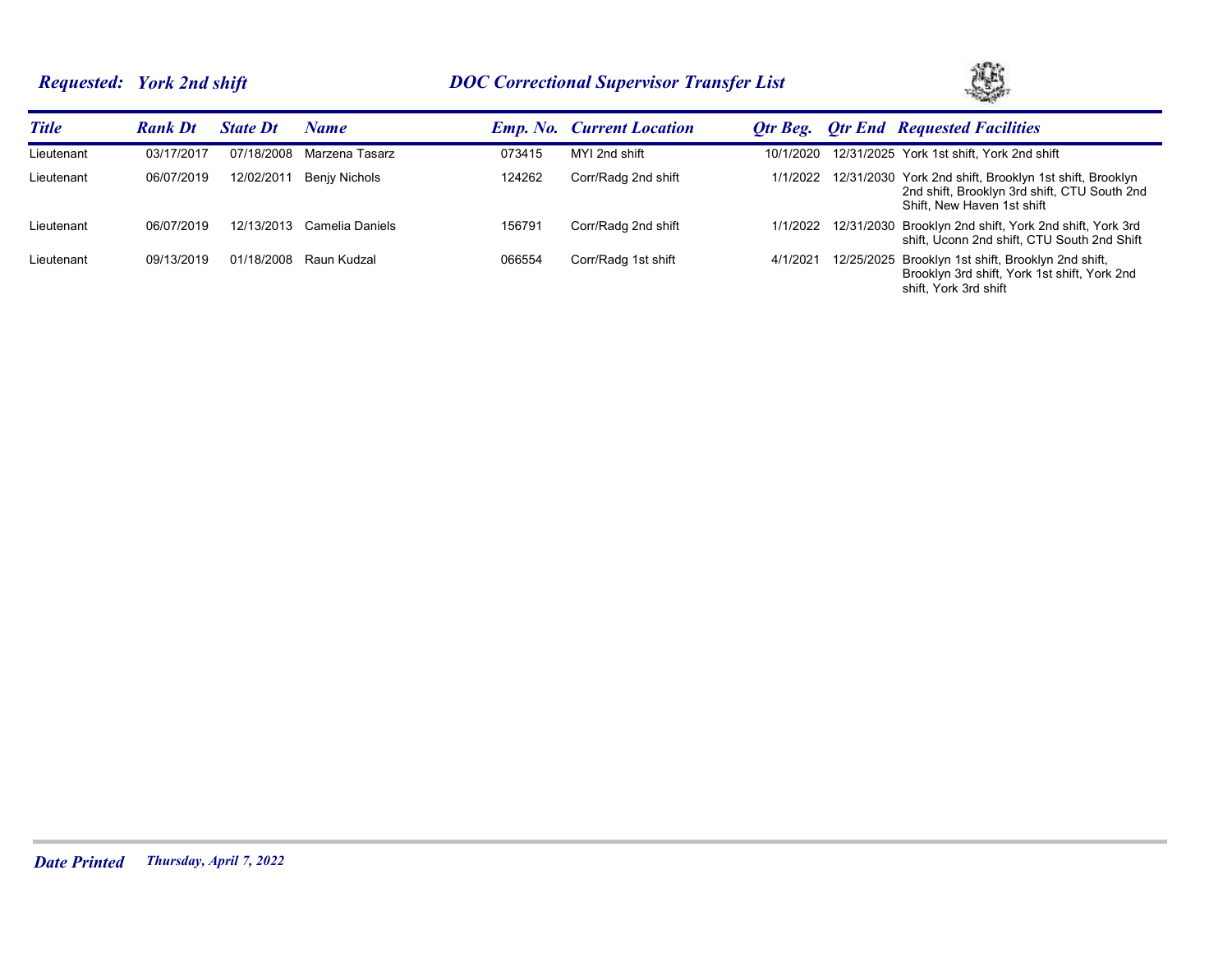# *Requested: York 2nd shift DOC Correctional Supervisor Transfer List*



| <b>Title</b> | <b>Rank Dt</b> | <b>State Dt</b> | Name            |        | <b>Emp. No. Current Location</b> | Otr Beg.  | <b>Otr End Requested Facilities</b>                                                                                                   |
|--------------|----------------|-----------------|-----------------|--------|----------------------------------|-----------|---------------------------------------------------------------------------------------------------------------------------------------|
| Lieutenant   | 03/17/2017     | 07/18/2008      | Marzena Tasarz  | 073415 | MYI 2nd shift                    | 10/1/2020 | 12/31/2025 York 1st shift, York 2nd shift                                                                                             |
| Lieutenant   | 06/07/2019     | 12/02/2011      | Benjy Nichols   | 124262 | Corr/Radg 2nd shift              | 1/1/2022  | 12/31/2030 York 2nd shift, Brooklyn 1st shift, Brooklyn<br>2nd shift, Brooklyn 3rd shift, CTU South 2nd<br>Shift, New Haven 1st shift |
| Lieutenant   | 06/07/2019     | 12/13/2013      | Camelia Daniels | 156791 | Corr/Radg 2nd shift              | 1/1/2022  | 12/31/2030 Brooklyn 2nd shift, York 2nd shift, York 3rd<br>shift, Uconn 2nd shift, CTU South 2nd Shift                                |
| Lieutenant   | 09/13/2019     | 01/18/2008      | Raun Kudzal     | 066554 | Corr/Radg 1st shift              | 4/1/2021  | 12/25/2025 Brooklyn 1st shift, Brooklyn 2nd shift,<br>Brooklyn 3rd shift, York 1st shift, York 2nd<br>shift. York 3rd shift           |